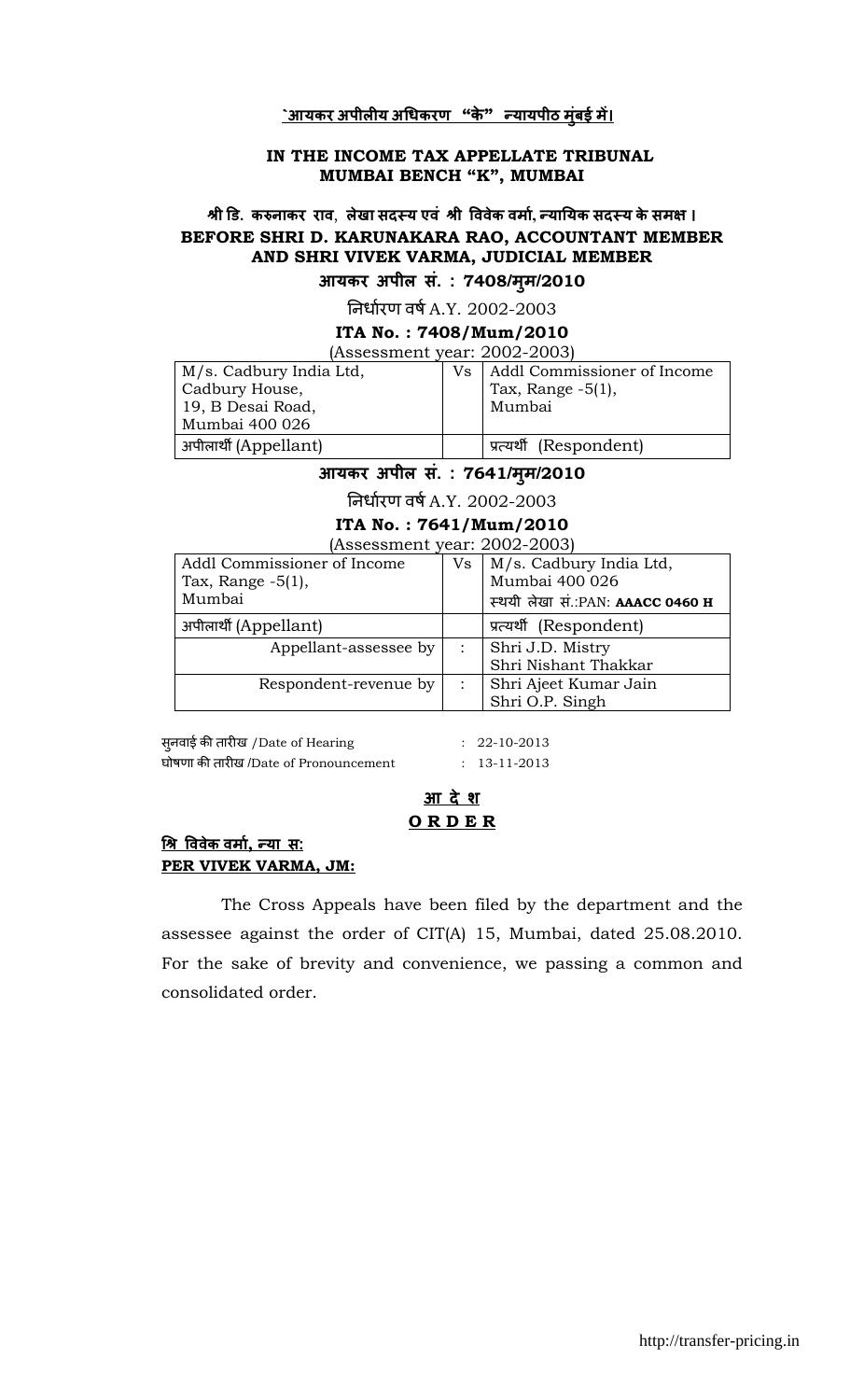#### <u>`आयकर अपीलीय अधिकरण "के" *न्*यायपीठ मुंबई में।</u>

#### IN THE INCOME TAX APPELLATE TRIBUNAL MUMBAI BENCH "K", MUMBAI

# श्री डि. करुनाकर राव, लेखा सदस्य एवं श्री विवेक वर्मा, न्यायिक सदस्य के समक्ष । BEFORE SHRI D. KARUNAKARA RAO, ACCOUNTANT MEMBER AND SHRI VIVEK VARMA, JUDICIAL MEMBER

आयकर अपील सं. : 7408/म्म/2010

निर्धारण वर्ष A.Y. 2002-2003

#### ITA No. : 7408/Mum/2010

(Assessment year: 2002-2003)

| M/s. Cadbury India Ltd, | Vs. | Addl Commissioner of Income |
|-------------------------|-----|-----------------------------|
| Cadbury House,          |     | Tax, Range $-5(1)$ ,        |
| 19, B Desai Road,       |     | Mumbai                      |
| Mumbai 400 026          |     |                             |
| अपीलार्थी (Appellant)   |     | प्रत्यर्थी (Respondent)     |

#### आयकर अपील सं. : 7641/मूम/2010

निर्धारण वर्ष A.Y. 2002-2003

### ITA No. : 7641/Mum/2010

|                                               | (Assessment year: 2002-2003) |                                  |  |  |
|-----------------------------------------------|------------------------------|----------------------------------|--|--|
| Addl Commissioner of Income                   | Vs                           | M/s. Cadbury India Ltd,          |  |  |
| Tax, Range $-5(1)$ ,                          |                              | Mumbai 400 026                   |  |  |
| Mumbai                                        |                              | स्थयी लेखा सं.:PAN: AAACC 0460 H |  |  |
| अपीलार्थी (Appellant)                         |                              | प्रत्यर्थी (Respondent)          |  |  |
| Appellant-assessee by<br>$\ddot{\phantom{1}}$ |                              | Shri J.D. Mistry                 |  |  |
|                                               |                              | Shri Nishant Thakkar             |  |  |
| Respondent-revenue by                         |                              | Shri Ajeet Kumar Jain            |  |  |
|                                               |                              | Shri O.P. Singh                  |  |  |

सनवाई ु क तार ख /Date of Hearing : 22-10-2013 घोषणा क तार ख /Date of Pronouncement : 13-11-2013

# <u>आ दे श</u> O R D E R

#### <u>श्रि विवेक वर्मा, न्या स:</u> PER VIVEK VARMA, JM:

The Cross Appeals have been filed by the department and the assessee against the order of CIT(A) 15, Mumbai, dated 25.08.2010. For the sake of brevity and convenience, we passing a common and consolidated order.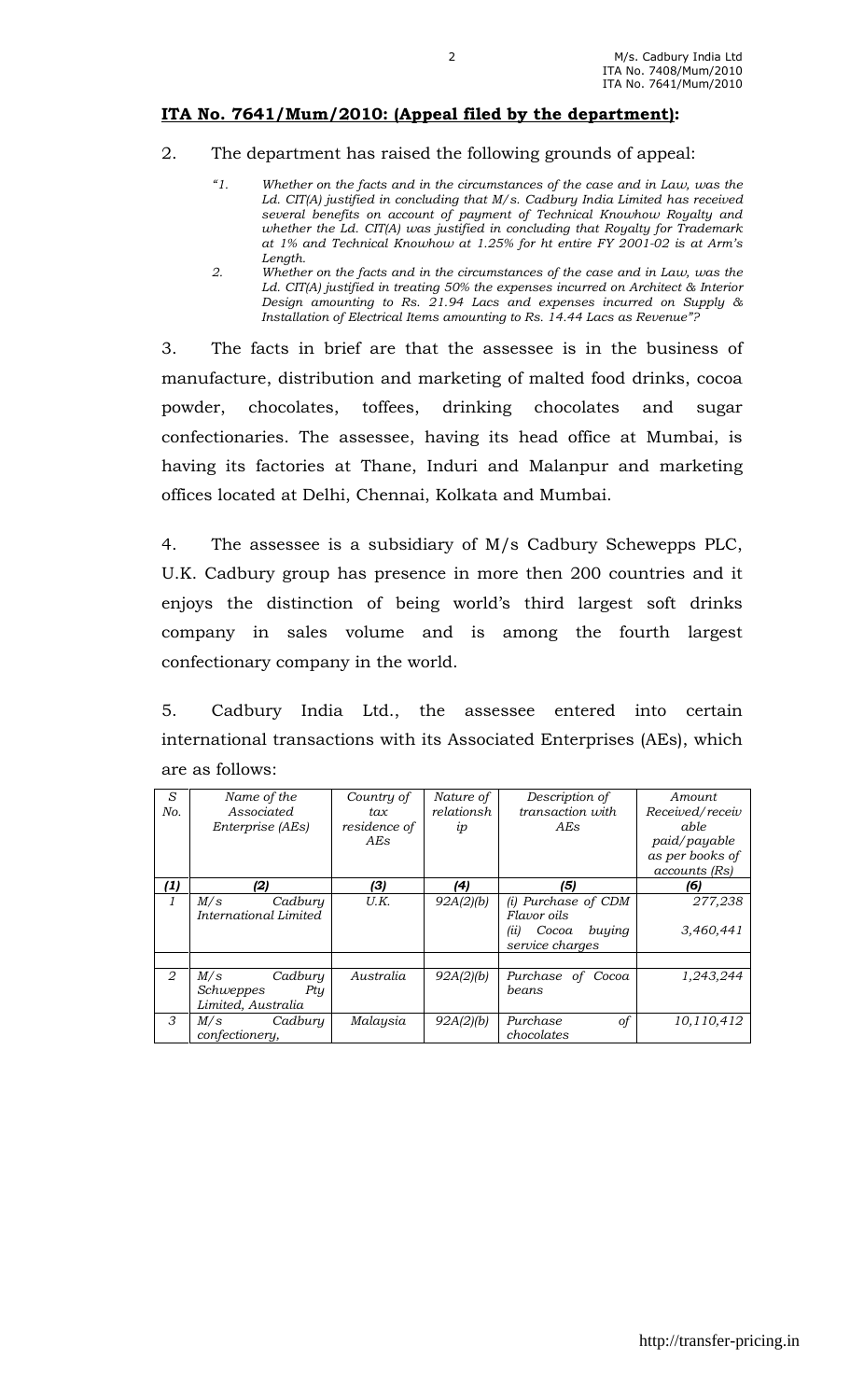## ITA No. 7641/Mum/2010: (Appeal filed by the department):

- 2. The department has raised the following grounds of appeal:
	- $"1"$ Whether on the facts and in the circumstances of the case and in Law, was the Ld. CIT(A) justified in concluding that M/s. Cadbury India Limited has received several benefits on account of payment of Technical Knowhow Royalty and whether the Ld. CIT(A) was justified in concluding that Royalty for Trademark at 1% and Technical Knowhow at 1.25% for ht entire FY 2001-02 is at Arm's Length.
	- 2. Whether on the facts and in the circumstances of the case and in Law, was the Ld. CIT(A) justified in treating 50% the expenses incurred on Architect & Interior Design amounting to Rs. 21.94 Lacs and expenses incurred on Supply & Installation of Electrical Items amounting to Rs. 14.44 Lacs as Revenue"?

3. The facts in brief are that the assessee is in the business of manufacture, distribution and marketing of malted food drinks, cocoa powder, chocolates, toffees, drinking chocolates and sugar confectionaries. The assessee, having its head office at Mumbai, is having its factories at Thane, Induri and Malanpur and marketing offices located at Delhi, Chennai, Kolkata and Mumbai.

4. The assessee is a subsidiary of M/s Cadbury Schewepps PLC, U.K. Cadbury group has presence in more then 200 countries and it enjoys the distinction of being world's third largest soft drinks company in sales volume and is among the fourth largest confectionary company in the world.

5. Cadbury India Ltd., the assessee entered into certain international transactions with its Associated Enterprises (AEs), which are as follows:

| S                           | Name of the           | Country of   | Nature of  | Description of          | Amount          |
|-----------------------------|-----------------------|--------------|------------|-------------------------|-----------------|
| No.                         | Associated            | tax          | relationsh | transaction with        | Received/receiv |
|                             | Enterprise (AEs)      | residence of | ip         | AEs                     | able            |
|                             |                       | AEs          |            |                         | paid/payable    |
|                             |                       |              |            |                         | as per books of |
|                             |                       |              |            |                         | accounts (Rs)   |
| (1)                         | (2)                   | (3)          | (4)        | (5)                     | (6)             |
| $\mathbf{1}$                | M/s<br>Cadbury        | U.K.         | 92A(2)(b)  | (i) Purchase of CDM     | 277,238         |
|                             | International Limited |              |            | Flavor oils             |                 |
|                             |                       |              |            | buying<br>Cocoa<br>(ii) | 3,460,441       |
|                             |                       |              |            | service charges         |                 |
|                             |                       |              |            |                         |                 |
| $\mathcal{D}_{\mathcal{L}}$ | M/s<br>Cadbury        | Australia    | 92A(2)(b)  | Purchase of Cocoa       | 1,243,244       |
|                             | Schweppes<br>Ptu      |              |            | beans                   |                 |
|                             | Limited, Australia    |              |            |                         |                 |
| 3                           | M/s<br>Cadbury        | Malaysia     | 92A(2)(b)  | Purchase<br>of          | 10,110,412      |
|                             | confectionery,        |              |            | chocolates              |                 |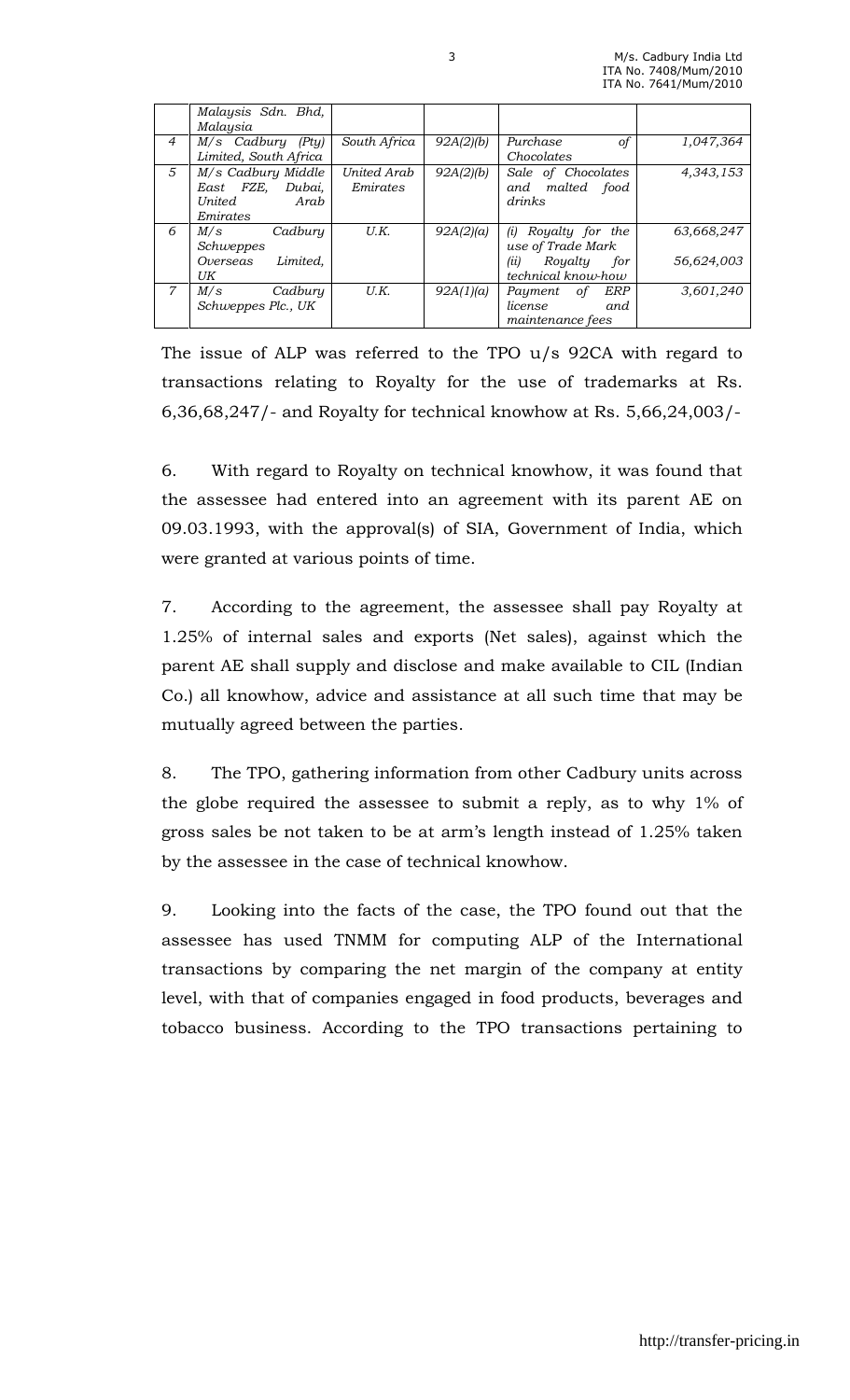|                | Malaysis Sdn. Bhd,<br>Malaysia |              |           |                          |            |
|----------------|--------------------------------|--------------|-----------|--------------------------|------------|
| $\overline{4}$ | M/s Cadbury (Pty)              | South Africa | 92A(2)(b) | Purchase<br>οf           | 1,047,364  |
|                | Limited, South Africa          |              |           | Chocolates               |            |
| 5              | M/s Cadbury Middle             | United Arab  | 92A(2)(b) | Sale of Chocolates       | 4,343,153  |
|                | East FZE, Dubai,               | Emirates     |           | and malted food          |            |
|                | United<br>Arab                 |              |           | drinks                   |            |
|                | Emirates                       |              |           |                          |            |
| 6              | M/s<br>Cadbury                 | U.K.         | 92A(2)(a) | Royalty for the<br>(i)   | 63,668,247 |
|                | Schweppes                      |              |           | use of Trade Mark        |            |
|                | Limited.<br>Overseas           |              |           | (ii)<br>Royalty<br>for   | 56,624,003 |
|                | UK                             |              |           | technical know-how       |            |
| $\overline{7}$ | Cadbury<br>M/s                 | U.K.         | 92A(1)(a) | <b>ERP</b><br>Payment of | 3.601.240  |
|                | Schweppes Plc., UK             |              |           | license<br>and           |            |
|                |                                |              |           | maintenance fees         |            |

The issue of ALP was referred to the TPO u/s 92CA with regard to transactions relating to Royalty for the use of trademarks at Rs. 6,36,68,247/- and Royalty for technical knowhow at Rs. 5,66,24,003/-

6. With regard to Royalty on technical knowhow, it was found that the assessee had entered into an agreement with its parent AE on 09.03.1993, with the approval(s) of SIA, Government of India, which were granted at various points of time.

7. According to the agreement, the assessee shall pay Royalty at 1.25% of internal sales and exports (Net sales), against which the parent AE shall supply and disclose and make available to CIL (Indian Co.) all knowhow, advice and assistance at all such time that may be mutually agreed between the parties.

8. The TPO, gathering information from other Cadbury units across the globe required the assessee to submit a reply, as to why 1% of gross sales be not taken to be at arm's length instead of 1.25% taken by the assessee in the case of technical knowhow.

9. Looking into the facts of the case, the TPO found out that the assessee has used TNMM for computing ALP of the International transactions by comparing the net margin of the company at entity level, with that of companies engaged in food products, beverages and tobacco business. According to the TPO transactions pertaining to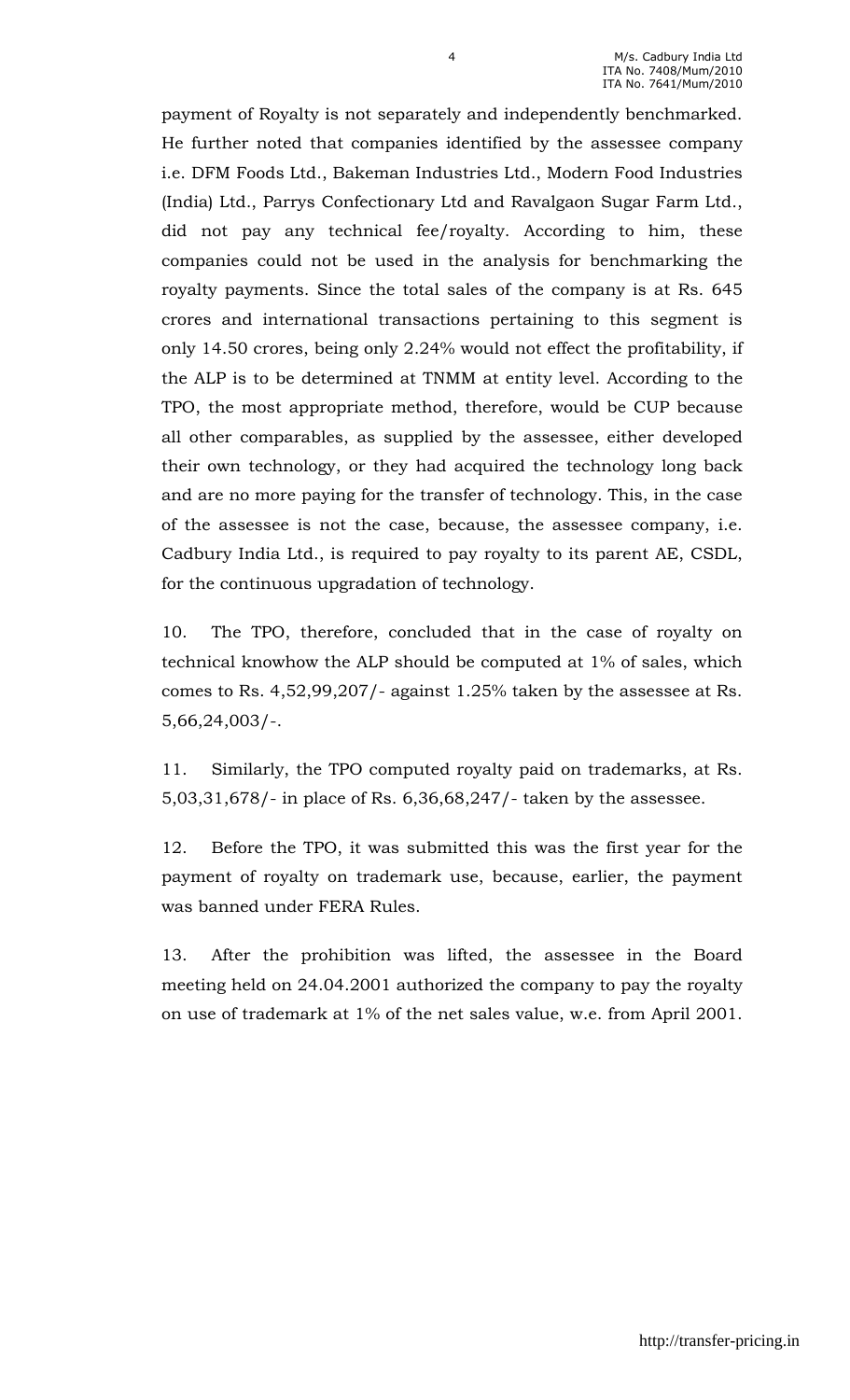payment of Royalty is not separately and independently benchmarked. He further noted that companies identified by the assessee company i.e. DFM Foods Ltd., Bakeman Industries Ltd., Modern Food Industries (India) Ltd., Parrys Confectionary Ltd and Ravalgaon Sugar Farm Ltd., did not pay any technical fee/royalty. According to him, these companies could not be used in the analysis for benchmarking the royalty payments. Since the total sales of the company is at Rs. 645 crores and international transactions pertaining to this segment is only 14.50 crores, being only 2.24% would not effect the profitability, if the ALP is to be determined at TNMM at entity level. According to the TPO, the most appropriate method, therefore, would be CUP because all other comparables, as supplied by the assessee, either developed their own technology, or they had acquired the technology long back and are no more paying for the transfer of technology. This, in the case of the assessee is not the case, because, the assessee company, i.e. Cadbury India Ltd., is required to pay royalty to its parent AE, CSDL, for the continuous upgradation of technology.

10. The TPO, therefore, concluded that in the case of royalty on technical knowhow the ALP should be computed at 1% of sales, which comes to Rs. 4,52,99,207/- against 1.25% taken by the assessee at Rs. 5,66,24,003/-.

11. Similarly, the TPO computed royalty paid on trademarks, at Rs. 5,03,31,678/- in place of Rs. 6,36,68,247/- taken by the assessee.

12. Before the TPO, it was submitted this was the first year for the payment of royalty on trademark use, because, earlier, the payment was banned under FERA Rules.

13. After the prohibition was lifted, the assessee in the Board meeting held on 24.04.2001 authorized the company to pay the royalty on use of trademark at 1% of the net sales value, w.e. from April 2001.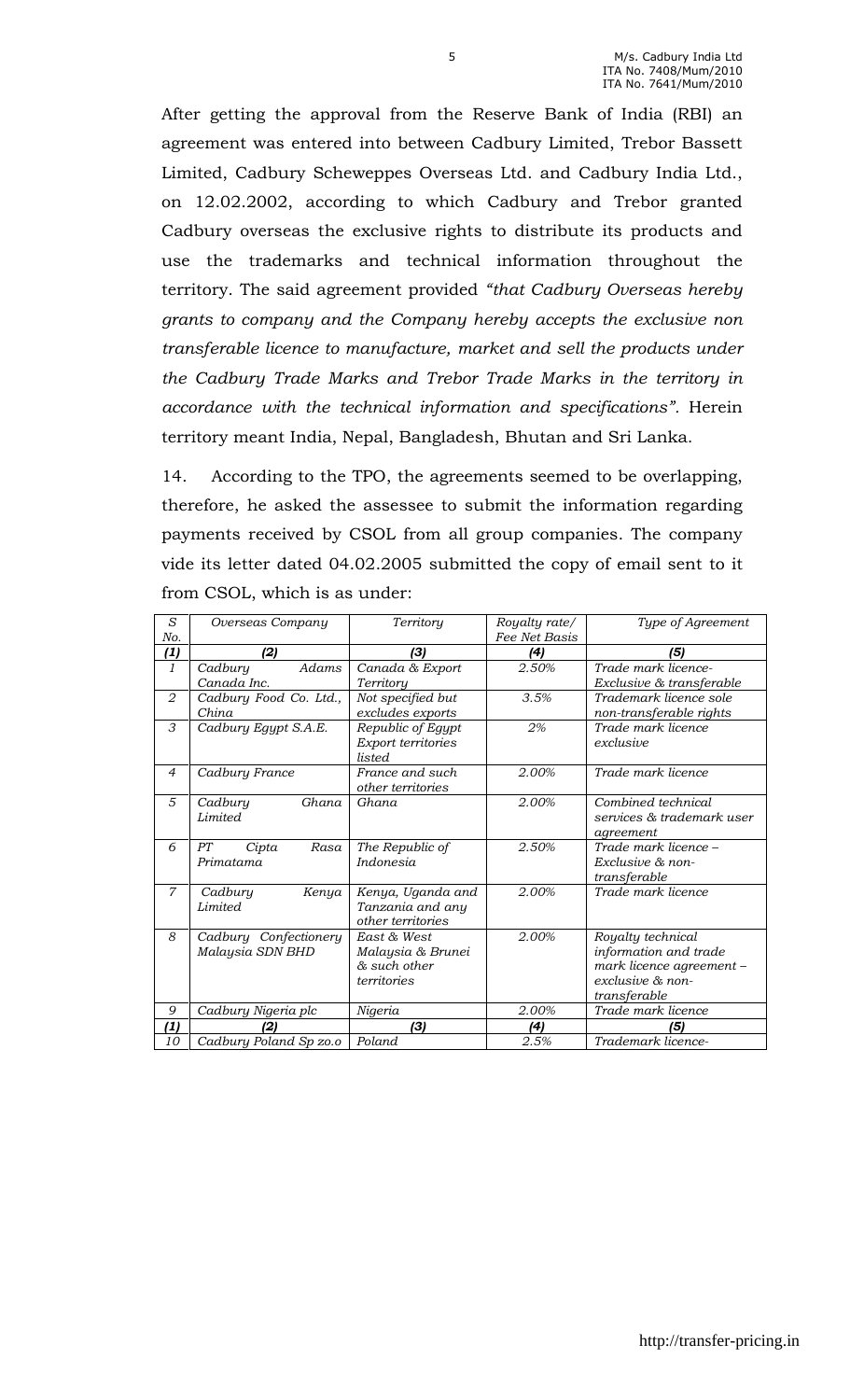After getting the approval from the Reserve Bank of India (RBI) an agreement was entered into between Cadbury Limited, Trebor Bassett Limited, Cadbury Scheweppes Overseas Ltd. and Cadbury India Ltd., on 12.02.2002, according to which Cadbury and Trebor granted Cadbury overseas the exclusive rights to distribute its products and use the trademarks and technical information throughout the territory. The said agreement provided "that Cadbury Overseas hereby grants to company and the Company hereby accepts the exclusive non transferable licence to manufacture, market and sell the products under the Cadbury Trade Marks and Trebor Trade Marks in the territory in accordance with the technical information and specifications". Herein territory meant India, Nepal, Bangladesh, Bhutan and Sri Lanka.

14. According to the TPO, the agreements seemed to be overlapping, therefore, he asked the assessee to submit the information regarding payments received by CSOL from all group companies. The company vide its letter dated 04.02.2005 submitted the copy of email sent to it from CSOL, which is as under:

| S<br>No.       | Overseas Company                          | Territory                                                       | Royalty rate/<br>Fee Net Basis | Type of Agreement                                                                                          |
|----------------|-------------------------------------------|-----------------------------------------------------------------|--------------------------------|------------------------------------------------------------------------------------------------------------|
| (1)            | (2)                                       | (3)                                                             | (4)                            | (5)                                                                                                        |
| 1              | Adams<br>Cadbury<br>Canada Inc.           | Canada & Export<br>Territory                                    | 2.50%                          | Trade mark licence-<br>Exclusive & transferable                                                            |
| 2              | Cadbury Food Co. Ltd.,<br>China           | Not specified but<br>excludes exports                           | 3.5%                           | Trademark licence sole<br>non-transferable rights                                                          |
| 3              | Cadbury Egypt S.A.E.                      | Republic of Egypt<br>Export territories<br>listed               | 2%                             | Trade mark licence<br>exclusive                                                                            |
| $\overline{4}$ | Cadbury France                            | France and such<br>other territories                            | 2.00%                          | Trade mark licence                                                                                         |
| 5              | Ghana<br>Cadbury<br><b>Limited</b>        | Ghana                                                           | 2.00%                          | Combined technical<br>services & trademark user<br>agreement                                               |
| 6              | PT<br>Rasa<br>Cipta<br>Primatama          | The Republic of<br><i>Indonesia</i>                             | 2.50%                          | Trade mark licence –<br>Exclusive & non-<br>transferable                                                   |
| $\overline{7}$ | Kenya<br>Cadbury<br>Limited               | Kenya, Uganda and<br>Tanzania and any<br>other territories      | 2.00%                          | Trade mark licence                                                                                         |
| 8              | Cadbury Confectionery<br>Malaysia SDN BHD | East & West<br>Malaysia & Brunei<br>& such other<br>territories | 2.00%                          | Royalty technical<br>information and trade<br>mark licence agreement -<br>exclusive & non-<br>transferable |
| 9              | Cadbury Nigeria plc                       | Nigeria                                                         | 2.00%                          | Trade mark licence                                                                                         |
| (1)            |                                           | (3)                                                             | (4)                            |                                                                                                            |
| 10             | Cadbury Poland Sp zo.o                    | Poland                                                          | 2.5%                           | Trademark licence-                                                                                         |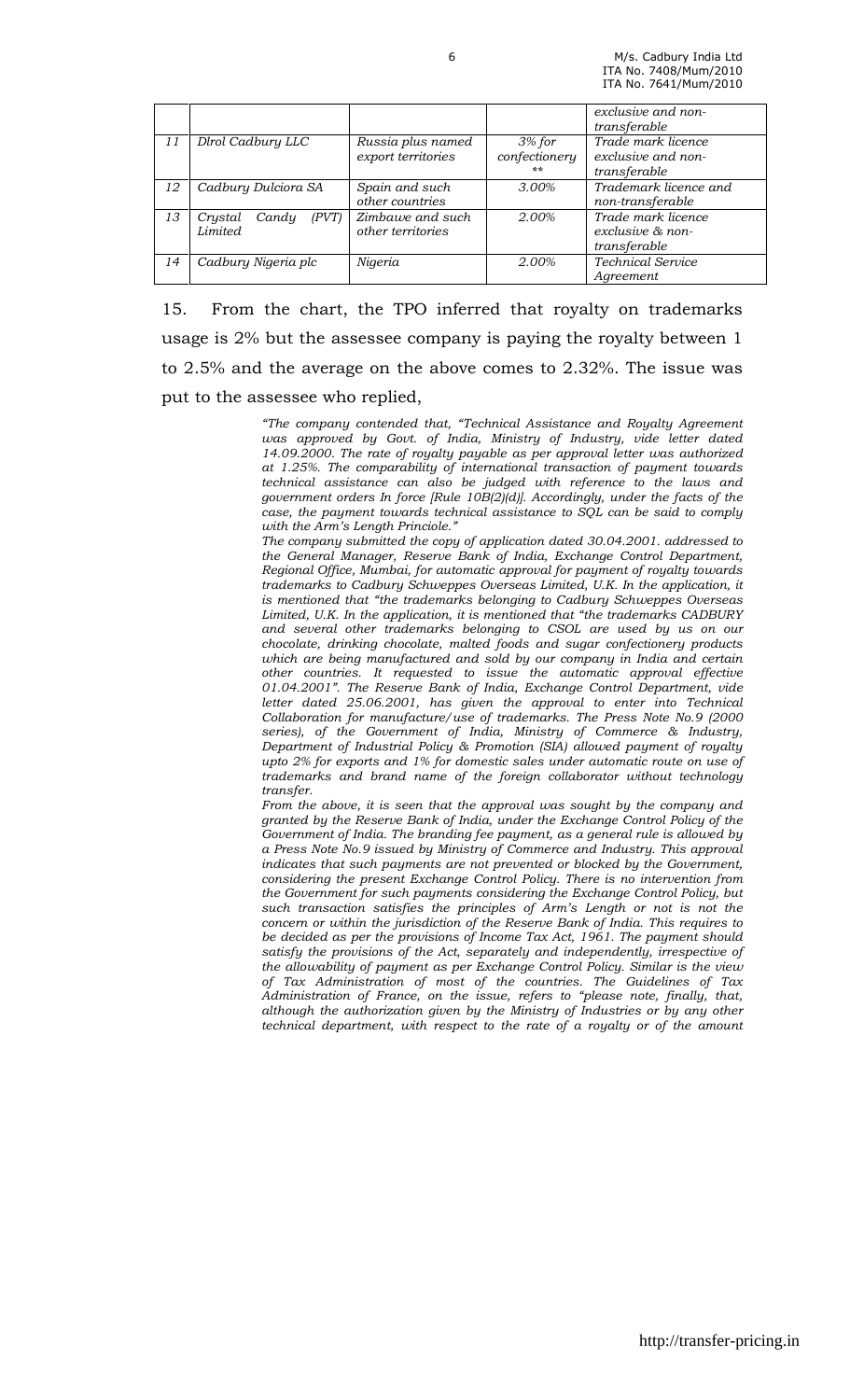|    |                                       |                                         |                                           | exclusive and non-<br>transferable                        |
|----|---------------------------------------|-----------------------------------------|-------------------------------------------|-----------------------------------------------------------|
| 11 | Dlrol Cadbury LLC                     | Russia plus named<br>export territories | $3%$ for<br>confectionery<br>$\star\star$ | Trade mark licence<br>exclusive and non-<br>transferable  |
| 12 | Cadbury Dulciora SA                   | Spain and such<br>other countries       | 3.00%                                     | Trademark licence and<br>non-transferable                 |
| 13 | (PVT)<br>Crystal<br>Candy<br>Limited. | Zimbawe and such<br>other territories   | 2.00%                                     | Trade mark licence<br>$exclusive \& non-$<br>transferable |
| 14 | Cadbury Nigeria plc                   | Nigeria                                 | 2.00%                                     | <b>Technical Service</b><br>Agreement                     |

15. From the chart, the TPO inferred that royalty on trademarks usage is 2% but the assessee company is paying the royalty between 1 to 2.5% and the average on the above comes to 2.32%. The issue was put to the assessee who replied,

> "The company contended that, "Technical Assistance and Royalty Agreement was approved by Govt. of India, Ministry of Industry, vide letter dated 14.09.2000. The rate of royalty payable as per approval letter was authorized at 1.25%. The comparability of international transaction of payment towards technical assistance can also be judged with reference to the laws and government orders In force [Rule 10B(2)(d)]. Accordingly, under the facts of the case, the payment towards technical assistance to SQL can be said to comply with the Arm's Length Princiole."

> The company submitted the copy of application dated 30.04.2001. addressed to the General Manager, Reserve Bank of India, Exchange Control Department, Regional Office, Mumbai, for automatic approval for payment of royalty towards trademarks to Cadbury Schweppes Overseas Limited, U.K. In the application, it is mentioned that "the trademarks belonging to Cadbury Schweppes Overseas Limited, U.K. In the application, it is mentioned that "the trademarks CADBURY and several other trademarks belonging to CSOL are used by us on our chocolate, drinking chocolate, malted foods and sugar confectionery products which are being manufactured and sold by our company in India and certain other countries. It requested to issue the automatic approval effective 01.04.2001". The Reserve Bank of India, Exchange Control Department, vide letter dated 25.06.2001, has given the approval to enter into Technical Collaboration for manufacture/use of trademarks. The Press Note No.9 (2000 series), of the Government of India, Ministry of Commerce & Industry, Department of Industrial Policy & Promotion (SIA) allowed payment of royalty upto 2% for exports and 1% for domestic sales under automatic route on use of trademarks and brand name of the foreign collaborator without technology transfer.

> From the above, it is seen that the approval was sought by the company and granted by the Reserve Bank of India, under the Exchange Control Policy of the Government of India. The branding fee payment, as a general rule is allowed by a Press Note No.9 issued by Ministry of Commerce and Industry. This approval indicates that such payments are not prevented or blocked by the Government, considering the present Exchange Control Policy. There is no intervention from the Government for such payments considering the Exchange Control Policy, but such transaction satisfies the principles of Arm's Length or not is not the concern or within the jurisdiction of the Reserve Bank of India. This requires to be decided as per the provisions of Income Tax Act, 1961. The payment should satisfy the provisions of the Act, separately and independently, irrespective of the allowability of payment as per Exchange Control Policy. Similar is the view of Tax Administration of most of the countries. The Guidelines of Tax Administration of France, on the issue, refers to "please note, finally, that, although the authorization given by the Ministry of Industries or by any other technical department, with respect to the rate of a royalty or of the amount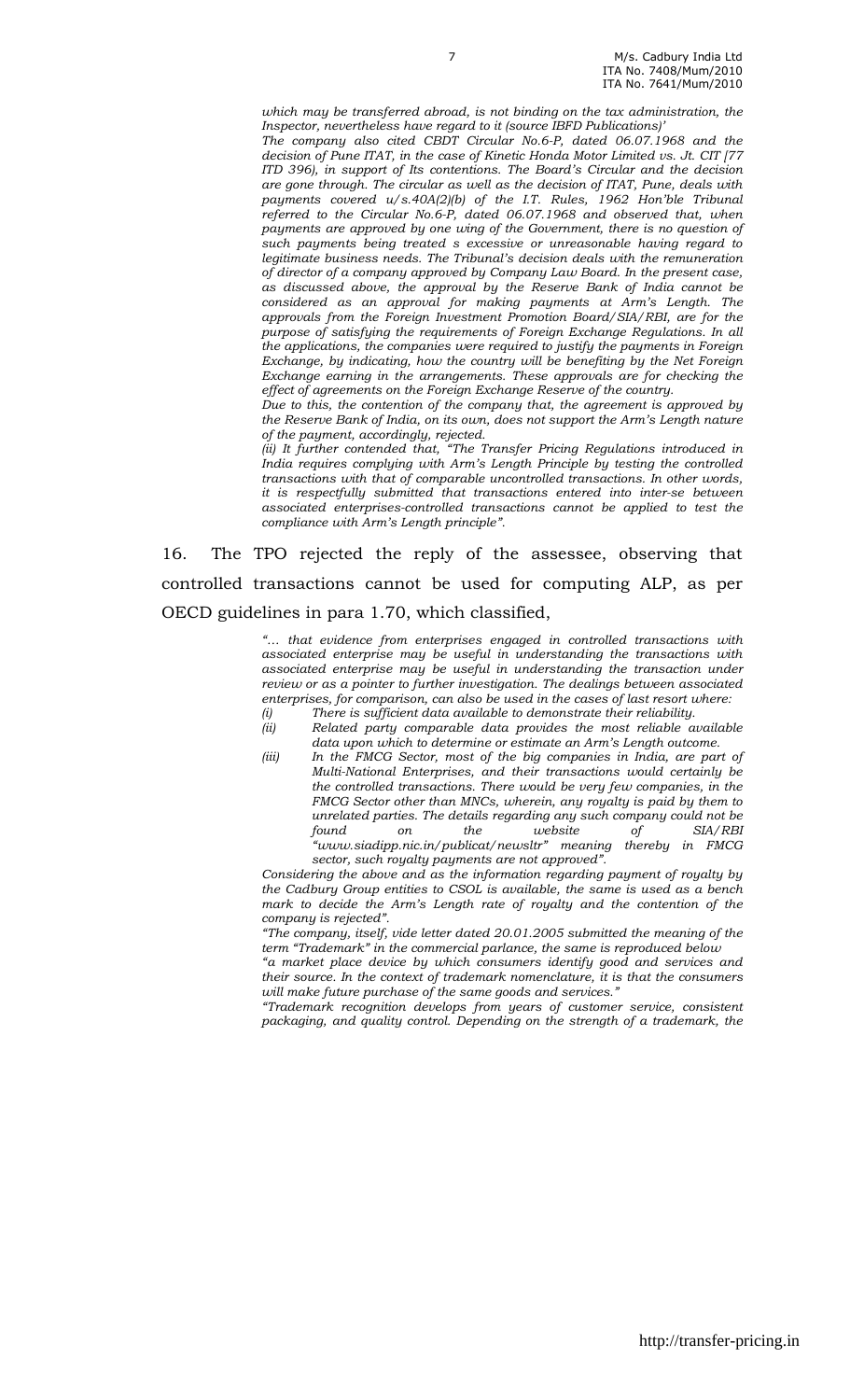which may be transferred abroad, is not binding on the tax administration, the Inspector, nevertheless have regard to it (source IBFD Publications)'

The company also cited CBDT Circular No.6-P, dated 06.07.1968 and the decision of Pune ITAT, in the case of Kinetic Honda Motor Limited vs. Jt. CIT [77 ITD 396), in support of Its contentions. The Board's Circular and the decision are gone through. The circular as well as the decision of ITAT, Pune, deals with payments covered u/s.40A(2)(b) of the I.T. Rules, 1962 Hon'ble Tribunal referred to the Circular No.6-P, dated 06.07.1968 and observed that, when payments are approved by one wing of the Government, there is no question of such payments being treated s excessive or unreasonable having regard to legitimate business needs. The Tribunal's decision deals with the remuneration of director of a company approved by Company Law Board. In the present case, as discussed above, the approval by the Reserve Bank of India cannot be considered as an approval for making payments at Arm's Length. The approvals from the Foreign Investment Promotion Board/SIA/RBI, are for the purpose of satisfying the requirements of Foreign Exchange Regulations. In all the applications, the companies were required to justify the payments in Foreign Exchange, by indicating, how the country will be benefiting by the Net Foreign Exchange earning in the arrangements. These approvals are for checking the effect of agreements on the Foreign Exchange Reserve of the country.

Due to this, the contention of the company that, the agreement is approved by the Reserve Bank of India, on its own, does not support the Arm's Length nature of the payment, accordingly, rejected.

(ii) It further contended that, "The Transfer Pricing Regulations introduced in India requires complying with Arm's Length Principle by testing the controlled transactions with that of comparable uncontrolled transactions. In other words, it is respectfully submitted that transactions entered into inter-se between associated enterprises-controlled transactions cannot be applied to test the compliance with Arm's Length principle".

16. The TPO rejected the reply of the assessee, observing that controlled transactions cannot be used for computing ALP, as per OECD guidelines in para 1.70, which classified,

> "… that evidence from enterprises engaged in controlled transactions with associated enterprise may be useful in understanding the transactions with associated enterprise may be useful in understanding the transaction under review or as a pointer to further investigation. The dealings between associated enterprises, for comparison, can also be used in the cases of last resort where:

> (i) There is sufficient data available to demonstrate their reliability. (ii) Related party comparable data provides the most reliable available

> data upon which to determine or estimate an Arm's Length outcome.

(iii) In the FMCG Sector, most of the big companies in India, are part of Multi-National Enterprises, and their transactions would certainly be the controlled transactions. There would be very few companies, in the FMCG Sector other than MNCs, wherein, any royalty is paid by them to unrelated parties. The details regarding any such company could not be<br>found on the website of SIA/RBI on the website "www.siadipp.nic.in/publicat/newsltr" meaning thereby in FMCG

sector, such royalty payments are not approved". Considering the above and as the information regarding payment of royalty by the Cadbury Group entities to CSOL is available, the same is used as a bench mark to decide the Arm's Length rate of royalty and the contention of the company is rejected".

"The company, itself, vide letter dated 20.01.2005 submitted the meaning of the term "Trademark" in the commercial parlance, the same is reproduced below

"a market place device by which consumers identify good and services and their source. In the context of trademark nomenclature, it is that the consumers will make future purchase of the same goods and services."

"Trademark recognition develops from years of customer service, consistent packaging, and quality control. Depending on the strength of a trademark, the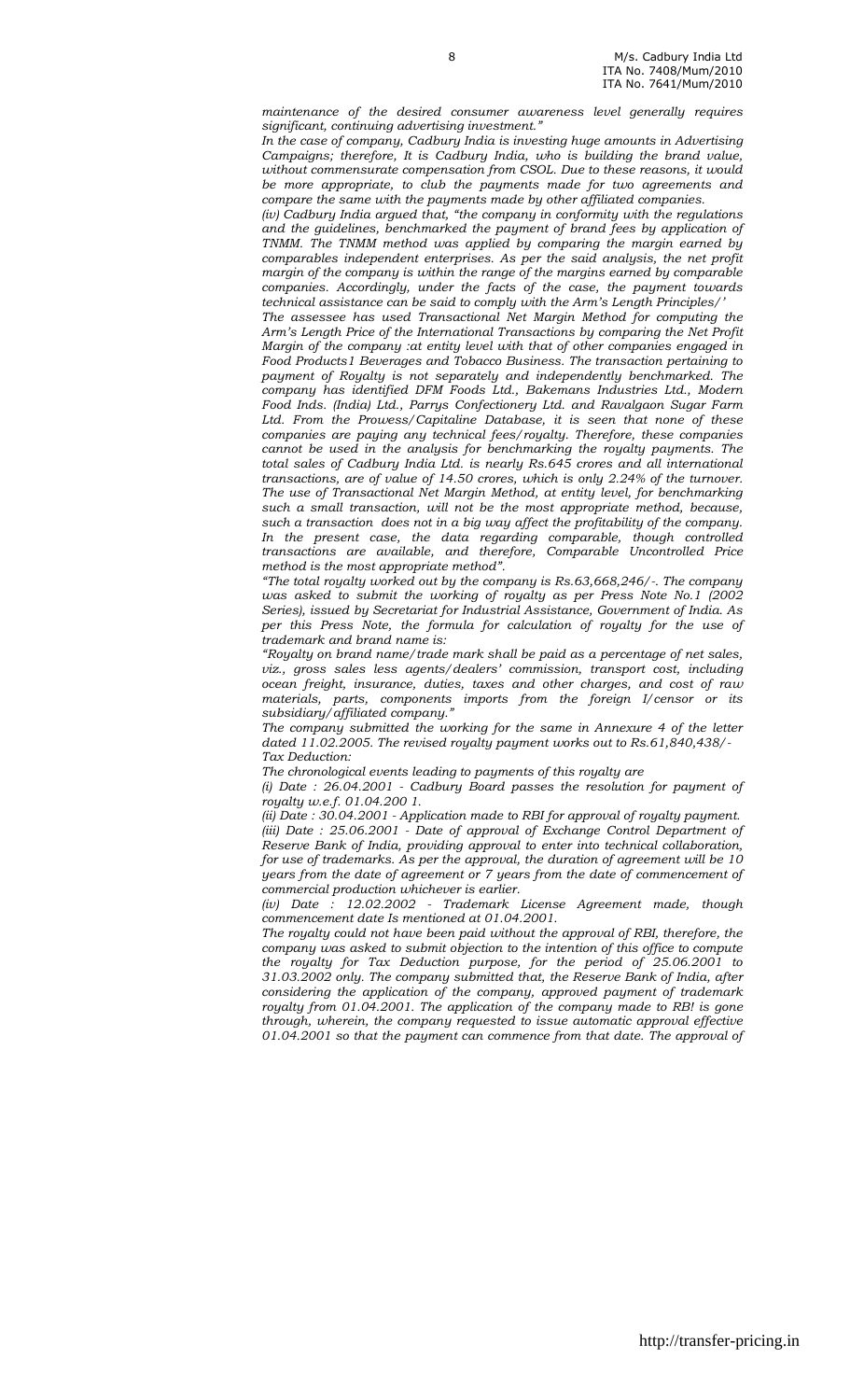maintenance of the desired consumer awareness level generally requires significant, continuing advertising investment."

In the case of company, Cadbury India is investing huge amounts in Advertising Campaigns; therefore, It is Cadbury India, who is building the brand value, without commensurate compensation from CSOL. Due to these reasons, it would be more appropriate, to club the payments made for two agreements and compare the same with the payments made by other affiliated companies.

(iv) Cadbury India argued that, "the company in conformity with the regulations and the guidelines, benchmarked the payment of brand fees by application of TNMM. The TNMM method was applied by comparing the margin earned by comparables independent enterprises. As per the said analysis, the net profit margin of the company is within the range of the margins earned by comparable companies. Accordingly, under the facts of the case, the payment towards technical assistance can be said to comply with the Arm's Length Principles/'

The assessee has used Transactional Net Margin Method for computing the Arm's Length Price of the International Transactions by comparing the Net Profit Margin of the company :at entity level with that of other companies engaged in Food Products1 Beverages and Tobacco Business. The transaction pertaining to payment of Royalty is not separately and independently benchmarked. The company has identified DFM Foods Ltd., Bakemans Industries Ltd., Modern Food Inds. (India) Ltd., Parrys Confectionery Ltd. and Ravalgaon Sugar Farm Ltd. From the Prowess/Capitaline Database, it is seen that none of these companies are paying any technical fees/royalty. Therefore, these companies cannot be used in the analysis for benchmarking the royalty payments. The total sales of Cadbury India Ltd. is nearly Rs.645 crores and all international transactions, are of value of 14.50 crores, which is only 2.24% of the turnover. The use of Transactional Net Margin Method, at entity level, for benchmarking such a small transaction, will not be the most appropriate method, because, such a transaction does not in a big way affect the profitability of the company. In the present case, the data regarding comparable, though controlled transactions are available, and therefore, Comparable Uncontrolled Price method is the most appropriate method".

"The total royalty worked out by the company is Rs.63,668,246/-. The company was asked to submit the working of royalty as per Press Note No.1 (2002 Series), issued by Secretariat for Industrial Assistance, Government of India. As per this Press Note, the formula for calculation of royalty for the use of trademark and brand name is:

"Royalty on brand name/trade mark shall be paid as a percentage of net sales, viz., gross sales less agents/dealers' commission, transport cost, including ocean freight, insurance, duties, taxes and other charges, and cost of raw materials, parts, components imports from the foreign I/censor or its subsidiary/affiliated company."

The company submitted the working for the same in Annexure 4 of the letter dated 11.02.2005. The revised royalty payment works out to Rs.61,840,438/- Tax Deduction:

The chronological events leading to payments of this royalty are

(i) Date : 26.04.2001 - Cadbury Board passes the resolution for payment of royalty w.e.f. 01.04.200 1.

(ii) Date : 30.04.2001 - Application made to RBI for approval of royalty payment. (iii) Date : 25.06.2001 - Date of approval of Exchange Control Department of Reserve Bank of India, providing approval to enter into technical collaboration, for use of trademarks. As per the approval, the duration of agreement will be 10 years from the date of agreement or 7 years from the date of commencement of commercial production whichever is earlier.

(iv) Date : 12.02.2002 - Trademark License Agreement made, though commencement date Is mentioned at 01.04.2001.

The royalty could not have been paid without the approval of RBI, therefore, the company was asked to submit objection to the intention of this office to compute the royalty for Tax Deduction purpose, for the period of 25.06.2001 to 31.03.2002 only. The company submitted that, the Reserve Bank of India, after considering the application of the company, approved payment of trademark royalty from 01.04.2001. The application of the company made to RB! is gone through, wherein, the company requested to issue automatic approval effective 01.04.2001 so that the payment can commence from that date. The approval of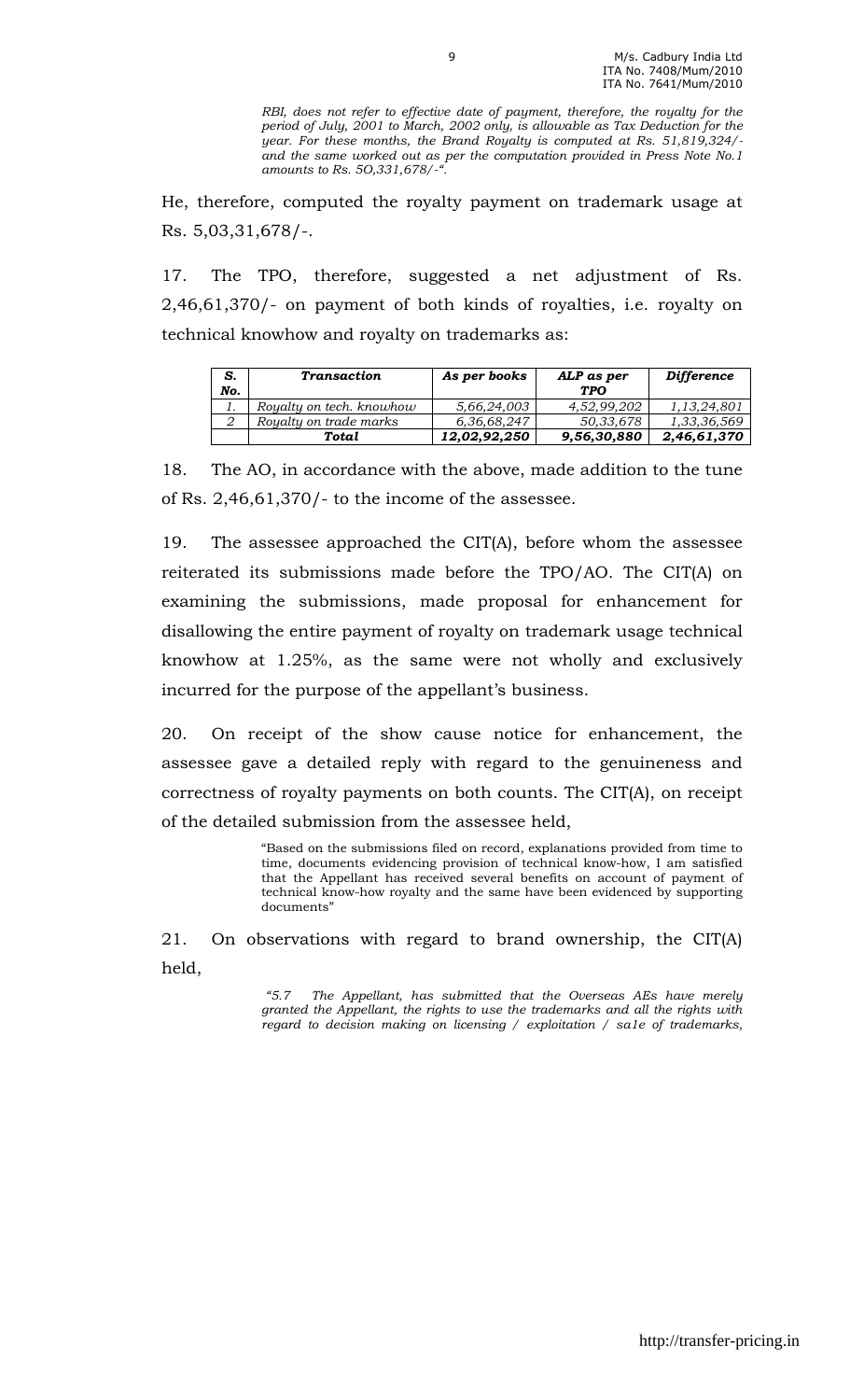RBI, does not refer to effective date of payment, therefore, the royalty for the period of July, 2001 to March, 2002 only, is allowable as Tax Deduction for the year. For these months, the Brand Royalty is computed at Rs. 51,819,324/ and the same worked out as per the computation provided in Press Note No.1 amounts to Rs. 5O,331,678/-".

He, therefore, computed the royalty payment on trademark usage at Rs. 5,03,31,678/-.

17. The TPO, therefore, suggested a net adjustment of Rs. 2,46,61,370/- on payment of both kinds of royalties, i.e. royalty on technical knowhow and royalty on trademarks as:

| S.<br>No. | <b>Transaction</b>       | As per books | ALP as per<br><b>TPO</b> | <b>Difference</b> |
|-----------|--------------------------|--------------|--------------------------|-------------------|
| 1.        | Royalty on tech. knowhow | 5,66,24,003  | 4,52,99,202              | 1,13,24,801       |
|           | Royalty on trade marks   | 6,36,68,247  | 50,33,678                | 1,33,36,569       |
|           | Total                    | 12,02,92,250 | 9,56,30,880              | 2,46,61,370       |

18. The AO, in accordance with the above, made addition to the tune of Rs. 2,46,61,370/- to the income of the assessee.

19. The assessee approached the CIT(A), before whom the assessee reiterated its submissions made before the TPO/AO. The CIT(A) on examining the submissions, made proposal for enhancement for disallowing the entire payment of royalty on trademark usage technical knowhow at 1.25%, as the same were not wholly and exclusively incurred for the purpose of the appellant's business.

20. On receipt of the show cause notice for enhancement, the assessee gave a detailed reply with regard to the genuineness and correctness of royalty payments on both counts. The CIT(A), on receipt of the detailed submission from the assessee held,

> "Based on the submissions filed on record, explanations provided from time to time, documents evidencing provision of technical know-how, I am satisfied that the Appellant has received several benefits on account of payment of technical know-how royalty and the same have been evidenced by supporting documents"

21. On observations with regard to brand ownership, the CIT(A) held,

> "5.7 The Appellant, has submitted that the Overseas AEs have merely granted the Appellant, the rights to use the trademarks and all the rights with regard to decision making on licensing / exploitation / sa1e of trademarks,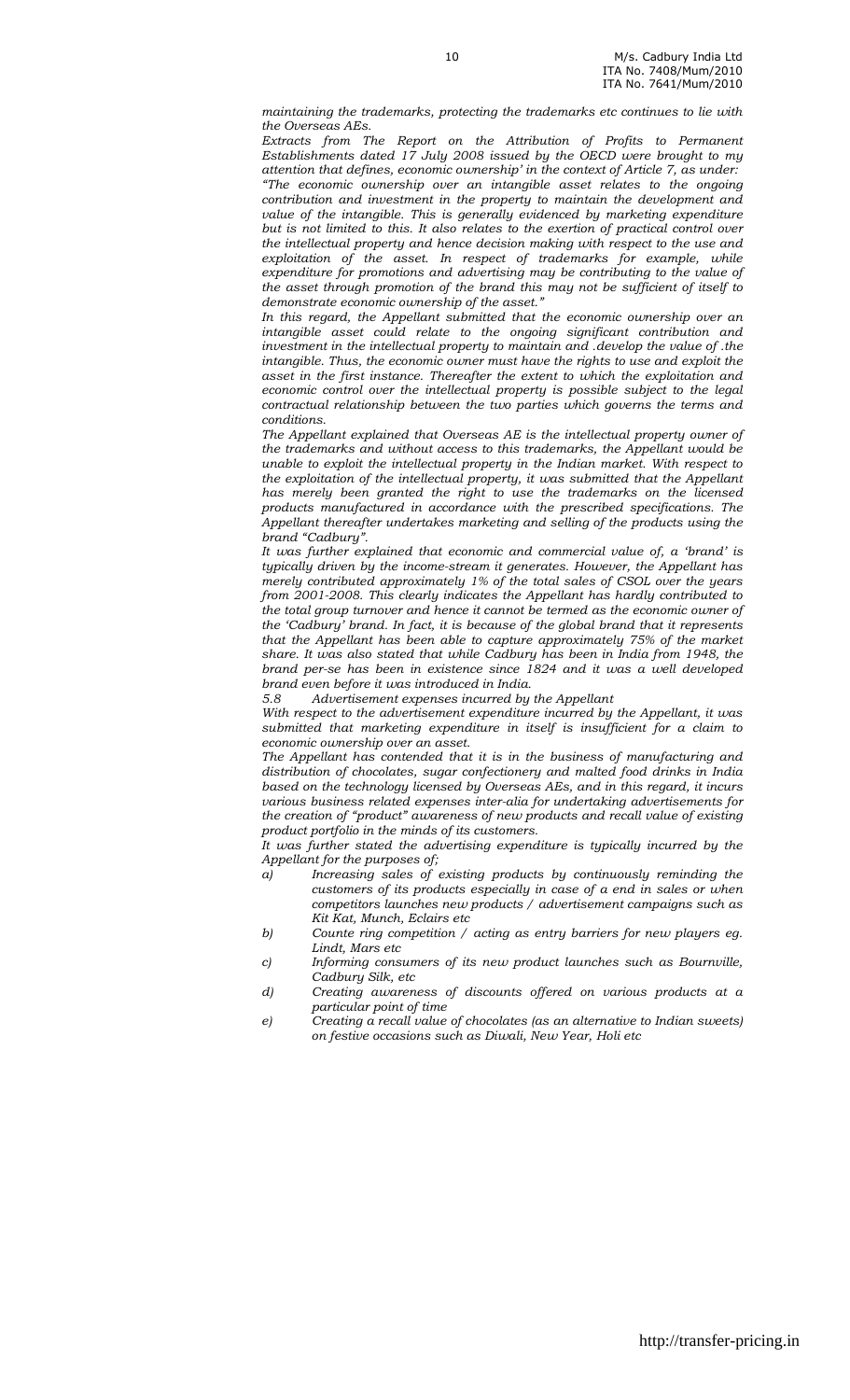maintaining the trademarks, protecting the trademarks etc continues to lie with the Overseas AEs.

Extracts from The Report on the Attribution of Profits to Permanent Establishments dated 17 July 2008 issued by the OECD were brought to my attention that defines, economic ownership' in the context of Article 7, as under: "The economic ownership over an intangible asset relates to the ongoing contribution and investment in the property to maintain the development and value of the intangible. This is generally evidenced by marketing expenditure but is not limited to this. It also relates to the exertion of practical control over the intellectual property and hence decision making with respect to the use and exploitation of the asset. In respect of trademarks for example, while expenditure for promotions and advertising may be contributing to the value of the asset through promotion of the brand this may not be sufficient of itself to demonstrate economic ownership of the asset."

In this regard, the Appellant submitted that the economic ownership over an intangible asset could relate to the ongoing significant contribution and investment in the intellectual property to maintain and .develop the value of .the intangible. Thus, the economic owner must have the rights to use and exploit the asset in the first instance. Thereafter the extent to which the exploitation and economic control over the intellectual property is possible subject to the legal contractual relationship between the two parties which governs the terms and conditions.

The Appellant explained that Overseas AE is the intellectual property owner of the trademarks and without access to this trademarks, the Appellant would be unable to exploit the intellectual property in the Indian market. With respect to the exploitation of the intellectual property, it was submitted that the Appellant has merely been granted the right to use the trademarks on the licensed products manufactured in accordance with the prescribed specifications. The Appellant thereafter undertakes marketing and selling of the products using the brand "Cadbury".

It was further explained that economic and commercial value of, a 'brand' is typically driven by the income-stream it generates. However, the Appellant has merely contributed approximately 1% of the total sales of CSOL over the years from 2001-2008. This clearly indicates the Appellant has hardly contributed to the total group turnover and hence it cannot be termed as the economic owner of the 'Cadbury' brand. In fact, it is because of the global brand that it represents that the Appellant has been able to capture approximately 75% of the market share. It was also stated that while Cadbury has been in India from 1948, the brand per-se has been in existence since 1824 and it was a well developed brand even before it was introduced in India.

Advertisement expenses incurred by the Appellant

With respect to the advertisement expenditure incurred by the Appellant, it was submitted that marketing expenditure in itself is insufficient for a claim to economic ownership over an asset.

The Appellant has contended that it is in the business of manufacturing and distribution of chocolates, sugar confectionery and malted food drinks in India based on the technology licensed by Overseas AEs, and in this regard, it incurs various business related expenses inter-alia for undertaking advertisements for the creation of "product" awareness of new products and recall value of existing product portfolio in the minds of its customers.

It was further stated the advertising expenditure is typically incurred by the Appellant for the purposes of;

- a) Increasing sales of existing products by continuously reminding the customers of its products especially in case of a end in sales or when competitors launches new products / advertisement campaigns such as Kit Kat, Munch, Eclairs etc
- b) Counte ring competition / acting as entry barriers for new players eg. Lindt, Mars etc
- c) Informing consumers of its new product launches such as Bournville, Cadbury Silk, etc
- d) Creating awareness of discounts offered on various products at a particular point of time
- e) Creating a recall value of chocolates (as an alternative to Indian sweets) on festive occasions such as Diwali, New Year, Holi etc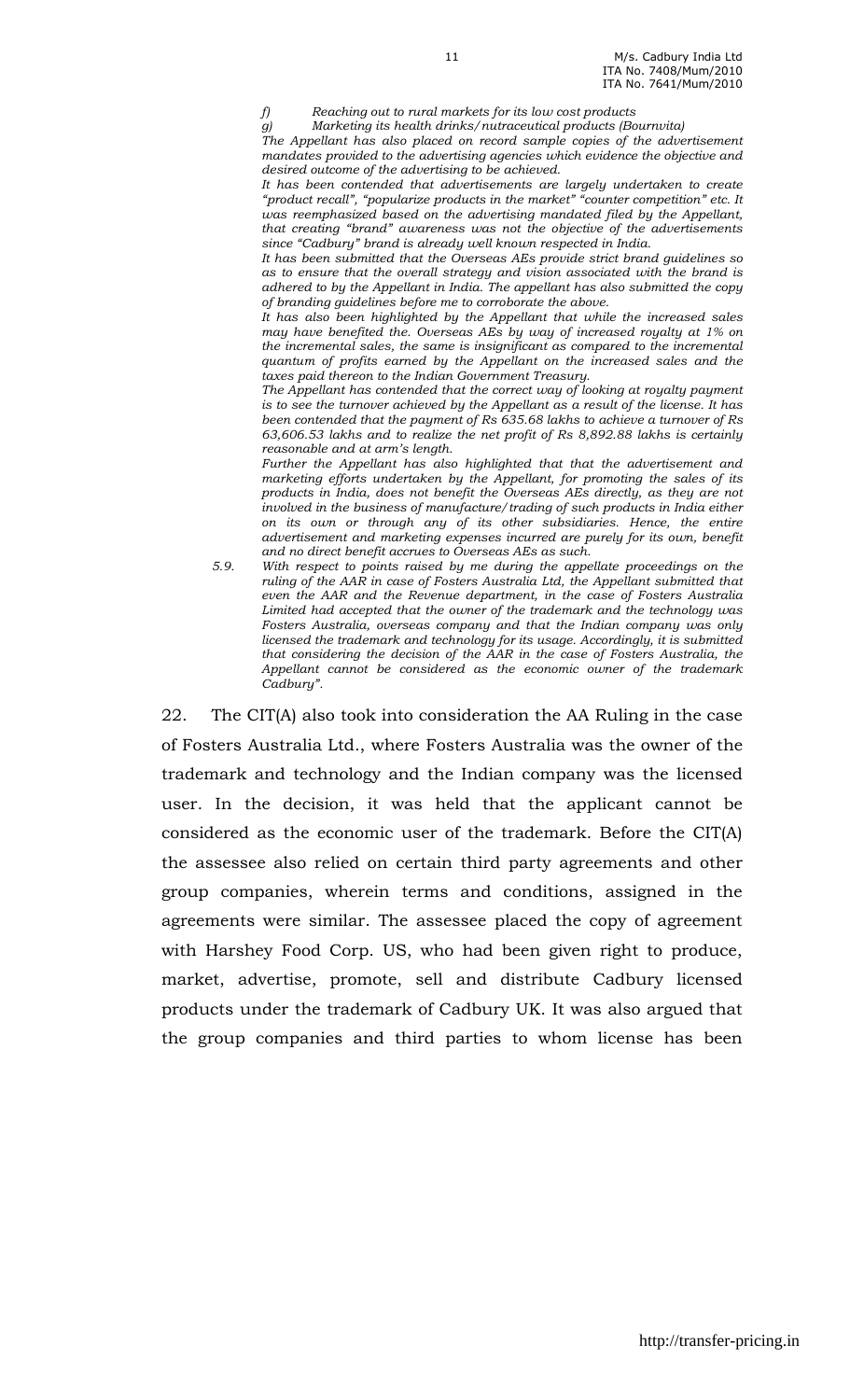f) Reaching out to rural markets for its low cost products

11

g) Marketing its health drinks/nutraceutical products (Bournvita) The Appellant has also placed on record sample copies of the advertisement mandates provided to the advertising agencies which evidence the objective and desired outcome of the advertising to be achieved.

It has been contended that advertisements are largely undertaken to create "product recall", "popularize products in the market" "counter competition" etc. It was reemphasized based on the advertising mandated filed by the Appellant, that creating "brand" awareness was not the objective of the advertisements since "Cadbury" brand is already well known respected in India.

It has been submitted that the Overseas AEs provide strict brand guidelines so as to ensure that the overall strategy and vision associated with the brand is adhered to by the Appellant in India. The appellant has also submitted the copy of branding guidelines before me to corroborate the above.

It has also been highlighted by the Appellant that while the increased sales may have benefited the. Overseas AEs by way of increased royalty at 1% on the incremental sales, the same is insignificant as compared to the incremental quantum of profits earned by the Appellant on the increased sales and the taxes paid thereon to the Indian Government Treasury.

The Appellant has contended that the correct way of looking at royalty payment is to see the turnover achieved by the Appellant as a result of the license. It has been contended that the payment of Rs 635.68 lakhs to achieve a turnover of Rs 63,606.53 lakhs and to realize the net profit of Rs 8,892.88 lakhs is certainly reasonable and at arm's length.

Further the Appellant has also highlighted that that the advertisement and marketing efforts undertaken by the Appellant, for promoting the sales of its products in India, does not benefit the Overseas AEs directly, as they are not involved in the business of manufacture/trading of such products in India either on its own or through any of its other subsidiaries. Hence, the entire advertisement and marketing expenses incurred are purely for its own, benefit and no direct benefit accrues to Overseas AEs as such.

5.9. With respect to points raised by me during the appellate proceedings on the ruling of the AAR in case of Fosters Australia Ltd, the Appellant submitted that even the AAR and the Revenue department, in the case of Fosters Australia Limited had accepted that the owner of the trademark and the technology was Fosters Australia, overseas company and that the Indian company was only licensed the trademark and technology for its usage. Accordingly, it is submitted that considering the decision of the AAR in the case of Fosters Australia, the Appellant cannot be considered as the economic owner of the trademark Cadbury".

22. The CIT(A) also took into consideration the AA Ruling in the case of Fosters Australia Ltd., where Fosters Australia was the owner of the trademark and technology and the Indian company was the licensed user. In the decision, it was held that the applicant cannot be considered as the economic user of the trademark. Before the CIT(A) the assessee also relied on certain third party agreements and other group companies, wherein terms and conditions, assigned in the agreements were similar. The assessee placed the copy of agreement with Harshey Food Corp. US, who had been given right to produce, market, advertise, promote, sell and distribute Cadbury licensed products under the trademark of Cadbury UK. It was also argued that the group companies and third parties to whom license has been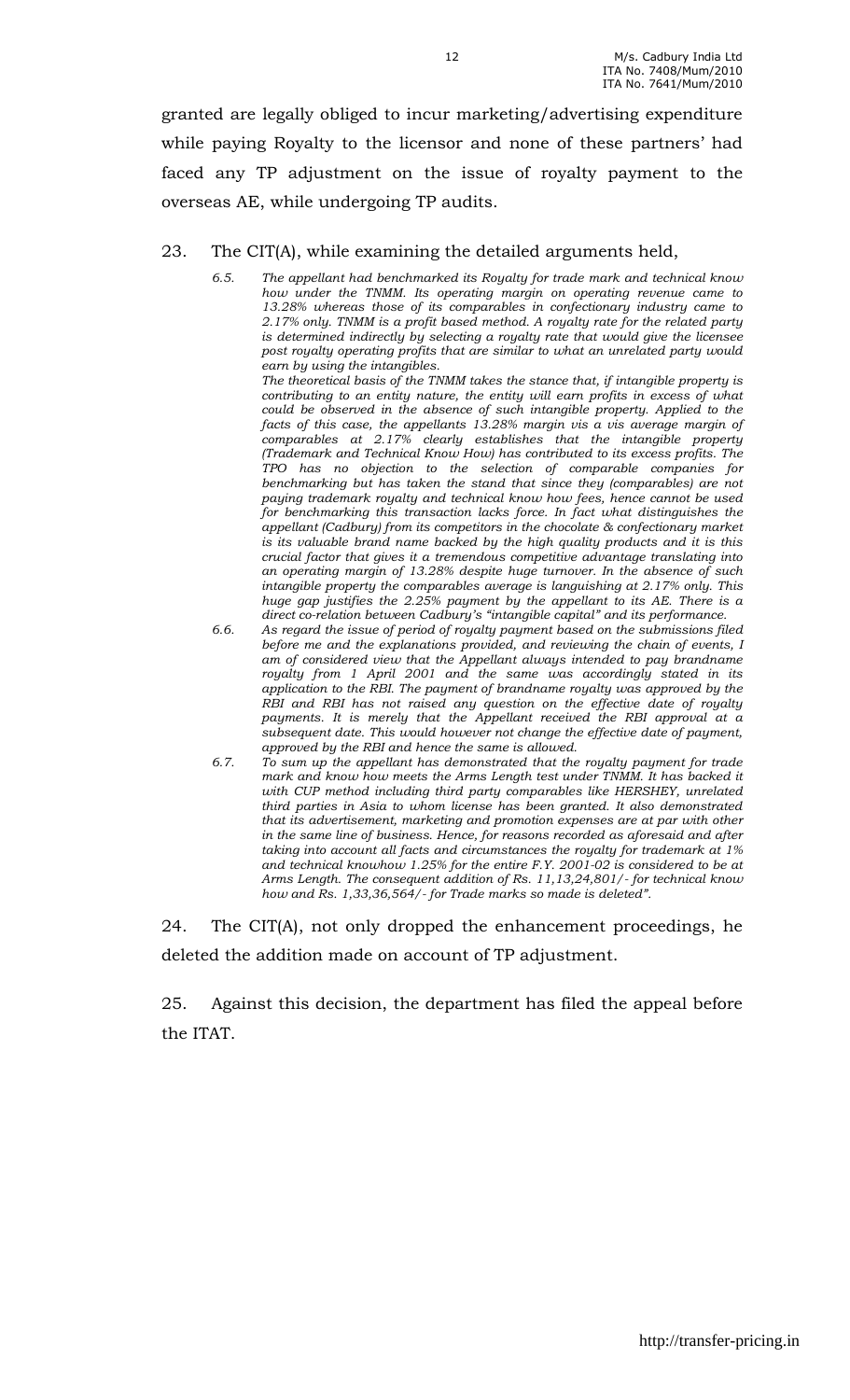granted are legally obliged to incur marketing/advertising expenditure while paying Royalty to the licensor and none of these partners' had faced any TP adjustment on the issue of royalty payment to the overseas AE, while undergoing TP audits.

#### 23. The CIT(A), while examining the detailed arguments held,

- 6.5. The appellant had benchmarked its Royalty for trade mark and technical know how under the TNMM. Its operating margin on operating revenue came to 13.28% whereas those of its comparables in confectionary industry came to 2.17% only. TNMM is a profit based method. A royalty rate for the related party is determined indirectly by selecting a royalty rate that would give the licensee post royalty operating profits that are similar to what an unrelated party would earn by using the intangibles. The theoretical basis of the TNMM takes the stance that, if intangible property is contributing to an entity nature, the entity will earn profits in excess of what could be observed in the absence of such intangible property. Applied to the facts of this case, the appellants 13.28% margin vis a vis average margin of comparables at 2.17% clearly establishes that the intangible property (Trademark and Technical Know How) has contributed to its excess profits. The TPO has no objection to the selection of comparable companies for benchmarking but has taken the stand that since they (comparables) are not paying trademark royalty and technical know how fees, hence cannot be used for benchmarking this transaction lacks force. In fact what distinguishes the appellant (Cadbury) from its competitors in the chocolate & confectionary market is its valuable brand name backed by the high quality products and it is this crucial factor that gives it a tremendous competitive advantage translating into an operating margin of 13.28% despite huge turnover. In the absence of such intangible property the comparables average is languishing at 2.17% only. This huge gap justifies the 2.25% payment by the appellant to its AE. There is a direct co-relation between Cadbury's "intangible capital" and its performance.
- 6.6. As regard the issue of period of royalty payment based on the submissions filed before me and the explanations provided, and reviewing the chain of events, I am of considered view that the Appellant always intended to pay brandname royalty from 1 April 2001 and the same was accordingly stated in its application to the RBI. The payment of brandname royalty was approved by the RBI and RBI has not raised any question on the effective date of royalty payments. It is merely that the Appellant received the RBI approval at a subsequent date. This would however not change the effective date of payment, approved by the RBI and hence the same is allowed.
- 6.7. To sum up the appellant has demonstrated that the royalty payment for trade mark and know how meets the Arms Length test under TNMM. It has backed it with CUP method including third party comparables like HERSHEY, unrelated third parties in Asia to whom license has been granted. It also demonstrated that its advertisement, marketing and promotion expenses are at par with other in the same line of business. Hence, for reasons recorded as aforesaid and after taking into account all facts and circumstances the royalty for trademark at 1% and technical knowhow 1.25% for the entire F.Y. 2001-02 is considered to be at Arms Length. The consequent addition of Rs. 11,13,24,801/- for technical know how and Rs. 1,33,36,564/- for Trade marks so made is deleted".

24. The CIT(A), not only dropped the enhancement proceedings, he deleted the addition made on account of TP adjustment.

25. Against this decision, the department has filed the appeal before the ITAT.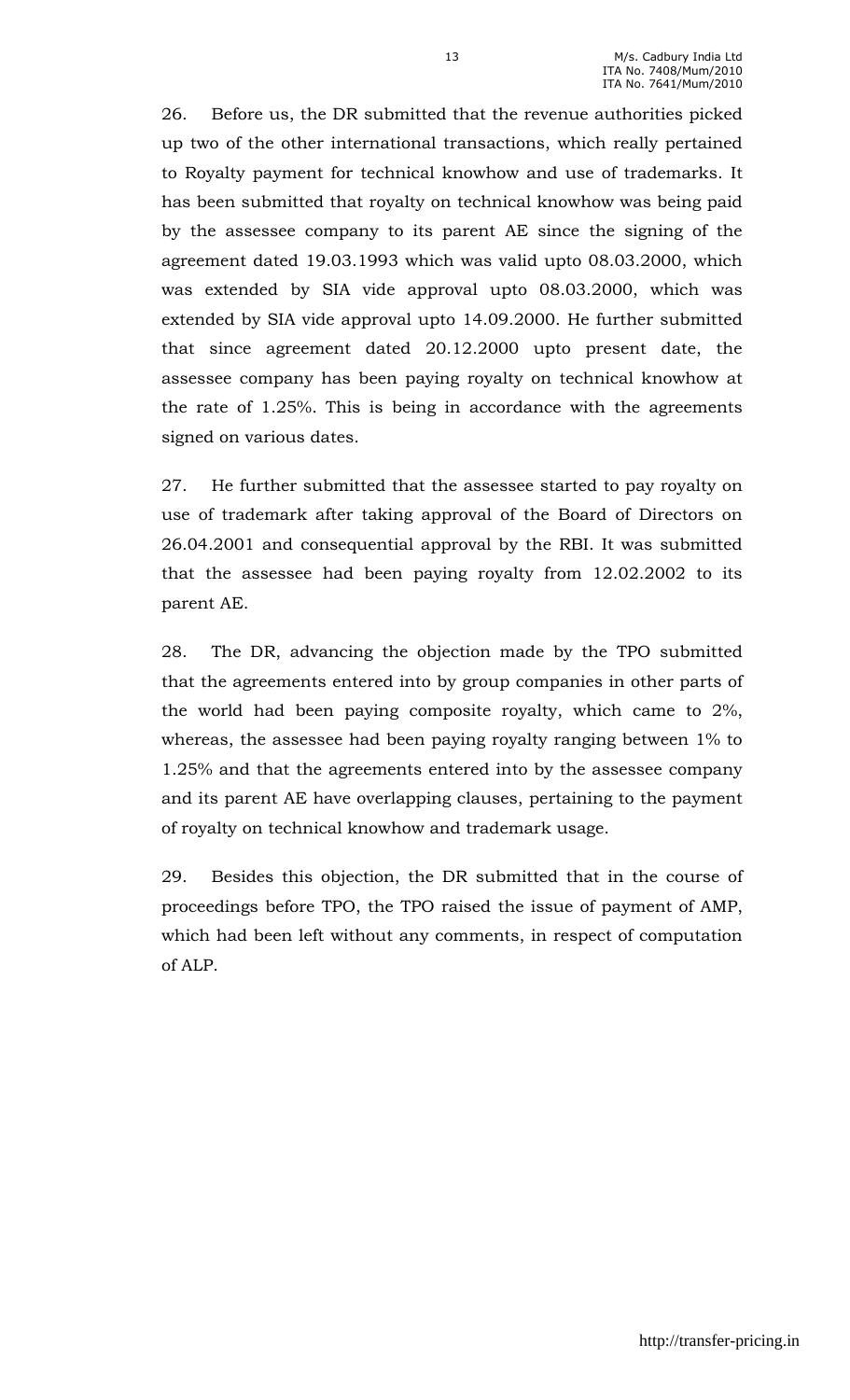26. Before us, the DR submitted that the revenue authorities picked up two of the other international transactions, which really pertained to Royalty payment for technical knowhow and use of trademarks. It has been submitted that royalty on technical knowhow was being paid by the assessee company to its parent AE since the signing of the agreement dated 19.03.1993 which was valid upto 08.03.2000, which was extended by SIA vide approval upto 08.03.2000, which was extended by SIA vide approval upto 14.09.2000. He further submitted that since agreement dated 20.12.2000 upto present date, the assessee company has been paying royalty on technical knowhow at the rate of 1.25%. This is being in accordance with the agreements signed on various dates.

27. He further submitted that the assessee started to pay royalty on use of trademark after taking approval of the Board of Directors on 26.04.2001 and consequential approval by the RBI. It was submitted that the assessee had been paying royalty from 12.02.2002 to its parent AE.

28. The DR, advancing the objection made by the TPO submitted that the agreements entered into by group companies in other parts of the world had been paying composite royalty, which came to 2%, whereas, the assessee had been paying royalty ranging between 1% to 1.25% and that the agreements entered into by the assessee company and its parent AE have overlapping clauses, pertaining to the payment of royalty on technical knowhow and trademark usage.

29. Besides this objection, the DR submitted that in the course of proceedings before TPO, the TPO raised the issue of payment of AMP, which had been left without any comments, in respect of computation of ALP.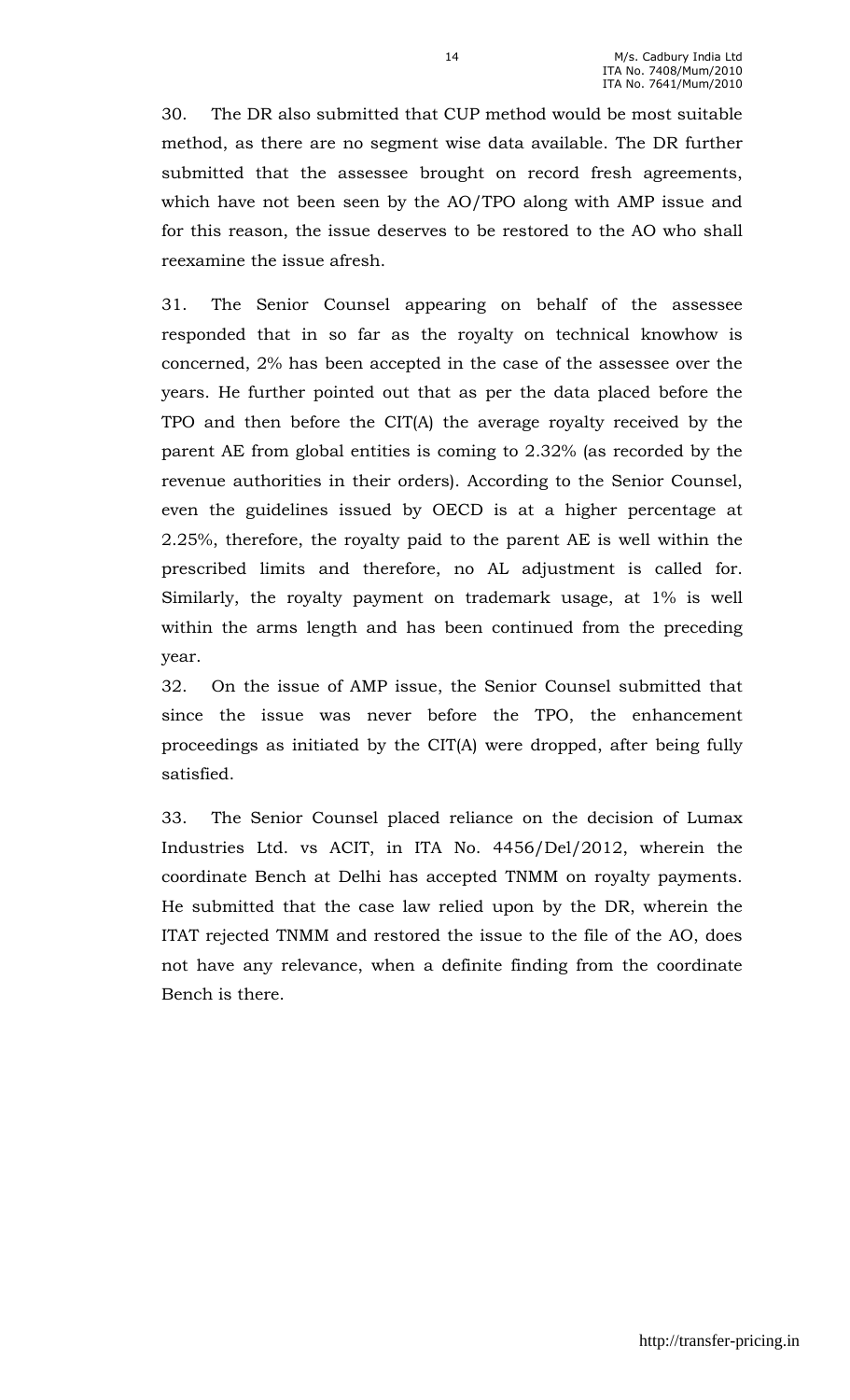30. The DR also submitted that CUP method would be most suitable method, as there are no segment wise data available. The DR further submitted that the assessee brought on record fresh agreements, which have not been seen by the AO/TPO along with AMP issue and for this reason, the issue deserves to be restored to the AO who shall reexamine the issue afresh.

31. The Senior Counsel appearing on behalf of the assessee responded that in so far as the royalty on technical knowhow is concerned, 2% has been accepted in the case of the assessee over the years. He further pointed out that as per the data placed before the TPO and then before the CIT(A) the average royalty received by the parent AE from global entities is coming to 2.32% (as recorded by the revenue authorities in their orders). According to the Senior Counsel, even the guidelines issued by OECD is at a higher percentage at 2.25%, therefore, the royalty paid to the parent AE is well within the prescribed limits and therefore, no AL adjustment is called for. Similarly, the royalty payment on trademark usage, at 1% is well within the arms length and has been continued from the preceding year.

32. On the issue of AMP issue, the Senior Counsel submitted that since the issue was never before the TPO, the enhancement proceedings as initiated by the CIT(A) were dropped, after being fully satisfied.

33. The Senior Counsel placed reliance on the decision of Lumax Industries Ltd. vs ACIT, in ITA No. 4456/Del/2012, wherein the coordinate Bench at Delhi has accepted TNMM on royalty payments. He submitted that the case law relied upon by the DR, wherein the ITAT rejected TNMM and restored the issue to the file of the AO, does not have any relevance, when a definite finding from the coordinate Bench is there.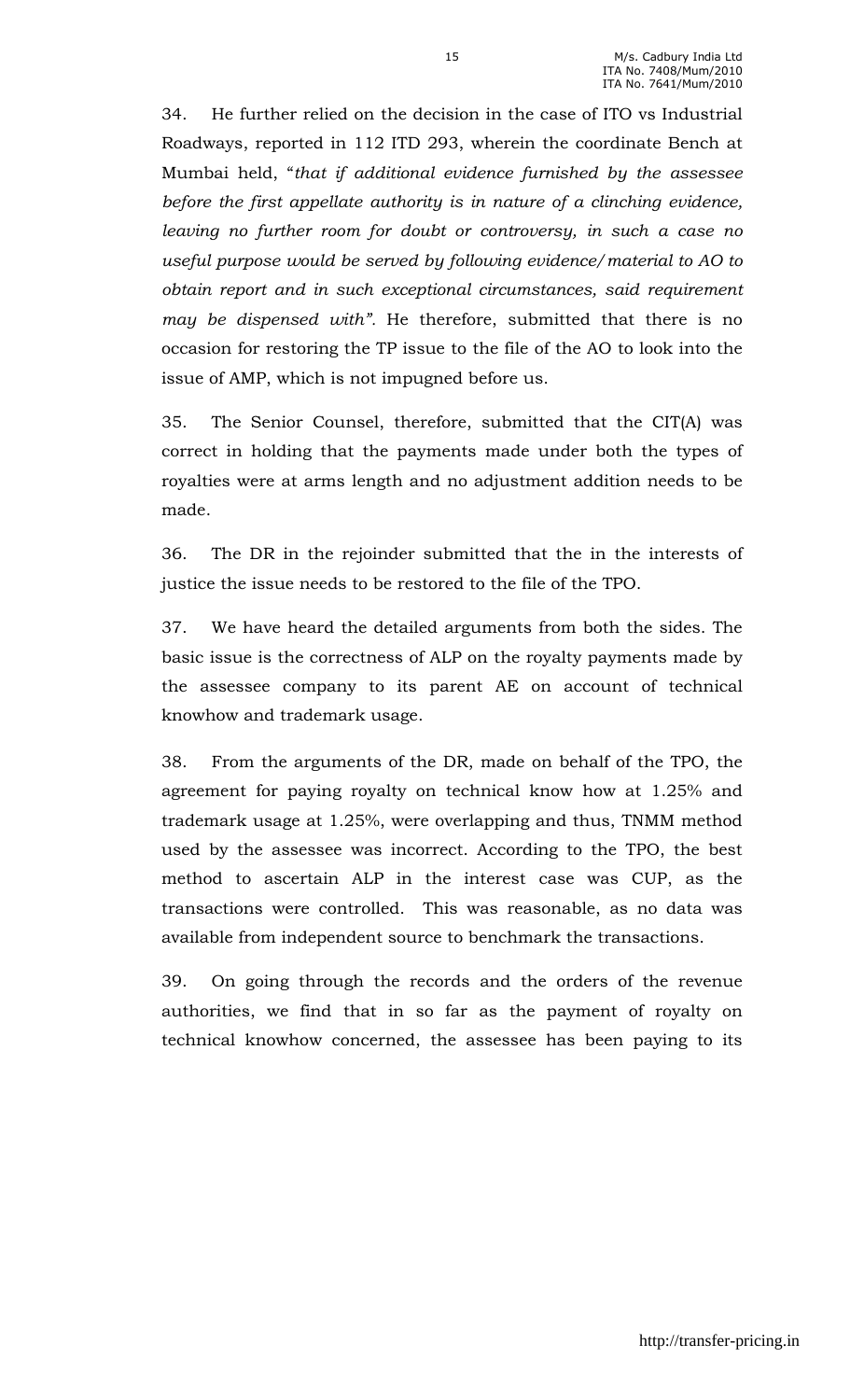34. He further relied on the decision in the case of ITO vs Industrial Roadways, reported in 112 ITD 293, wherein the coordinate Bench at Mumbai held, "that if additional evidence furnished by the assessee before the first appellate authority is in nature of a clinching evidence, leaving no further room for doubt or controversy, in such a case no useful purpose would be served by following evidence/material to AO to obtain report and in such exceptional circumstances, said requirement may be dispensed with". He therefore, submitted that there is no occasion for restoring the TP issue to the file of the AO to look into the issue of AMP, which is not impugned before us.

35. The Senior Counsel, therefore, submitted that the CIT(A) was correct in holding that the payments made under both the types of royalties were at arms length and no adjustment addition needs to be made.

36. The DR in the rejoinder submitted that the in the interests of justice the issue needs to be restored to the file of the TPO.

37. We have heard the detailed arguments from both the sides. The basic issue is the correctness of ALP on the royalty payments made by the assessee company to its parent AE on account of technical knowhow and trademark usage.

38. From the arguments of the DR, made on behalf of the TPO, the agreement for paying royalty on technical know how at 1.25% and trademark usage at 1.25%, were overlapping and thus, TNMM method used by the assessee was incorrect. According to the TPO, the best method to ascertain ALP in the interest case was CUP, as the transactions were controlled. This was reasonable, as no data was available from independent source to benchmark the transactions.

39. On going through the records and the orders of the revenue authorities, we find that in so far as the payment of royalty on technical knowhow concerned, the assessee has been paying to its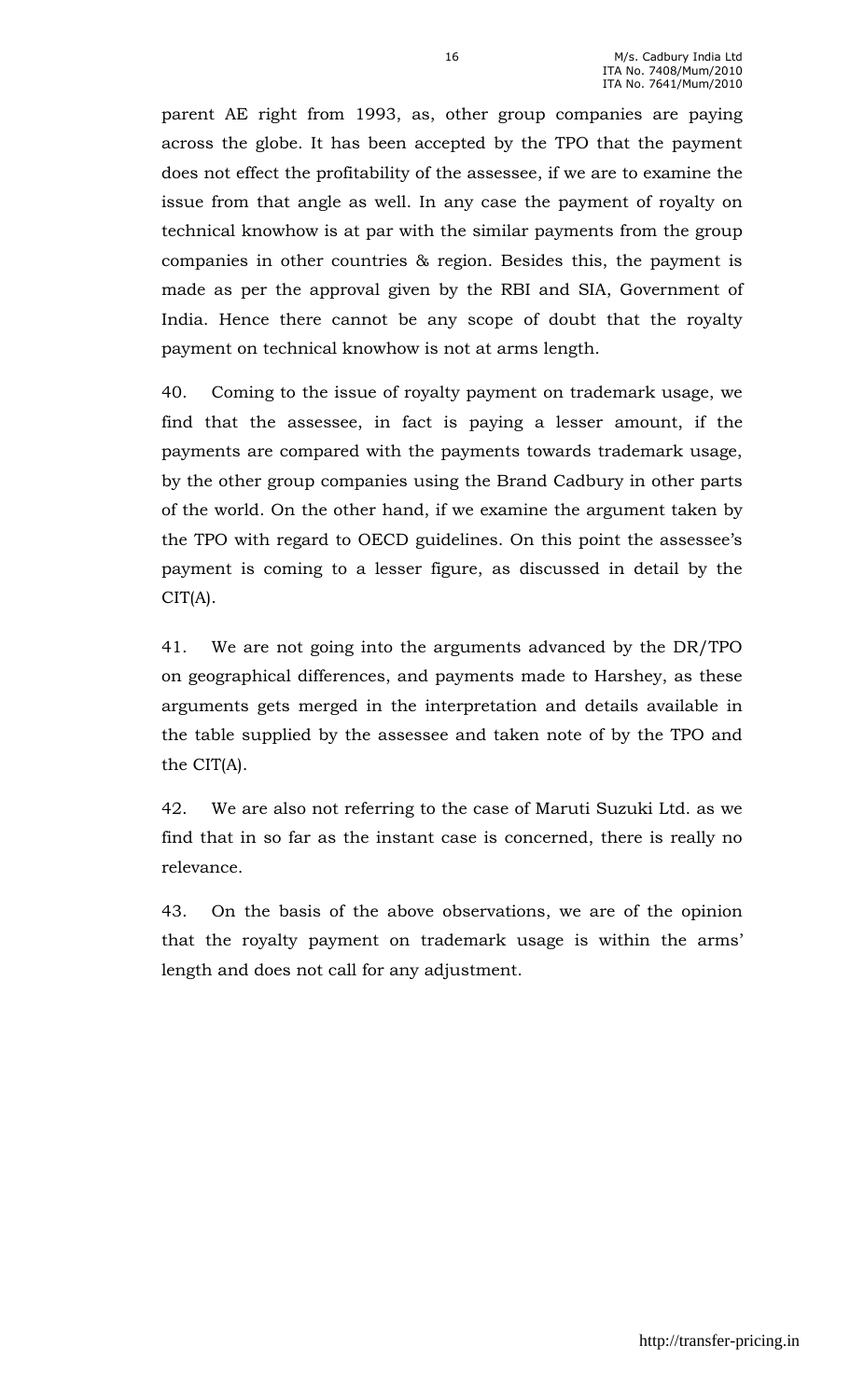parent AE right from 1993, as, other group companies are paying across the globe. It has been accepted by the TPO that the payment does not effect the profitability of the assessee, if we are to examine the issue from that angle as well. In any case the payment of royalty on technical knowhow is at par with the similar payments from the group companies in other countries & region. Besides this, the payment is made as per the approval given by the RBI and SIA, Government of India. Hence there cannot be any scope of doubt that the royalty payment on technical knowhow is not at arms length.

40. Coming to the issue of royalty payment on trademark usage, we find that the assessee, in fact is paying a lesser amount, if the payments are compared with the payments towards trademark usage, by the other group companies using the Brand Cadbury in other parts of the world. On the other hand, if we examine the argument taken by the TPO with regard to OECD guidelines. On this point the assessee's payment is coming to a lesser figure, as discussed in detail by the CIT(A).

41. We are not going into the arguments advanced by the DR/TPO on geographical differences, and payments made to Harshey, as these arguments gets merged in the interpretation and details available in the table supplied by the assessee and taken note of by the TPO and the CIT(A).

42. We are also not referring to the case of Maruti Suzuki Ltd. as we find that in so far as the instant case is concerned, there is really no relevance.

43. On the basis of the above observations, we are of the opinion that the royalty payment on trademark usage is within the arms' length and does not call for any adjustment.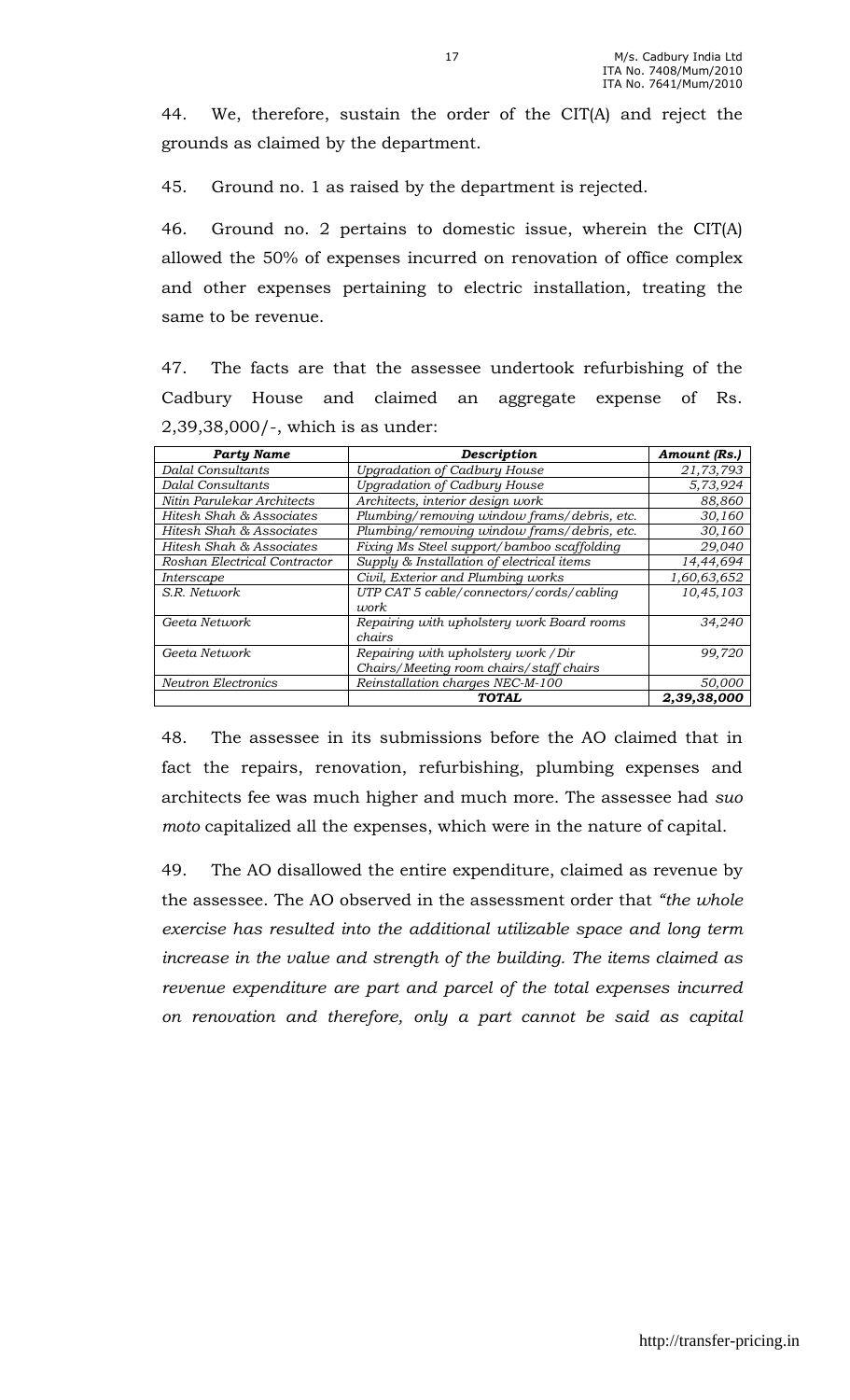44. We, therefore, sustain the order of the CIT(A) and reject the grounds as claimed by the department.

45. Ground no. 1 as raised by the department is rejected.

46. Ground no. 2 pertains to domestic issue, wherein the CIT(A) allowed the 50% of expenses incurred on renovation of office complex and other expenses pertaining to electric installation, treating the same to be revenue.

47. The facts are that the assessee undertook refurbishing of the Cadbury House and claimed an aggregate expense of Rs. 2,39,38,000/-, which is as under:

| <b>Party Name</b>            | <b>Description</b>                                                              | Amount (Rs.) |
|------------------------------|---------------------------------------------------------------------------------|--------------|
| <b>Dalal Consultants</b>     | <b>Upgradation of Cadbury House</b>                                             | 21,73,793    |
| <b>Dalal Consultants</b>     | <b>Upgradation of Cadbury House</b>                                             | 5,73,924     |
| Nitin Parulekar Architects   | Architects, interior design work                                                | 88,860       |
| Hitesh Shah & Associates     | Plumbing/removing window frams/debris, etc.                                     | 30,160       |
| Hitesh Shah & Associates     | Plumbing/removing window frams/debris, etc.                                     | 30,160       |
| Hitesh Shah & Associates     | Fixing Ms Steel support/bamboo scaffolding                                      | 29,040       |
| Roshan Electrical Contractor | Supply & Installation of electrical items                                       | 14,44,694    |
| Interscape                   | Civil, Exterior and Plumbing works                                              | 1,60,63,652  |
| S.R. Network                 | UTP CAT 5 cable/connectors/cords/cabling<br><i>work</i>                         | 10,45,103    |
| Geeta Network                | Repairing with upholstery work Board rooms<br>chairs                            | 34.240       |
| Geeta Network                | Repairing with upholstery work / Dir<br>Chairs/Meeting room chairs/staff chairs | 99,720       |
| <b>Neutron Electronics</b>   | Reinstallation charges NEC-M-100                                                | 50,000       |
|                              | <b>TOTAL</b>                                                                    | 2,39,38,000  |

48. The assessee in its submissions before the AO claimed that in fact the repairs, renovation, refurbishing, plumbing expenses and architects fee was much higher and much more. The assessee had suo moto capitalized all the expenses, which were in the nature of capital.

49. The AO disallowed the entire expenditure, claimed as revenue by the assessee. The AO observed in the assessment order that "the whole exercise has resulted into the additional utilizable space and long term increase in the value and strength of the building. The items claimed as revenue expenditure are part and parcel of the total expenses incurred on renovation and therefore, only a part cannot be said as capital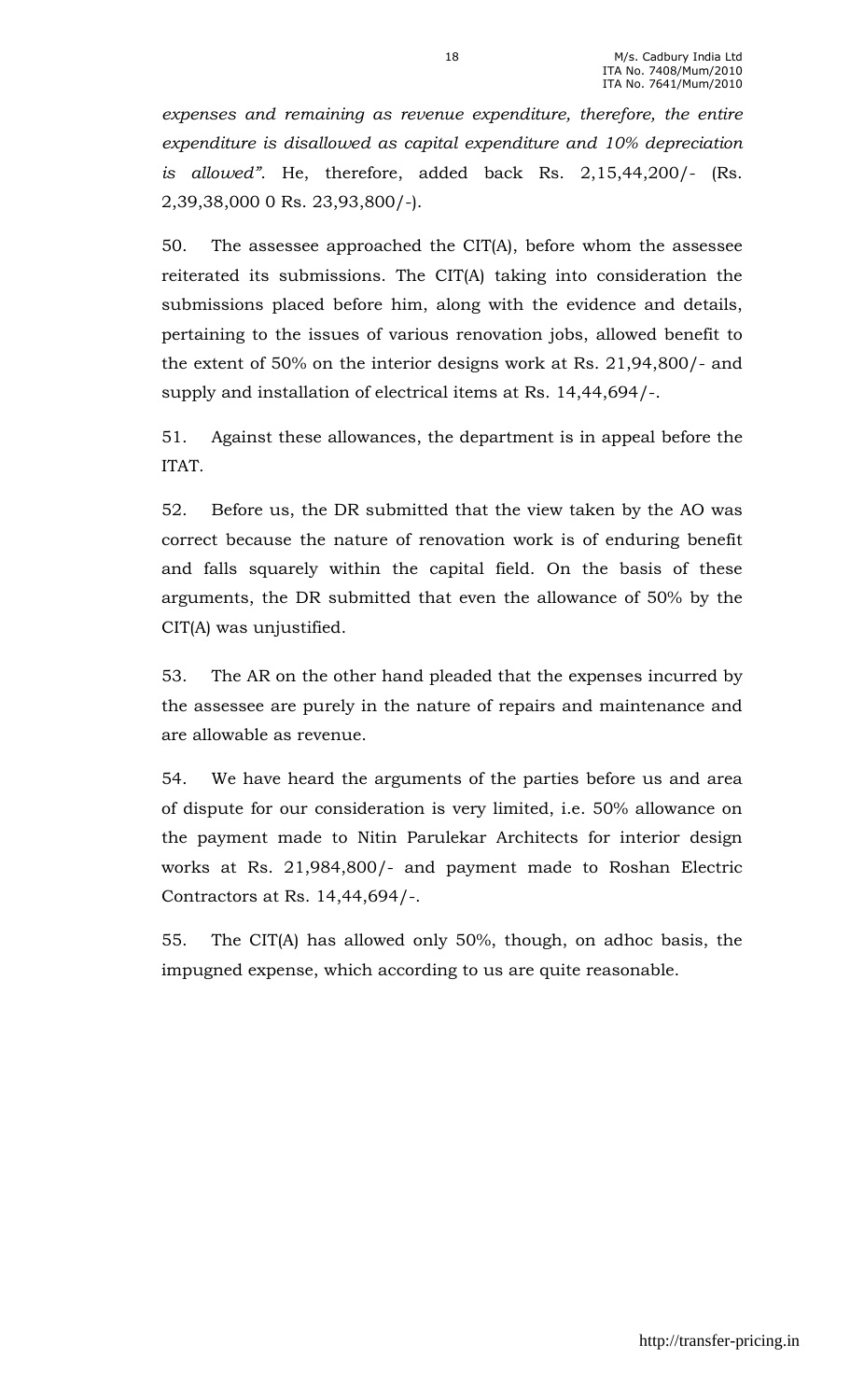expenses and remaining as revenue expenditure, therefore, the entire expenditure is disallowed as capital expenditure and 10% depreciation is allowed". He, therefore, added back Rs. 2,15,44,200/- (Rs. 2,39,38,000 0 Rs. 23,93,800/-).

50. The assessee approached the CIT(A), before whom the assessee reiterated its submissions. The CIT(A) taking into consideration the submissions placed before him, along with the evidence and details, pertaining to the issues of various renovation jobs, allowed benefit to the extent of 50% on the interior designs work at Rs. 21,94,800/- and supply and installation of electrical items at Rs. 14,44,694/-.

51. Against these allowances, the department is in appeal before the ITAT.

52. Before us, the DR submitted that the view taken by the AO was correct because the nature of renovation work is of enduring benefit and falls squarely within the capital field. On the basis of these arguments, the DR submitted that even the allowance of 50% by the CIT(A) was unjustified.

53. The AR on the other hand pleaded that the expenses incurred by the assessee are purely in the nature of repairs and maintenance and are allowable as revenue.

54. We have heard the arguments of the parties before us and area of dispute for our consideration is very limited, i.e. 50% allowance on the payment made to Nitin Parulekar Architects for interior design works at Rs. 21,984,800/- and payment made to Roshan Electric Contractors at Rs. 14,44,694/-.

55. The CIT(A) has allowed only 50%, though, on adhoc basis, the impugned expense, which according to us are quite reasonable.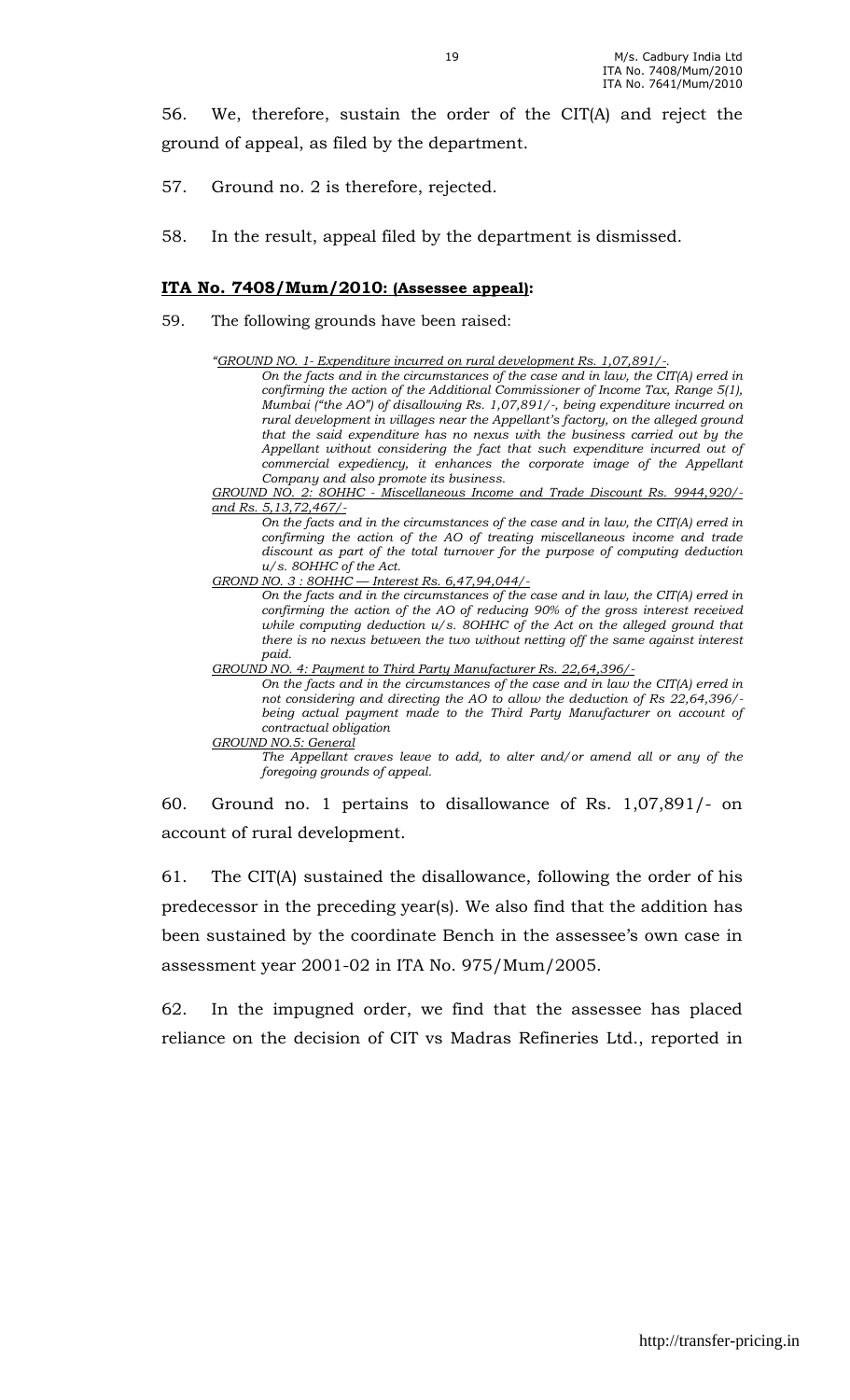56. We, therefore, sustain the order of the CIT(A) and reject the ground of appeal, as filed by the department.

- 57. Ground no. 2 is therefore, rejected.
- 58. In the result, appeal filed by the department is dismissed.

#### ITA No. 7408/Mum/2010: (Assessee appeal):

- 59. The following grounds have been raised:
	- "GROUND NO. 1- Expenditure incurred on rural development Rs. 1,07,891/-.

On the facts and in the circumstances of the case and in law, the CIT(A) erred in confirming the action of the Additional Commissioner of Income Tax, Range 5(1), Mumbai ("the AO") of disallowing Rs. 1,07,891/-, being expenditure incurred on rural development in villages near the Appellant's factory, on the alleged ground that the said expenditure has no nexus with the business carried out by the Appellant without considering the fact that such expenditure incurred out of commercial expediency, it enhances the corporate image of the Appellant Company and also promote its business.

GROUND NO. 2: 8OHHC - Miscellaneous Income and Trade Discount Rs. 9944,920/ and Rs. 5,13,72,467/-

On the facts and in the circumstances of the case and in law, the CIT(A) erred in confirming the action of the AO of treating miscellaneous income and trade discount as part of the total turnover for the purpose of computing deduction u/s. 8OHHC of the Act.

GROND NO. 3 : 8OHHC — Interest Rs. 6,47,94,044/-

On the facts and in the circumstances of the case and in law, the CIT(A) erred in confirming the action of the AO of reducing 90% of the gross interest received while computing deduction u/s. 8OHHC of the Act on the alleged ground that there is no nexus between the two without netting off the same against interest paid.

GROUND NO. 4: Payment to Third Party Manufacturer Rs. 22,64,396/-

On the facts and in the circumstances of the case and in law the CIT(A) erred in not considering and directing the AO to allow the deduction of Rs 22,64,396/ being actual payment made to the Third Party Manufacturer on account of contractual obligation

GROUND NO.5: General The Appellant craves leave to add, to alter and/or amend all or any of the foregoing grounds of appeal.

60. Ground no. 1 pertains to disallowance of Rs. 1,07,891/- on account of rural development.

61. The CIT(A) sustained the disallowance, following the order of his predecessor in the preceding year(s). We also find that the addition has been sustained by the coordinate Bench in the assessee's own case in assessment year 2001-02 in ITA No. 975/Mum/2005.

62. In the impugned order, we find that the assessee has placed reliance on the decision of CIT vs Madras Refineries Ltd., reported in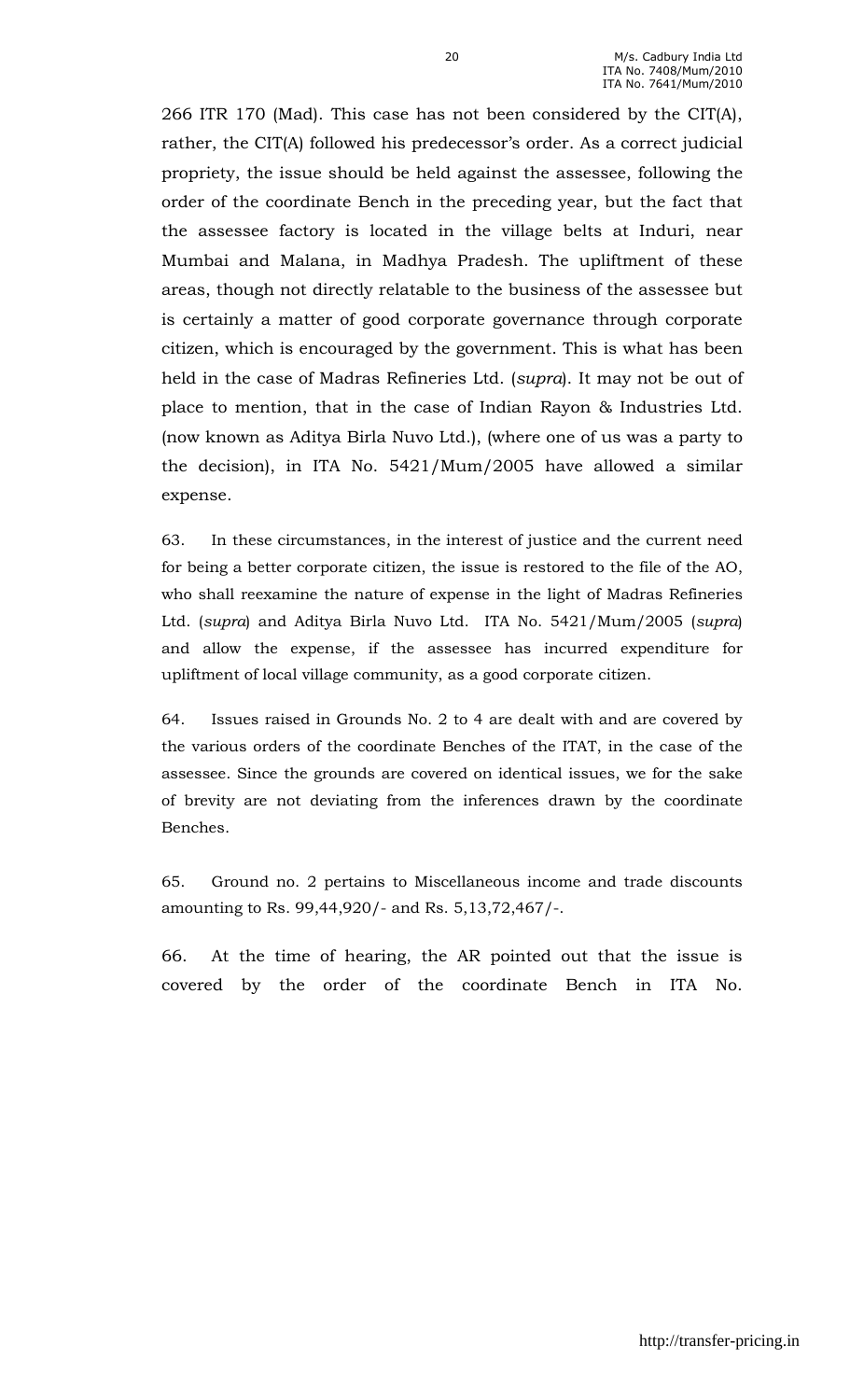266 ITR 170 (Mad). This case has not been considered by the CIT(A), rather, the CIT(A) followed his predecessor's order. As a correct judicial propriety, the issue should be held against the assessee, following the order of the coordinate Bench in the preceding year, but the fact that the assessee factory is located in the village belts at Induri, near Mumbai and Malana, in Madhya Pradesh. The upliftment of these areas, though not directly relatable to the business of the assessee but is certainly a matter of good corporate governance through corporate citizen, which is encouraged by the government. This is what has been held in the case of Madras Refineries Ltd. (supra). It may not be out of place to mention, that in the case of Indian Rayon & Industries Ltd. (now known as Aditya Birla Nuvo Ltd.), (where one of us was a party to the decision), in ITA No. 5421/Mum/2005 have allowed a similar expense.

63. In these circumstances, in the interest of justice and the current need for being a better corporate citizen, the issue is restored to the file of the AO, who shall reexamine the nature of expense in the light of Madras Refineries Ltd. (supra) and Aditya Birla Nuvo Ltd. ITA No. 5421/Mum/2005 (supra) and allow the expense, if the assessee has incurred expenditure for upliftment of local village community, as a good corporate citizen.

64. Issues raised in Grounds No. 2 to 4 are dealt with and are covered by the various orders of the coordinate Benches of the ITAT, in the case of the assessee. Since the grounds are covered on identical issues, we for the sake of brevity are not deviating from the inferences drawn by the coordinate Benches.

65. Ground no. 2 pertains to Miscellaneous income and trade discounts amounting to Rs. 99,44,920/- and Rs. 5,13,72,467/-.

66. At the time of hearing, the AR pointed out that the issue is covered by the order of the coordinate Bench in ITA No.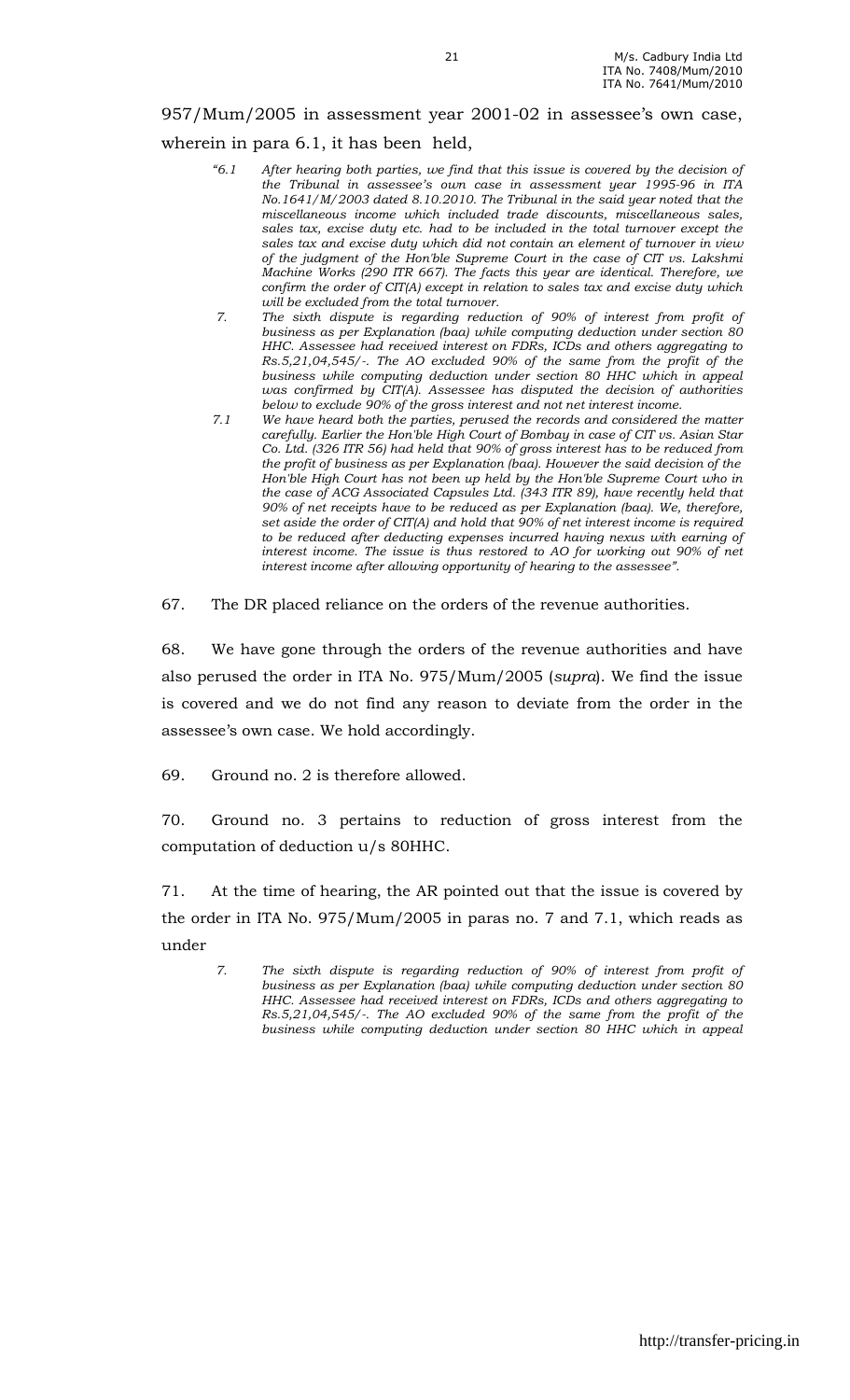# 957/Mum/2005 in assessment year 2001-02 in assessee's own case, wherein in para 6.1, it has been held,

- "6.1 After hearing both parties, we find that this issue is covered by the decision of the Tribunal in assessee's own case in assessment year 1995-96 in ITA No.1641/M/2003 dated 8.10.2010. The Tribunal in the said year noted that the miscellaneous income which included trade discounts, miscellaneous sales, sales tax, excise duty etc. had to be included in the total turnover except the sales tax and excise duty which did not contain an element of turnover in view of the judgment of the Hon'ble Supreme Court in the case of CIT vs. Lakshmi Machine Works (290 ITR 667). The facts this year are identical. Therefore, we confirm the order of CIT(A) except in relation to sales tax and excise duty which will be excluded from the total turnover.
- 7. The sixth dispute is regarding reduction of 90% of interest from profit of business as per Explanation (baa) while computing deduction under section 80 HHC. Assessee had received interest on FDRs, ICDs and others aggregating to Rs.5,21,04,545/-. The AO excluded 90% of the same from the profit of the business while computing deduction under section 80 HHC which in appeal was confirmed by CIT(A). Assessee has disputed the decision of authorities below to exclude 90% of the gross interest and not net interest income.
- 7.1 We have heard both the parties, perused the records and considered the matter carefully. Earlier the Hon'ble High Court of Bombay in case of CIT vs. Asian Star Co. Ltd. (326 ITR 56) had held that 90% of gross interest has to be reduced from the profit of business as per Explanation (baa). However the said decision of the Hon'ble High Court has not been up held by the Hon'ble Supreme Court who in the case of ACG Associated Capsules Ltd. (343 ITR 89), have recently held that 90% of net receipts have to be reduced as per Explanation (baa). We, therefore, set aside the order of CIT(A) and hold that 90% of net interest income is required to be reduced after deducting expenses incurred having nexus with earning of interest income. The issue is thus restored to AO for working out 90% of net interest income after allowing opportunity of hearing to the assessee".
- 67. The DR placed reliance on the orders of the revenue authorities.

68. We have gone through the orders of the revenue authorities and have also perused the order in ITA No. 975/Mum/2005 (supra). We find the issue is covered and we do not find any reason to deviate from the order in the assessee's own case. We hold accordingly.

69. Ground no. 2 is therefore allowed.

70. Ground no. 3 pertains to reduction of gross interest from the computation of deduction u/s 80HHC.

71. At the time of hearing, the AR pointed out that the issue is covered by the order in ITA No. 975/Mum/2005 in paras no. 7 and 7.1, which reads as under

7. The sixth dispute is regarding reduction of 90% of interest from profit of business as per Explanation (baa) while computing deduction under section 80 HHC. Assessee had received interest on FDRs, ICDs and others aggregating to Rs.5,21,04,545/-. The AO excluded 90% of the same from the profit of the business while computing deduction under section 80 HHC which in appeal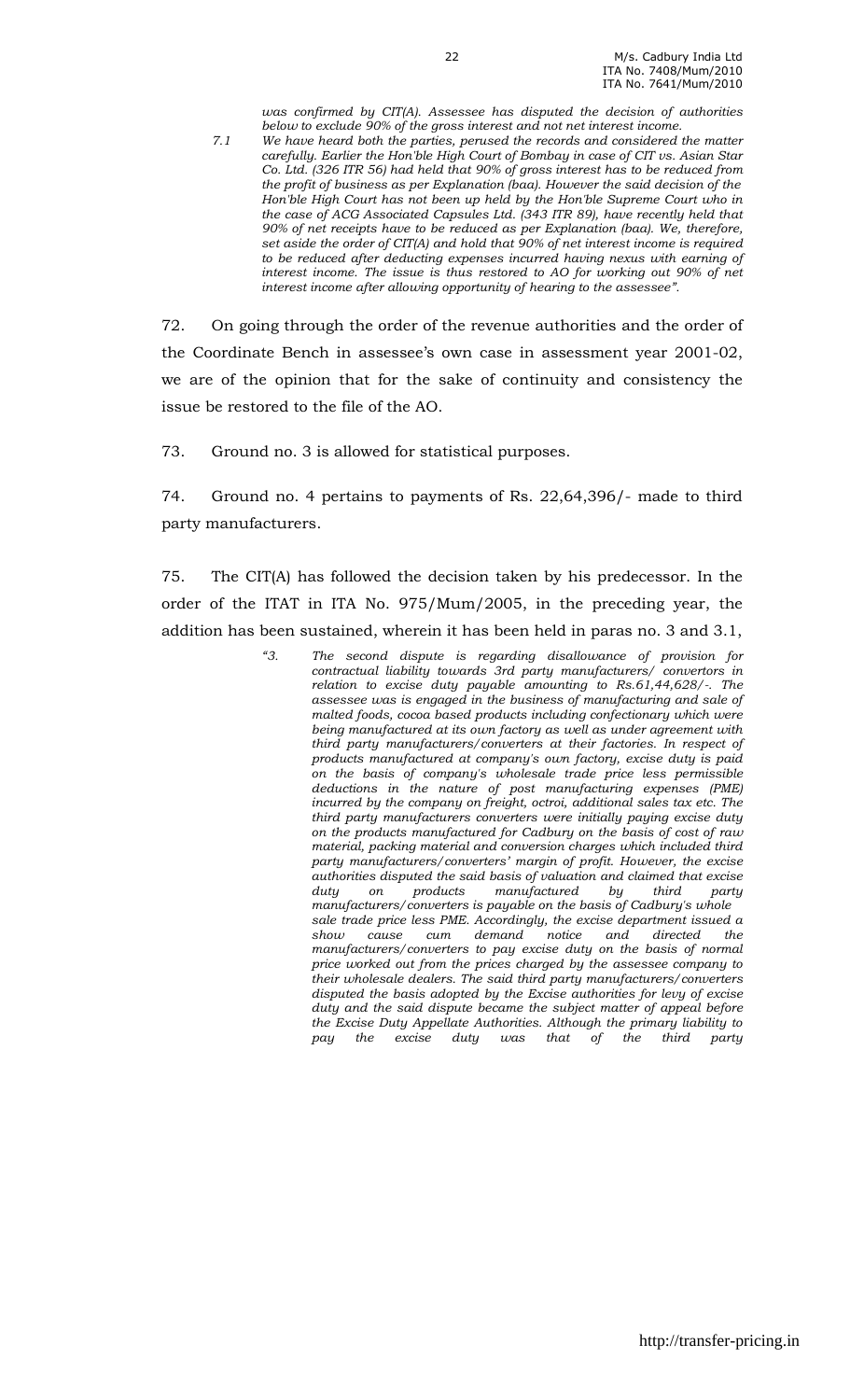was confirmed by CIT(A). Assessee has disputed the decision of authorities below to exclude 90% of the gross interest and not net interest income.

7.1 We have heard both the parties, perused the records and considered the matter carefully. Earlier the Hon'ble High Court of Bombay in case of CIT vs. Asian Star Co. Ltd. (326 ITR 56) had held that 90% of gross interest has to be reduced from the profit of business as per Explanation (baa). However the said decision of the Hon'ble High Court has not been up held by the Hon'ble Supreme Court who in the case of ACG Associated Capsules Ltd. (343 ITR 89), have recently held that 90% of net receipts have to be reduced as per Explanation (baa). We, therefore, set aside the order of CIT(A) and hold that 90% of net interest income is required to be reduced after deducting expenses incurred having nexus with earning of interest income. The issue is thus restored to AO for working out 90% of net interest income after allowing opportunity of hearing to the assessee".

72. On going through the order of the revenue authorities and the order of the Coordinate Bench in assessee's own case in assessment year 2001-02, we are of the opinion that for the sake of continuity and consistency the issue be restored to the file of the AO.

73. Ground no. 3 is allowed for statistical purposes.

74. Ground no. 4 pertains to payments of Rs. 22,64,396/- made to third party manufacturers.

75. The CIT(A) has followed the decision taken by his predecessor. In the order of the ITAT in ITA No. 975/Mum/2005, in the preceding year, the addition has been sustained, wherein it has been held in paras no. 3 and 3.1,

> "3. The second dispute is regarding disallowance of provision for contractual liability towards 3rd party manufacturers/ convertors in relation to excise duty payable amounting to Rs.61,44,628/-. The assessee was is engaged in the business of manufacturing and sale of malted foods, cocoa based products including confectionary which were being manufactured at its own factory as well as under agreement with third party manufacturers/converters at their factories. In respect of products manufactured at company's own factory, excise duty is paid on the basis of company's wholesale trade price less permissible deductions in the nature of post manufacturing expenses (PME) incurred by the company on freight, octroi, additional sales tax etc. The third party manufacturers converters were initially paying excise duty on the products manufactured for Cadbury on the basis of cost of raw material, packing material and conversion charges which included third party manufacturers/converters' margin of profit. However, the excise authorities disputed the said basis of valuation and claimed that excise<br>duty on products manufactured by third party duty on products manufactured by third party manufacturers/converters is payable on the basis of Cadbury's whole sale trade price less PME. Accordingly, the excise department issued a show cause cum demand notice and directed the manufacturers/converters to pay excise duty on the basis of normal price worked out from the prices charged by the assessee company to their wholesale dealers. The said third party manufacturers/converters disputed the basis adopted by the Excise authorities for levy of excise duty and the said dispute became the subject matter of appeal before the Excise Duty Appellate Authorities. Although the primary liability to<br>pay the excise duty was that of the third party pay the excise duty was that of the third party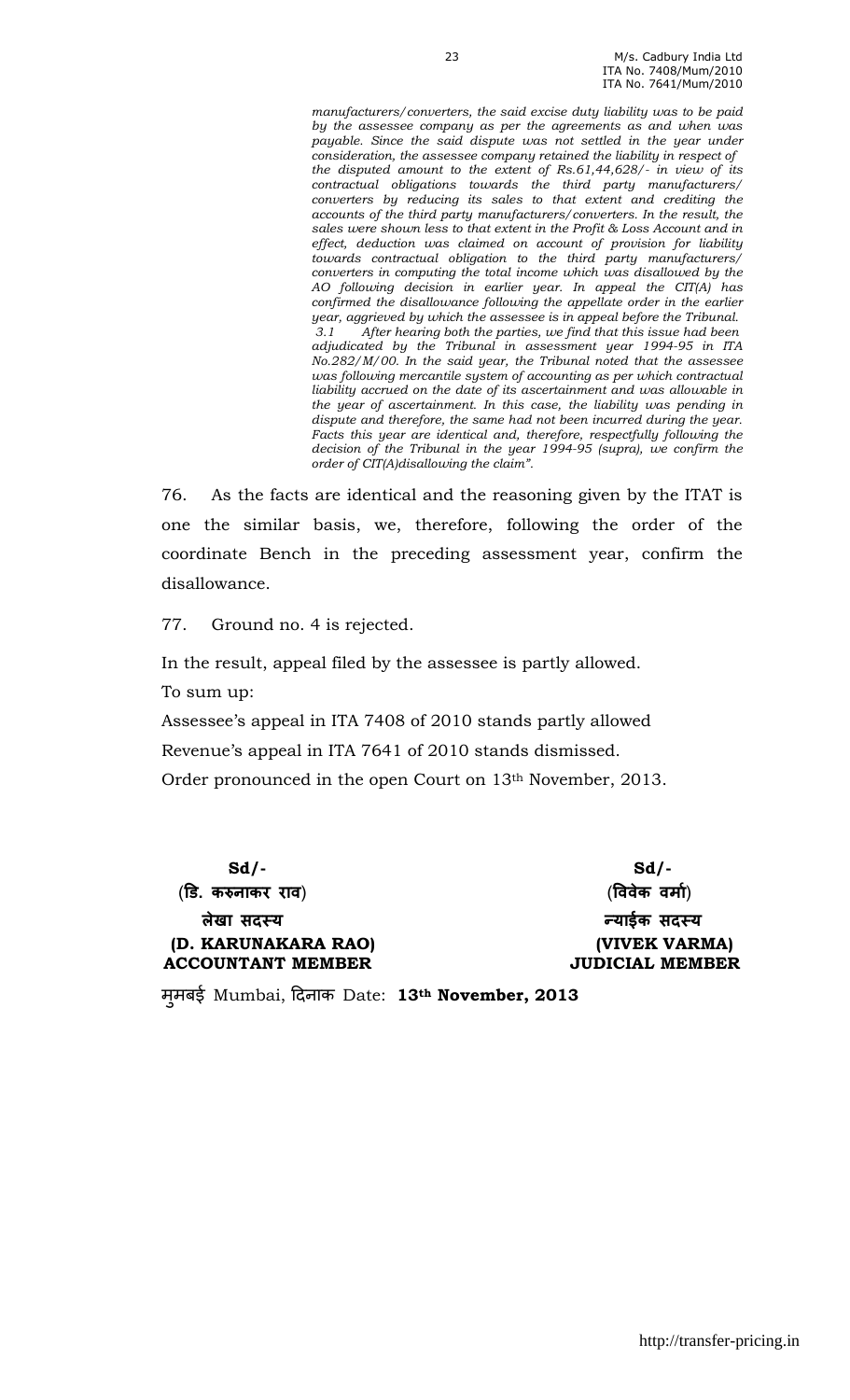manufacturers/converters, the said excise duty liability was to be paid by the assessee company as per the agreements as and when was payable. Since the said dispute was not settled in the year under consideration, the assessee company retained the liability in respect of the disputed amount to the extent of Rs.61,44,628/- in view of its contractual obligations towards the third party manufacturers/ converters by reducing its sales to that extent and crediting the accounts of the third party manufacturers/converters. In the result, the sales were shown less to that extent in the Profit & Loss Account and in effect, deduction was claimed on account of provision for liability towards contractual obligation to the third party manufacturers/ converters in computing the total income which was disallowed by the AO following decision in earlier year. In appeal the CIT(A) has confirmed the disallowance following the appellate order in the earlier year, aggrieved by which the assessee is in appeal before the Tribunal. 3.1 After hearing both the parties, we find that this issue had been adjudicated by the Tribunal in assessment year 1994-95 in ITA No.282/M/00. In the said year, the Tribunal noted that the assessee was following mercantile system of accounting as per which contractual liability accrued on the date of its ascertainment and was allowable in the year of ascertainment. In this case, the liability was pending in dispute and therefore, the same had not been incurred during the year. Facts this year are identical and, therefore, respectfully following the decision of the Tribunal in the year 1994-95 (supra), we confirm the order of CIT(A)disallowing the claim".

76. As the facts are identical and the reasoning given by the ITAT is one the similar basis, we, therefore, following the order of the coordinate Bench in the preceding assessment year, confirm the disallowance.

77. Ground no. 4 is rejected.

In the result, appeal filed by the assessee is partly allowed. To sum up:

Assessee's appeal in ITA 7408 of 2010 stands partly allowed Revenue's appeal in ITA 7641 of 2010 stands dismissed. Order pronounced in the open Court on 13th November, 2013.

 $Sd$ - $Sd$ - (ड. कनाकर राव) (%ववेक वमा&) लेखा सदस्य याईक सदस्य व्याईक सदस्य (D. KARUNAKARA RAO) (VIVEK VARMA) ACCOUNTANT MEMBER JUDICIAL MEMBER

मूमबई Mumbai, दिनाक Date: 13th November, 2013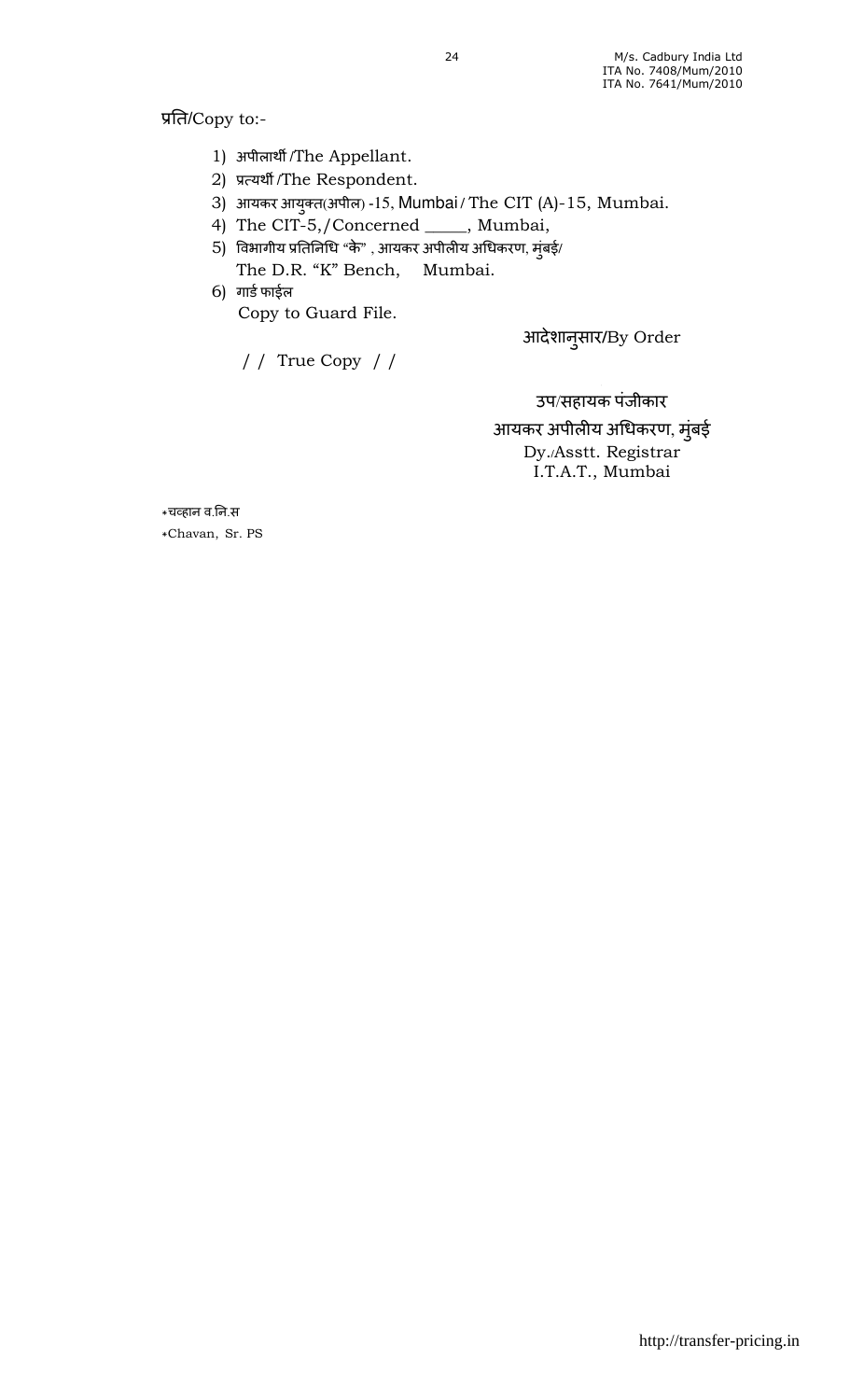प्रति/Copy to:-

- 1) अपीलार्थी /The Appellant.
- 2) प्रत्यर्थी/The Respondent.
- 3) आयकर आयुक्त(अपील) -15, Mumbai / The CIT (A)-15, Mumbai.
- 4) The CIT-5,/Concerned \_\_\_\_\_, Mumbai,
- $5)$  विभागीय प्रतिनिधि "के" , आयकर अपीलीय अधिकरण, मुंबई/ The D.R. "K" Bench, Mumbai.
- 6) गार्ड फाईल Copy to Guard File.

आदेशानसार ु **/**By Order

/ / True Copy / /

उप/सहायक पंजीकार

आयकर अपीलीय अधिकरण, मुंबई Dy./Asstt. Registrar I.T.A.T., Mumbai

\*च9हान व.न.स \*Chavan, Sr. PS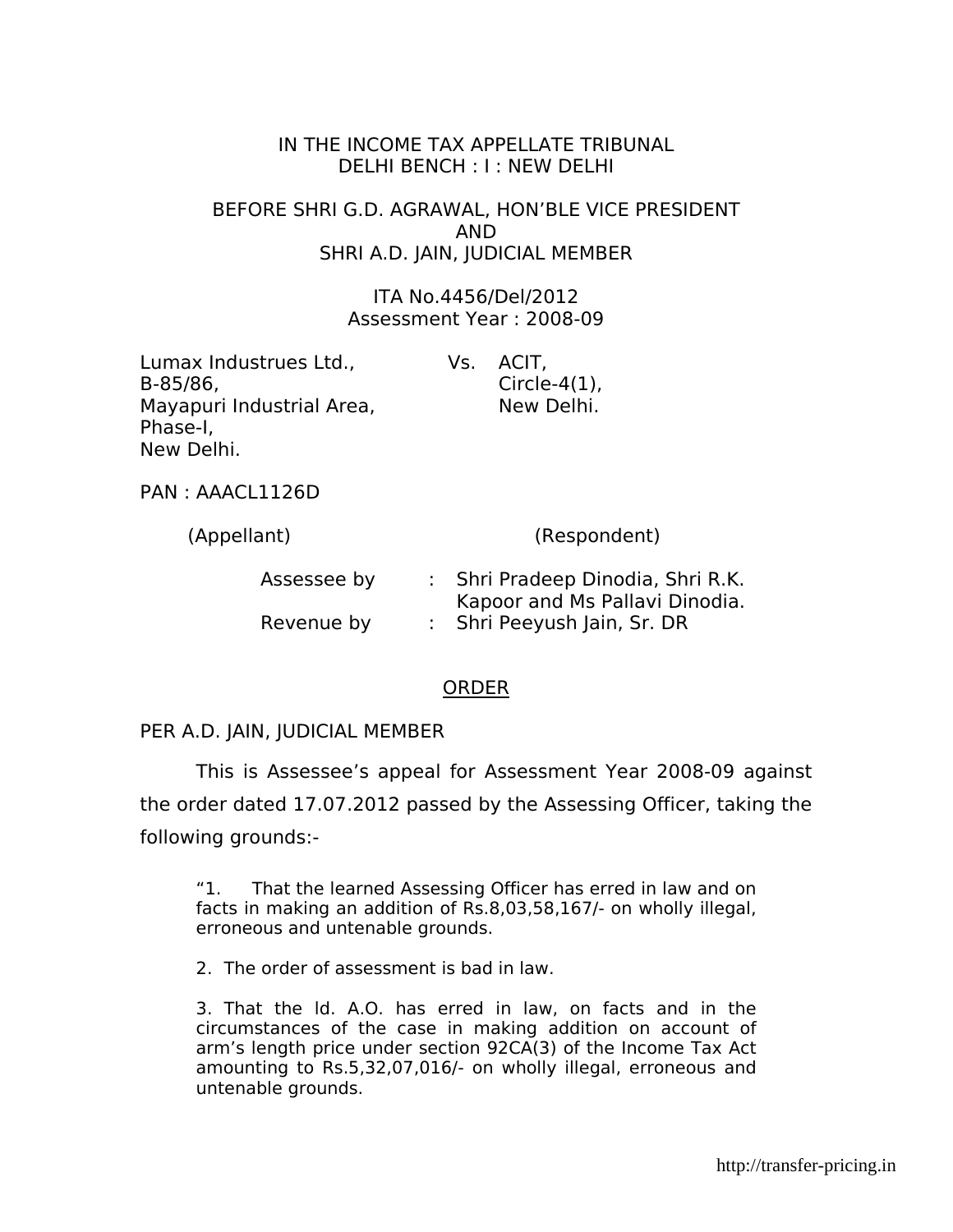#### IN THE INCOME TAX APPELLATE TRIBUNAL DELHI BENCH : I : NEW DELHI

BEFORE SHRI G.D. AGRAWAL, HON'BLE VICE PRESIDENT AND SHRI A.D. JAIN, JUDICIAL MEMBER

> ITA No.4456/Del/2012 Assessment Year : 2008-09

| Lumax Industrues Ltd.,    | Vs. ACIT,        |
|---------------------------|------------------|
| B-85/86,                  | Circle- $4(1)$ , |
| Mayapuri Industrial Area, | New Delhi.       |
| Phase-I,                  |                  |
| New Delhi.                |                  |

PAN : AAACL1126D

| (Appellant) | (Respondent)                                                        |
|-------------|---------------------------------------------------------------------|
| Assessee by | : Shri Pradeep Dinodia, Shri R.K.<br>Kapoor and Ms Pallavi Dinodia. |
| Revenue by  | : Shri Peeyush Jain, Sr. DR                                         |

#### ORDER

#### PER A.D. JAIN, JUDICIAL MEMBER

 This is Assessee's appeal for Assessment Year 2008-09 against the order dated 17.07.2012 passed by the Assessing Officer, taking the following grounds:-

"1. That the learned Assessing Officer has erred in law and on facts in making an addition of Rs.8,03,58,167/- on wholly illegal, erroneous and untenable grounds.

2. The order of assessment is bad in law.

3. That the ld. A.O. has erred in law, on facts and in the circumstances of the case in making addition on account of arm's length price under section 92CA(3) of the Income Tax Act amounting to Rs.5,32,07,016/- on wholly illegal, erroneous and untenable grounds.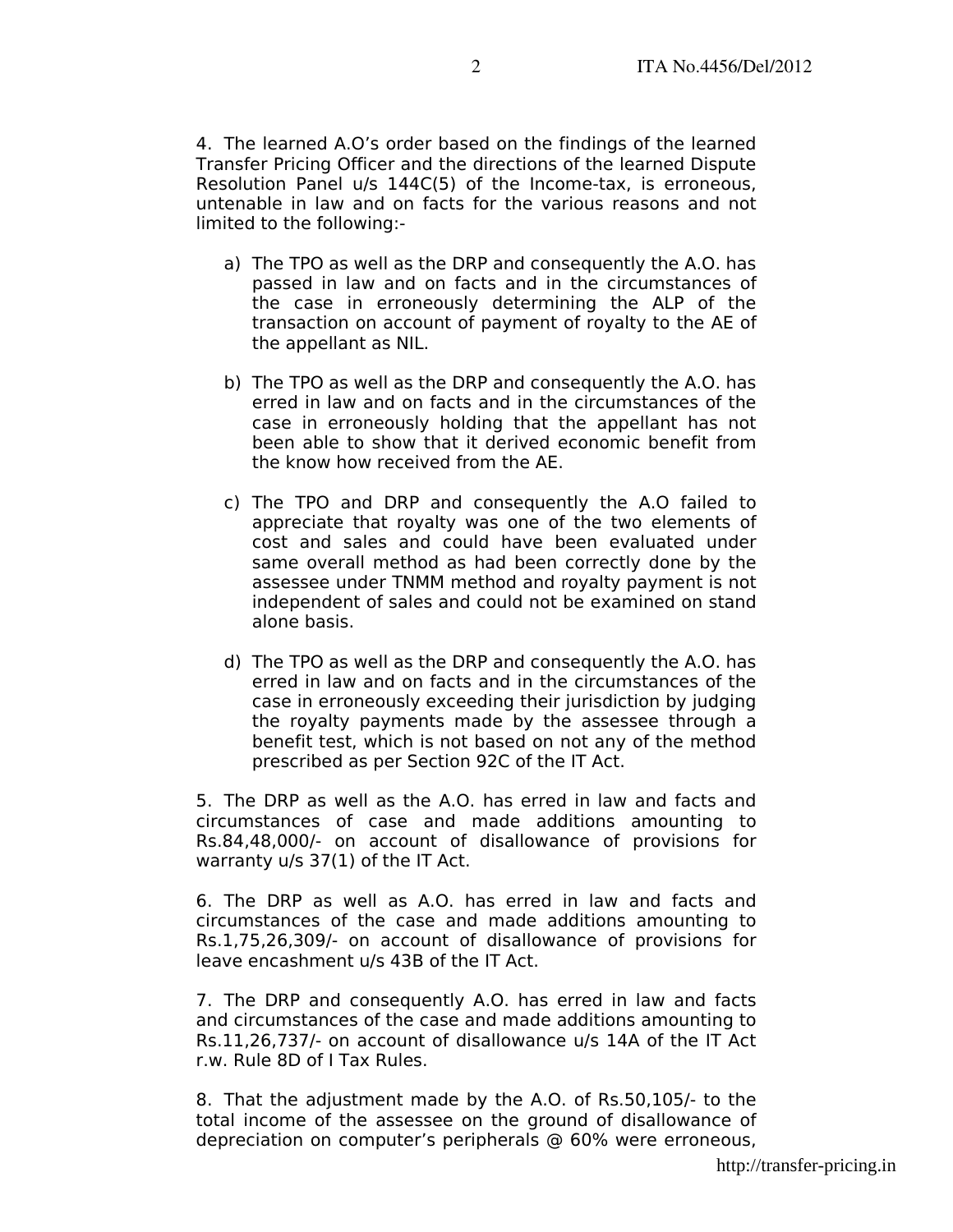4. The learned A.O's order based on the findings of the learned Transfer Pricing Officer and the directions of the learned Dispute Resolution Panel u/s 144C(5) of the Income-tax, is erroneous, untenable in law and on facts for the various reasons and not limited to the following:-

- a) The TPO as well as the DRP and consequently the A.O. has passed in law and on facts and in the circumstances of the case in erroneously determining the ALP of the transaction on account of payment of royalty to the AE of the appellant as NIL.
- b) The TPO as well as the DRP and consequently the A.O. has erred in law and on facts and in the circumstances of the case in erroneously holding that the appellant has not been able to show that it derived economic benefit from the know how received from the AE.
- c) The TPO and DRP and consequently the A.O failed to appreciate that royalty was one of the two elements of cost and sales and could have been evaluated under same overall method as had been correctly done by the assessee under TNMM method and royalty payment is not independent of sales and could not be examined on stand alone basis.
- d) The TPO as well as the DRP and consequently the A.O. has erred in law and on facts and in the circumstances of the case in erroneously exceeding their jurisdiction by judging the royalty payments made by the assessee through a benefit test, which is not based on not any of the method prescribed as per Section 92C of the IT Act.

5. The DRP as well as the A.O. has erred in law and facts and circumstances of case and made additions amounting to Rs.84,48,000/- on account of disallowance of provisions for warranty u/s 37(1) of the IT Act.

6. The DRP as well as A.O. has erred in law and facts and circumstances of the case and made additions amounting to Rs.1,75,26,309/- on account of disallowance of provisions for leave encashment u/s 43B of the IT Act.

7. The DRP and consequently A.O. has erred in law and facts and circumstances of the case and made additions amounting to Rs.11,26,737/- on account of disallowance u/s 14A of the IT Act r.w. Rule 8D of I Tax Rules.

8. That the adjustment made by the A.O. of Rs.50,105/- to the total income of the assessee on the ground of disallowance of depreciation on computer's peripherals @ 60% were erroneous,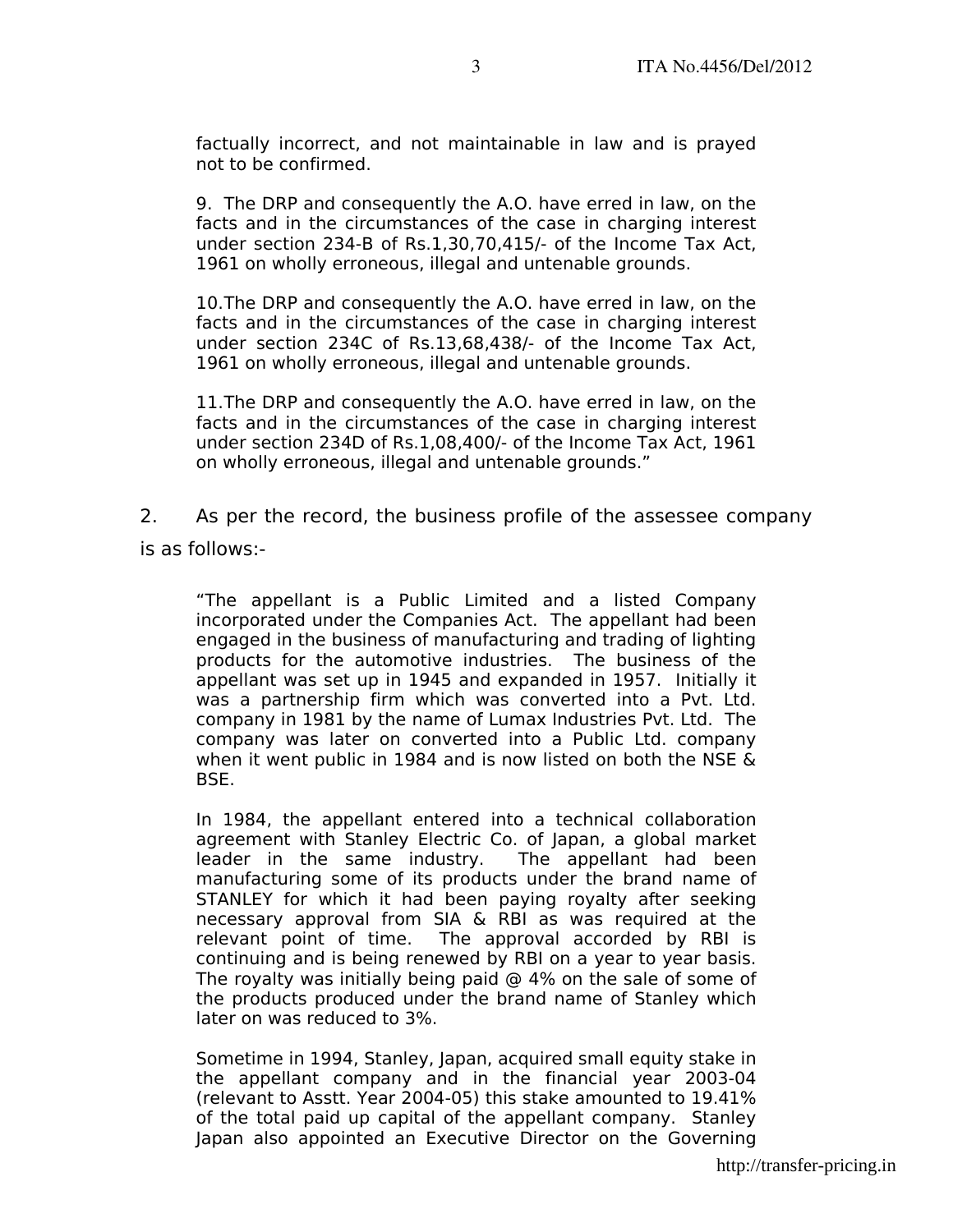factually incorrect, and not maintainable in law and is prayed not to be confirmed.

9. The DRP and consequently the A.O. have erred in law, on the facts and in the circumstances of the case in charging interest under section 234-B of Rs.1,30,70,415/- of the Income Tax Act, 1961 on wholly erroneous, illegal and untenable grounds.

10.The DRP and consequently the A.O. have erred in law, on the facts and in the circumstances of the case in charging interest under section 234C of Rs.13,68,438/- of the Income Tax Act, 1961 on wholly erroneous, illegal and untenable grounds.

11.The DRP and consequently the A.O. have erred in law, on the facts and in the circumstances of the case in charging interest under section 234D of Rs.1,08,400/- of the Income Tax Act, 1961 on wholly erroneous, illegal and untenable grounds."

2. As per the record, the business profile of the assessee company is as follows:-

"The appellant is a Public Limited and a listed Company incorporated under the Companies Act. The appellant had been engaged in the business of manufacturing and trading of lighting products for the automotive industries. The business of the appellant was set up in 1945 and expanded in 1957. Initially it was a partnership firm which was converted into a Pvt. Ltd. company in 1981 by the name of Lumax Industries Pvt. Ltd. The company was later on converted into a Public Ltd. company when it went public in 1984 and is now listed on both the NSE & BSE.

In 1984, the appellant entered into a technical collaboration agreement with Stanley Electric Co. of Japan, a global market leader in the same industry. The appellant had been manufacturing some of its products under the brand name of STANLEY for which it had been paying royalty after seeking necessary approval from SIA & RBI as was required at the relevant point of time. The approval accorded by RBI is continuing and is being renewed by RBI on a year to year basis. The royalty was initially being paid  $@$  4% on the sale of some of the products produced under the brand name of Stanley which later on was reduced to 3%.

Sometime in 1994, Stanley, Japan, acquired small equity stake in the appellant company and in the financial year 2003-04 (relevant to Asstt. Year 2004-05) this stake amounted to 19.41% of the total paid up capital of the appellant company. Stanley Japan also appointed an Executive Director on the Governing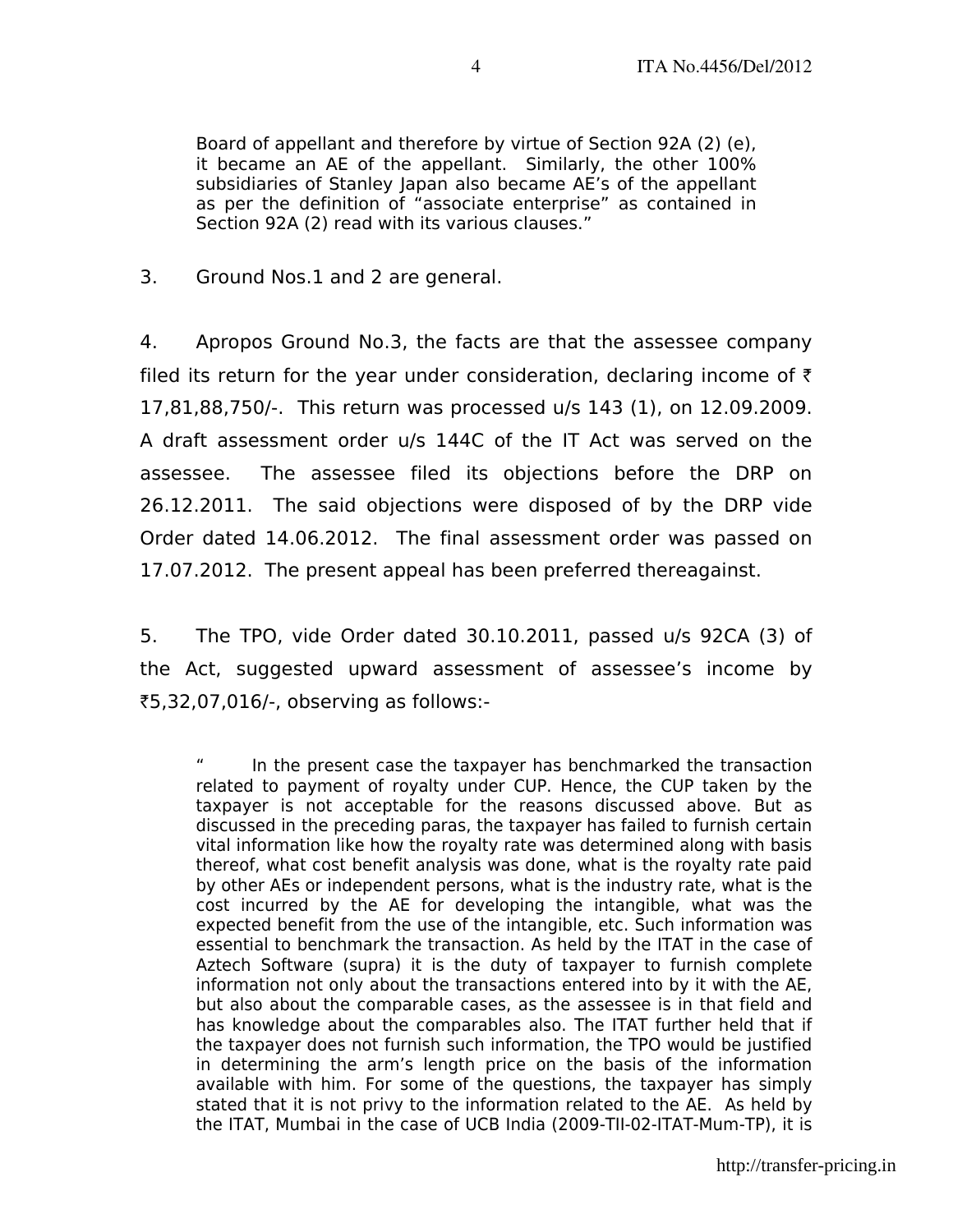Board of appellant and therefore by virtue of Section 92A (2) (e), it became an AE of the appellant. Similarly, the other 100% subsidiaries of Stanley Japan also became AE's of the appellant as per the definition of "associate enterprise" as contained in Section 92A (2) read with its various clauses."

3. Ground Nos.1 and 2 are general.

4. Apropos Ground No.3, the facts are that the assessee company filed its return for the year under consideration, declaring income of  $\bar{\tau}$ 17,81,88,750/-. This return was processed u/s 143 (1), on 12.09.2009. A draft assessment order u/s 144C of the IT Act was served on the assessee. The assessee filed its objections before the DRP on 26.12.2011. The said objections were disposed of by the DRP vide Order dated 14.06.2012. The final assessment order was passed on 17.07.2012. The present appeal has been preferred thereagainst.

5. The TPO, vide Order dated 30.10.2011, passed u/s 92CA (3) of the Act, suggested upward assessment of assessee's income by `5,32,07,016/-, observing as follows:-

" In the present case the taxpayer has benchmarked the transaction related to payment of royalty under CUP. Hence, the CUP taken by the taxpayer is not acceptable for the reasons discussed above. But as discussed in the preceding paras, the taxpayer has failed to furnish certain vital information like how the royalty rate was determined along with basis thereof, what cost benefit analysis was done, what is the royalty rate paid by other AEs or independent persons, what is the industry rate, what is the cost incurred by the AE for developing the intangible, what was the expected benefit from the use of the intangible, etc. Such information was essential to benchmark the transaction. As held by the ITAT in the case of Aztech Software (supra) it is the duty of taxpayer to furnish complete information not only about the transactions entered into by it with the AE, but also about the comparable cases, as the assessee is in that field and has knowledge about the comparables also. The ITAT further held that if the taxpayer does not furnish such information, the TPO would be justified in determining the arm's length price on the basis of the information available with him. For some of the questions, the taxpayer has simply stated that it is not privy to the information related to the AE. As held by the ITAT, Mumbai in the case of UCB India (2009-TII-02-ITAT-Mum-TP), it is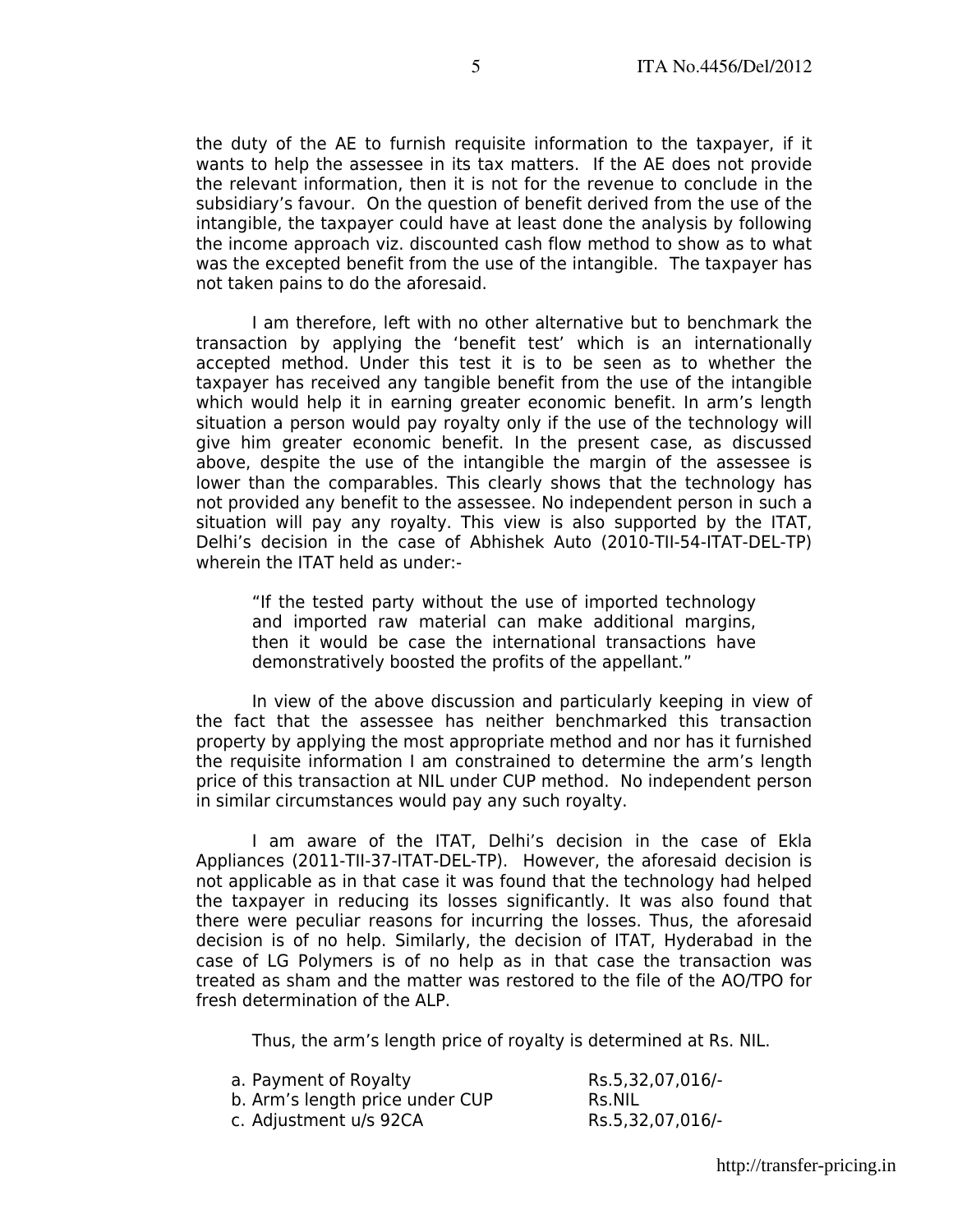the duty of the AE to furnish requisite information to the taxpayer, if it wants to help the assessee in its tax matters. If the AE does not provide the relevant information, then it is not for the revenue to conclude in the subsidiary's favour. On the question of benefit derived from the use of the intangible, the taxpayer could have at least done the analysis by following the income approach viz. discounted cash flow method to show as to what was the excepted benefit from the use of the intangible. The taxpayer has not taken pains to do the aforesaid.

 I am therefore, left with no other alternative but to benchmark the transaction by applying the 'benefit test' which is an internationally accepted method. Under this test it is to be seen as to whether the taxpayer has received any tangible benefit from the use of the intangible which would help it in earning greater economic benefit. In arm's length situation a person would pay royalty only if the use of the technology will give him greater economic benefit. In the present case, as discussed above, despite the use of the intangible the margin of the assessee is lower than the comparables. This clearly shows that the technology has not provided any benefit to the assessee. No independent person in such a situation will pay any royalty. This view is also supported by the ITAT, Delhi's decision in the case of Abhishek Auto (2010-TII-54-ITAT-DEL-TP) wherein the ITAT held as under:-

"If the tested party without the use of imported technology and imported raw material can make additional margins, then it would be case the international transactions have demonstratively boosted the profits of the appellant."

 In view of the above discussion and particularly keeping in view of the fact that the assessee has neither benchmarked this transaction property by applying the most appropriate method and nor has it furnished the requisite information I am constrained to determine the arm's length price of this transaction at NIL under CUP method. No independent person in similar circumstances would pay any such royalty.

 I am aware of the ITAT, Delhi's decision in the case of Ekla Appliances (2011-TII-37-ITAT-DEL-TP). However, the aforesaid decision is not applicable as in that case it was found that the technology had helped the taxpayer in reducing its losses significantly. It was also found that there were peculiar reasons for incurring the losses. Thus, the aforesaid decision is of no help. Similarly, the decision of ITAT, Hyderabad in the case of LG Polymers is of no help as in that case the transaction was treated as sham and the matter was restored to the file of the AO/TPO for fresh determination of the ALP.

Thus, the arm's length price of royalty is determined at Rs. NIL.

| a. Payment of Royalty           | Rs.5,32,07,016/- |
|---------------------------------|------------------|
| b. Arm's length price under CUP | Rs.NIL           |
| c. Adjustment u/s 92CA          | Rs.5,32,07,016/- |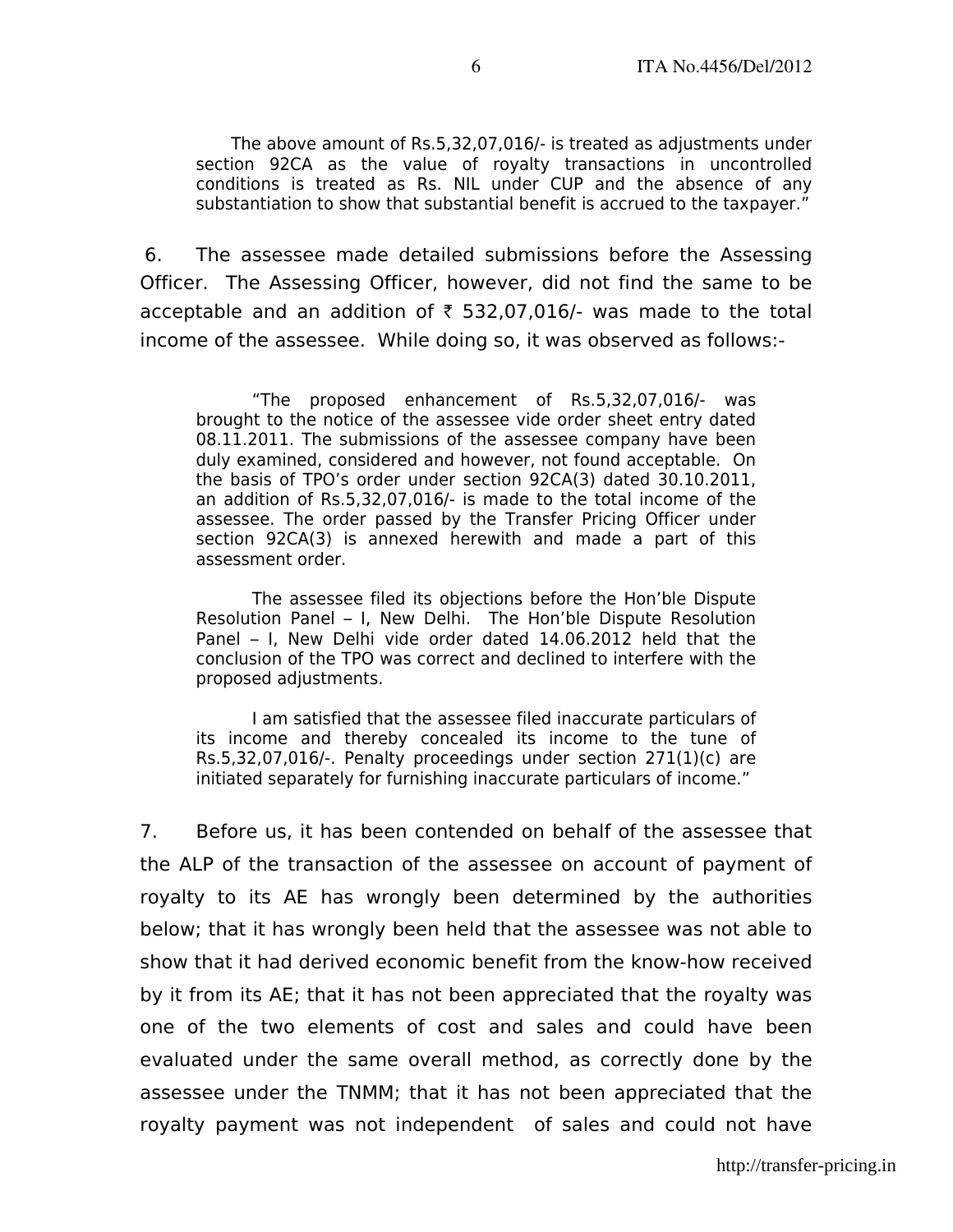The above amount of Rs.5,32,07,016/- is treated as adjustments under section 92CA as the value of royalty transactions in uncontrolled conditions is treated as Rs. NIL under CUP and the absence of any substantiation to show that substantial benefit is accrued to the taxpayer."

6. The assessee made detailed submissions before the Assessing Officer. The Assessing Officer, however, did not find the same to be acceptable and an addition of  $\bar{\tau}$  532,07,016/- was made to the total income of the assessee. While doing so, it was observed as follows:-

"The proposed enhancement of Rs.5,32,07,016/- was brought to the notice of the assessee vide order sheet entry dated 08.11.2011. The submissions of the assessee company have been duly examined, considered and however, not found acceptable. On the basis of TPO's order under section 92CA(3) dated 30.10.2011, an addition of Rs.5,32,07,016/- is made to the total income of the assessee. The order passed by the Transfer Pricing Officer under section 92CA(3) is annexed herewith and made a part of this assessment order.

 The assessee filed its objections before the Hon'ble Dispute Resolution Panel – I, New Delhi. The Hon'ble Dispute Resolution Panel – I, New Delhi vide order dated 14.06.2012 held that the conclusion of the TPO was correct and declined to interfere with the proposed adjustments.

 I am satisfied that the assessee filed inaccurate particulars of its income and thereby concealed its income to the tune of Rs.5,32,07,016/-. Penalty proceedings under section 271(1)(c) are initiated separately for furnishing inaccurate particulars of income."

7. Before us, it has been contended on behalf of the assessee that the ALP of the transaction of the assessee on account of payment of royalty to its AE has wrongly been determined by the authorities below; that it has wrongly been held that the assessee was not able to show that it had derived economic benefit from the know-how received by it from its AE; that it has not been appreciated that the royalty was one of the two elements of cost and sales and could have been evaluated under the same overall method, as correctly done by the assessee under the TNMM; that it has not been appreciated that the royalty payment was not independent of sales and could not have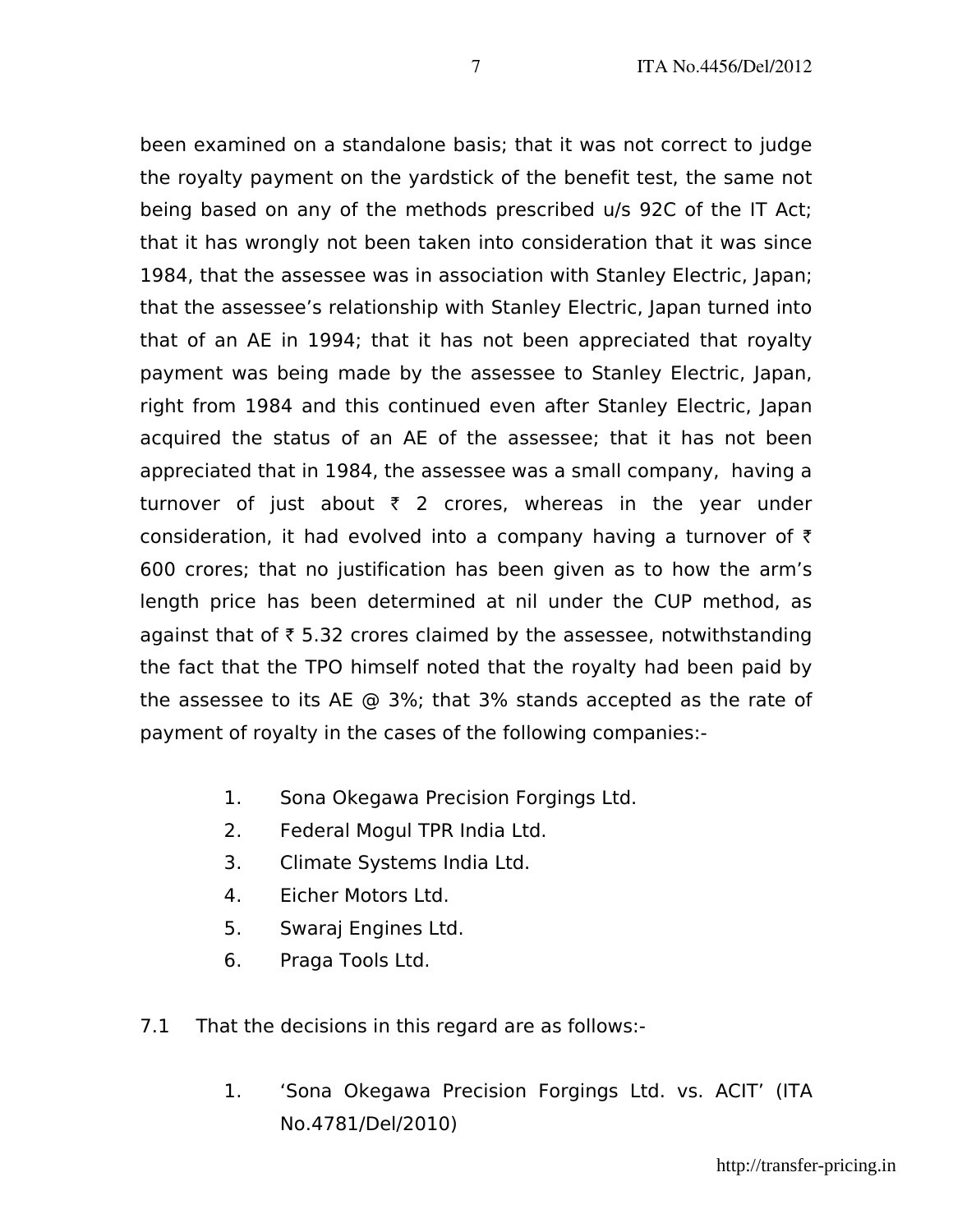been examined on a standalone basis; that it was not correct to judge the royalty payment on the yardstick of the benefit test, the same not being based on any of the methods prescribed u/s 92C of the IT Act; that it has wrongly not been taken into consideration that it was since 1984, that the assessee was in association with Stanley Electric, Japan; that the assessee's relationship with Stanley Electric, Japan turned into that of an AE in 1994; that it has not been appreciated that royalty payment was being made by the assessee to Stanley Electric, Japan, right from 1984 and this continued even after Stanley Electric, Japan acquired the status of an AE of the assessee; that it has not been appreciated that in 1984, the assessee was a small company, having a turnover of just about  $\bar{\tau}$  2 crores, whereas in the year under consideration, it had evolved into a company having a turnover of  $\bar{\tau}$ 600 crores; that no justification has been given as to how the arm's length price has been determined at nil under the CUP method, as against that of  $\bar{\tau}$  5.32 crores claimed by the assessee, notwithstanding the fact that the TPO himself noted that the royalty had been paid by the assessee to its AE @ 3%; that 3% stands accepted as the rate of payment of royalty in the cases of the following companies:-

- 1. Sona Okegawa Precision Forgings Ltd.
- 2. Federal Mogul TPR India Ltd.
- 3. Climate Systems India Ltd.
- 4. Eicher Motors Ltd.
- 5. Swaraj Engines Ltd.
- 6. Praga Tools Ltd.
- 7.1 That the decisions in this regard are as follows:-
	- 1. 'Sona Okegawa Precision Forgings Ltd. vs. ACIT' (ITA No.4781/Del/2010)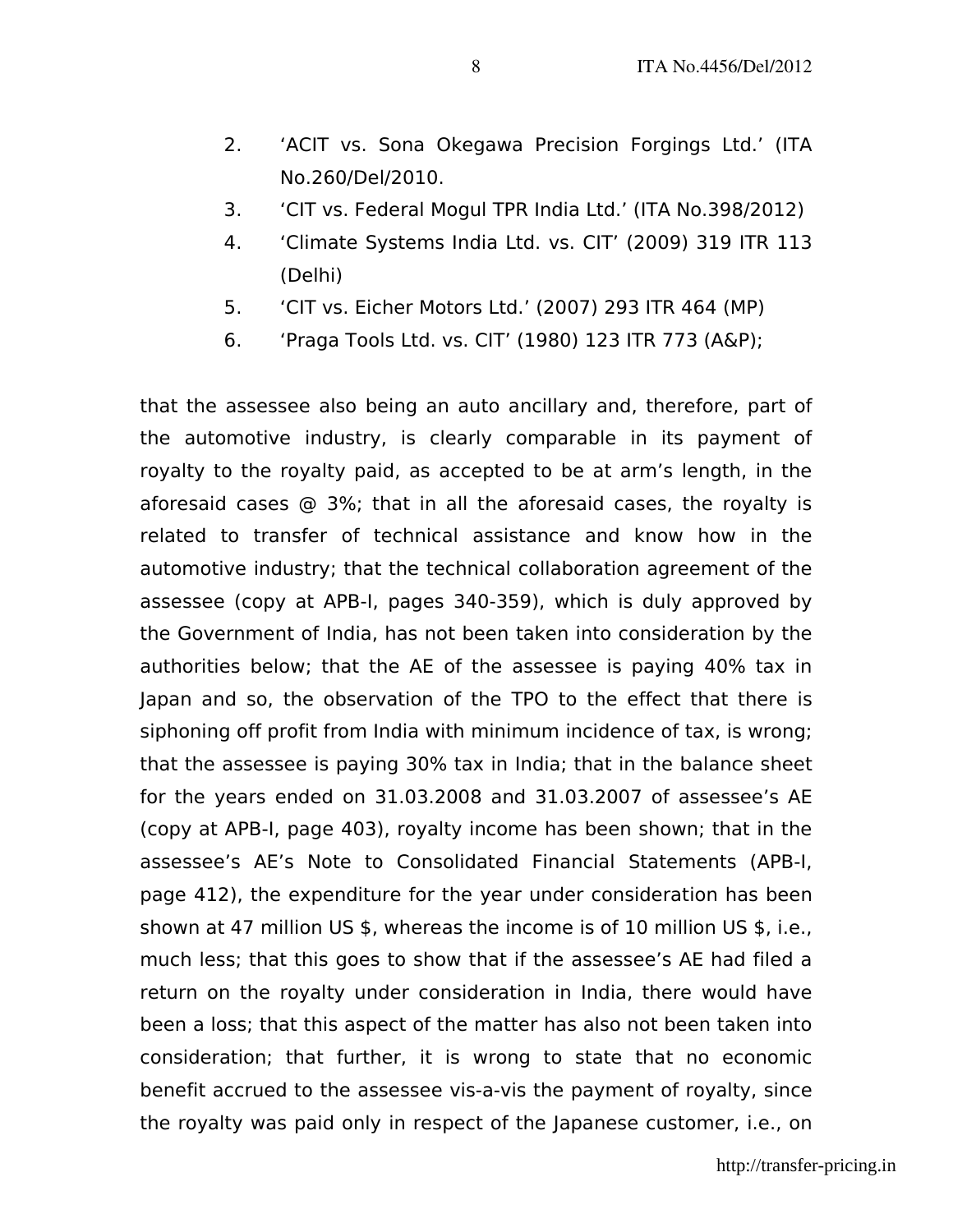- 2. 'ACIT vs. Sona Okegawa Precision Forgings Ltd.' (ITA No.260/Del/2010.
- 3. 'CIT vs. Federal Mogul TPR India Ltd.' (ITA No.398/2012)
- 4. 'Climate Systems India Ltd. vs. CIT' (2009) 319 ITR 113 (Delhi)
- 5. 'CIT vs. Eicher Motors Ltd.' (2007) 293 ITR 464 (MP)
- 6. 'Praga Tools Ltd. vs. CIT' (1980) 123 ITR 773 (A&P);

that the assessee also being an auto ancillary and, therefore, part of the automotive industry, is clearly comparable in its payment of royalty to the royalty paid, as accepted to be at arm's length, in the aforesaid cases @ 3%; that in all the aforesaid cases, the royalty is related to transfer of technical assistance and know how in the automotive industry; that the technical collaboration agreement of the assessee (copy at APB-I, pages 340-359), which is duly approved by the Government of India, has not been taken into consideration by the authorities below; that the AE of the assessee is paying 40% tax in Japan and so, the observation of the TPO to the effect that there is siphoning off profit from India with minimum incidence of tax, is wrong; that the assessee is paying 30% tax in India; that in the balance sheet for the years ended on 31.03.2008 and 31.03.2007 of assessee's AE (copy at APB-I, page 403), royalty income has been shown; that in the assessee's AE's Note to Consolidated Financial Statements (APB-I, page 412), the expenditure for the year under consideration has been shown at 47 million US \$, whereas the income is of 10 million US \$, i.e., much less; that this goes to show that if the assessee's AE had filed a return on the royalty under consideration in India, there would have been a loss; that this aspect of the matter has also not been taken into consideration; that further, it is wrong to state that no economic benefit accrued to the assessee vis-a-vis the payment of royalty, since the royalty was paid only in respect of the Japanese customer, i.e., on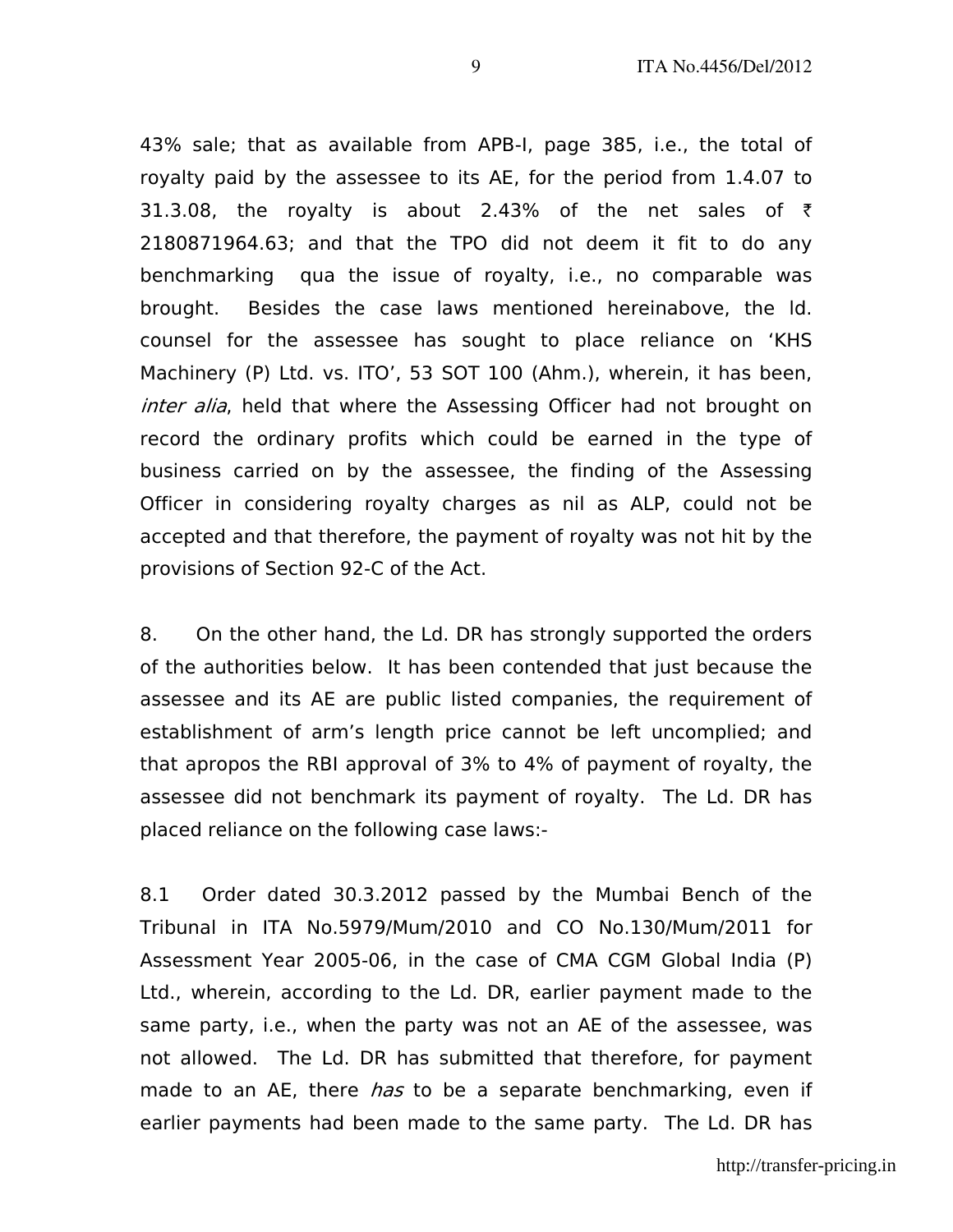43% sale; that as available from APB-I, page 385, i.e., the total of royalty paid by the assessee to its AE, for the period from 1.4.07 to 31.3.08, the royalty is about 2.43% of the net sales of  $\bar{\tau}$ 2180871964.63; and that the TPO did not deem it fit to do any benchmarking qua the issue of royalty, i.e., no comparable was brought. Besides the case laws mentioned hereinabove, the ld. counsel for the assessee has sought to place reliance on 'KHS Machinery (P) Ltd. vs. ITO', 53 SOT 100 (Ahm.), wherein, it has been, inter alia, held that where the Assessing Officer had not brought on record the ordinary profits which could be earned in the type of business carried on by the assessee, the finding of the Assessing Officer in considering royalty charges as nil as ALP, could not be accepted and that therefore, the payment of royalty was not hit by the provisions of Section 92-C of the Act.

8. On the other hand, the Ld. DR has strongly supported the orders of the authorities below. It has been contended that just because the assessee and its AE are public listed companies, the requirement of establishment of arm's length price cannot be left uncomplied; and that apropos the RBI approval of 3% to 4% of payment of royalty, the assessee did not benchmark its payment of royalty. The Ld. DR has placed reliance on the following case laws:-

8.1 Order dated 30.3.2012 passed by the Mumbai Bench of the Tribunal in ITA No.5979/Mum/2010 and CO No.130/Mum/2011 for Assessment Year 2005-06, in the case of CMA CGM Global India (P) Ltd., wherein, according to the Ld. DR, earlier payment made to the same party, i.e., when the party was not an AE of the assessee, was not allowed. The Ld. DR has submitted that therefore, for payment made to an AE, there *has* to be a separate benchmarking, even if earlier payments had been made to the same party. The Ld. DR has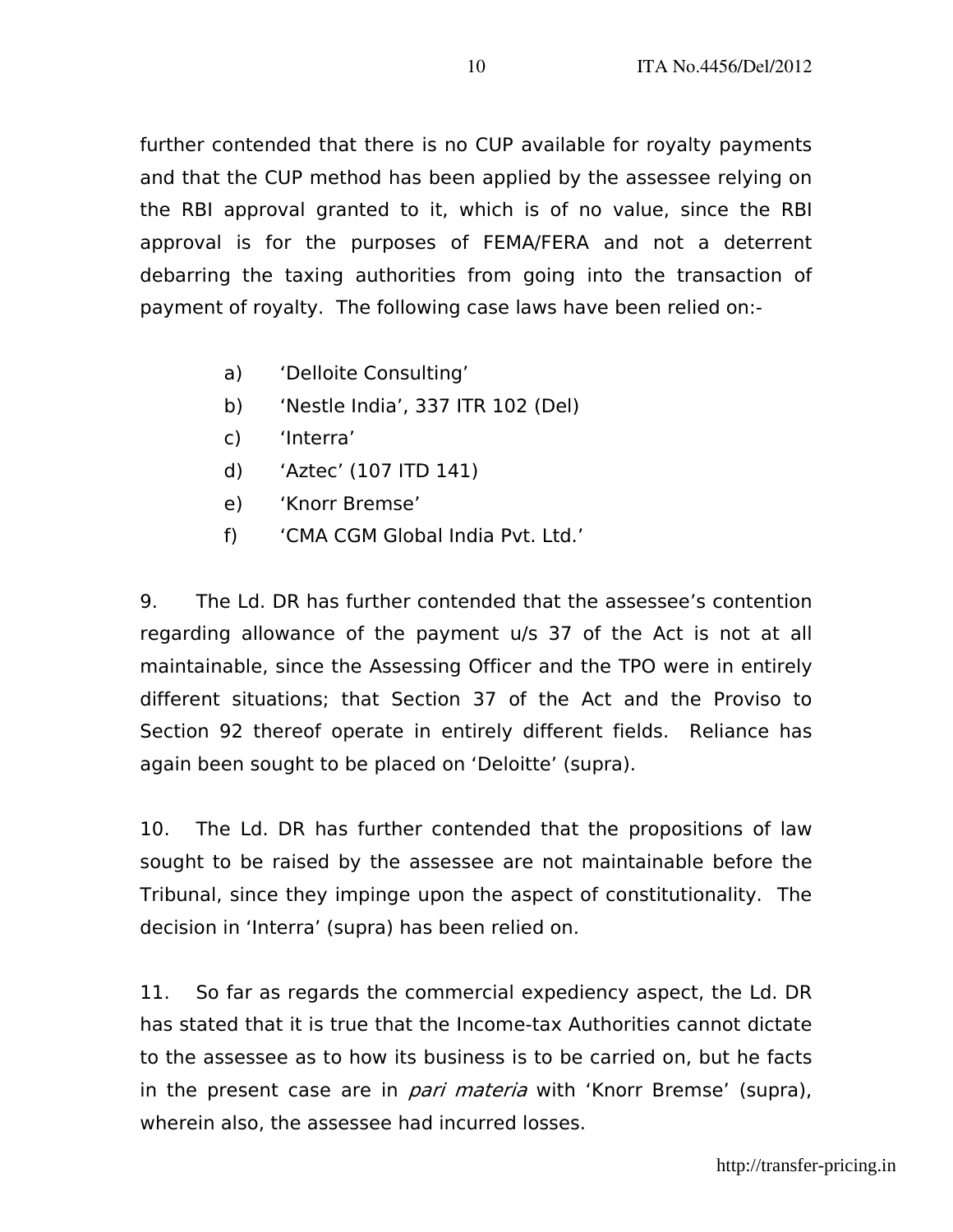further contended that there is no CUP available for royalty payments and that the CUP method has been applied by the assessee relying on the RBI approval granted to it, which is of no value, since the RBI approval is for the purposes of FEMA/FERA and not a deterrent debarring the taxing authorities from going into the transaction of payment of royalty. The following case laws have been relied on:-

- a) 'Delloite Consulting'
- b) 'Nestle India', 337 ITR 102 (Del)
- c) 'Interra'
- d) 'Aztec' (107 ITD 141)
- e) 'Knorr Bremse'
- f) 'CMA CGM Global India Pvt. Ltd.'

9. The Ld. DR has further contended that the assessee's contention regarding allowance of the payment u/s 37 of the Act is not at all maintainable, since the Assessing Officer and the TPO were in entirely different situations; that Section 37 of the Act and the Proviso to Section 92 thereof operate in entirely different fields. Reliance has again been sought to be placed on 'Deloitte' (supra).

10. The Ld. DR has further contended that the propositions of law sought to be raised by the assessee are not maintainable before the Tribunal, since they impinge upon the aspect of constitutionality. The decision in 'Interra' (supra) has been relied on.

11. So far as regards the commercial expediency aspect, the Ld. DR has stated that it is true that the Income-tax Authorities cannot dictate to the assessee as to how its business is to be carried on, but he facts in the present case are in *pari materia* with 'Knorr Bremse' (supra), wherein also, the assessee had incurred losses.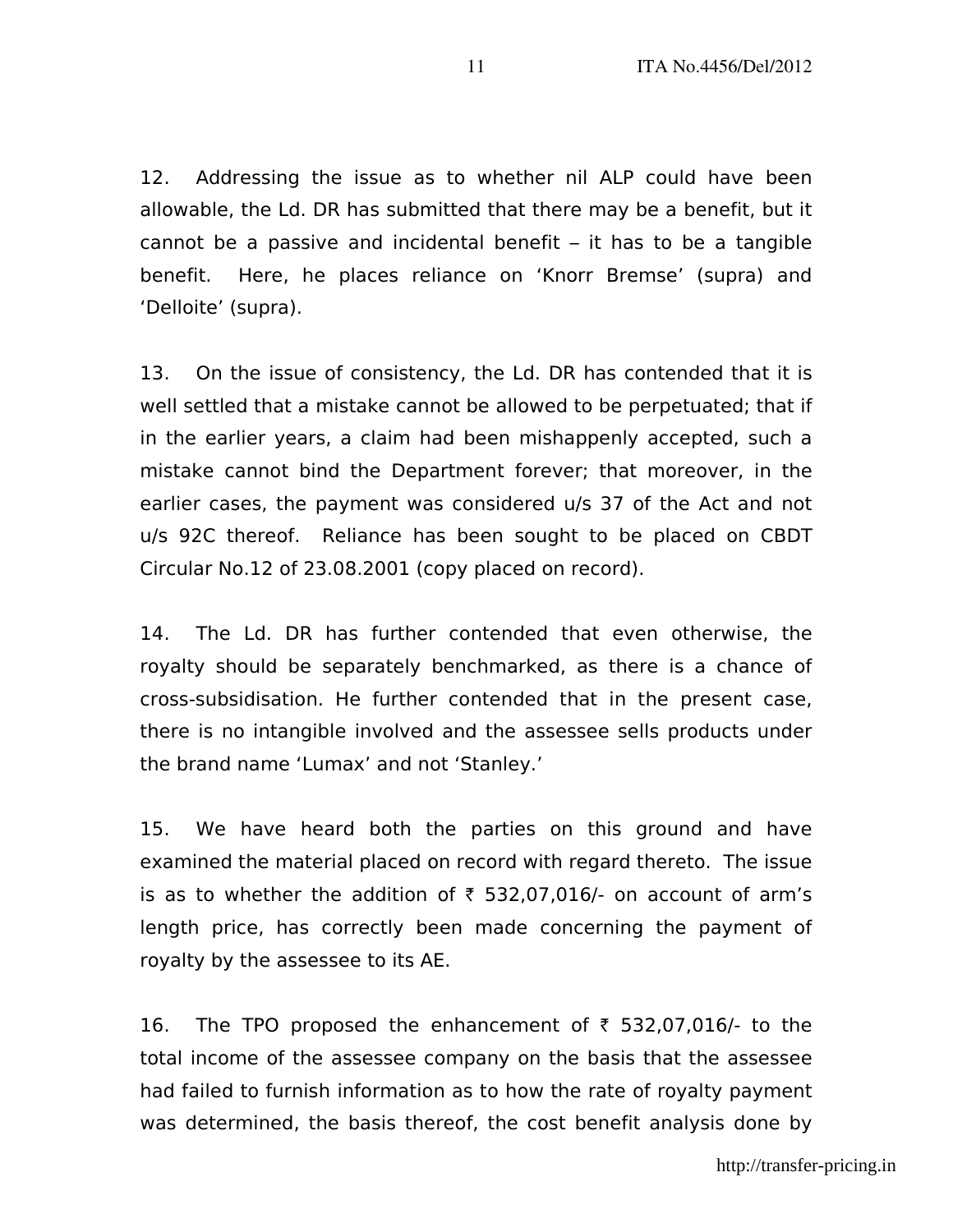12. Addressing the issue as to whether nil ALP could have been allowable, the Ld. DR has submitted that there may be a benefit, but it cannot be a passive and incidental benefit – it has to be a tangible benefit. Here, he places reliance on 'Knorr Bremse' (supra) and 'Delloite' (supra).

13. On the issue of consistency, the Ld. DR has contended that it is well settled that a mistake cannot be allowed to be perpetuated; that if in the earlier years, a claim had been mishappenly accepted, such a mistake cannot bind the Department forever; that moreover, in the earlier cases, the payment was considered u/s 37 of the Act and not u/s 92C thereof. Reliance has been sought to be placed on CBDT Circular No.12 of 23.08.2001 (copy placed on record).

14. The Ld. DR has further contended that even otherwise, the royalty should be separately benchmarked, as there is a chance of cross-subsidisation. He further contended that in the present case, there is no intangible involved and the assessee sells products under the brand name 'Lumax' and not 'Stanley.'

15. We have heard both the parties on this ground and have examined the material placed on record with regard thereto. The issue is as to whether the addition of  $\bar{\tau}$  532,07,016/- on account of arm's length price, has correctly been made concerning the payment of royalty by the assessee to its AE.

16. The TPO proposed the enhancement of  $\bar{\tau}$  532,07,016/- to the total income of the assessee company on the basis that the assessee had failed to furnish information as to how the rate of royalty payment was determined, the basis thereof, the cost benefit analysis done by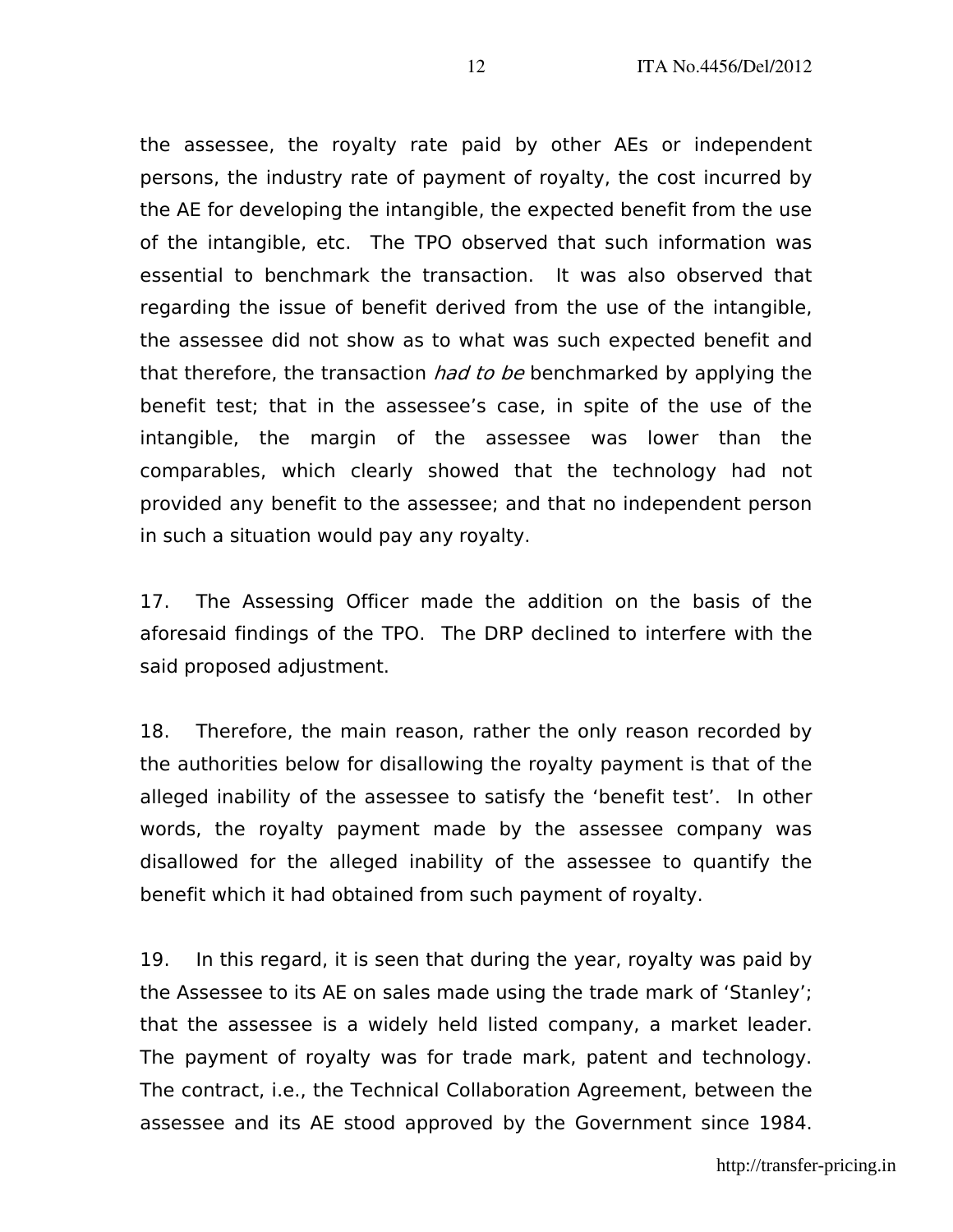the assessee, the royalty rate paid by other AEs or independent persons, the industry rate of payment of royalty, the cost incurred by the AE for developing the intangible, the expected benefit from the use of the intangible, etc. The TPO observed that such information was essential to benchmark the transaction. It was also observed that regarding the issue of benefit derived from the use of the intangible, the assessee did not show as to what was such expected benefit and that therefore, the transaction *had to be* benchmarked by applying the benefit test; that in the assessee's case, in spite of the use of the intangible, the margin of the assessee was lower than the comparables, which clearly showed that the technology had not provided any benefit to the assessee; and that no independent person in such a situation would pay any royalty.

17. The Assessing Officer made the addition on the basis of the aforesaid findings of the TPO. The DRP declined to interfere with the said proposed adjustment.

18. Therefore, the main reason, rather the only reason recorded by the authorities below for disallowing the royalty payment is that of the alleged inability of the assessee to satisfy the 'benefit test'. In other words, the royalty payment made by the assessee company was disallowed for the alleged inability of the assessee to quantify the benefit which it had obtained from such payment of royalty.

19. In this regard, it is seen that during the year, royalty was paid by the Assessee to its AE on sales made using the trade mark of 'Stanley'; that the assessee is a widely held listed company, a market leader. The payment of royalty was for trade mark, patent and technology. The contract, i.e., the Technical Collaboration Agreement, between the assessee and its AE stood approved by the Government since 1984.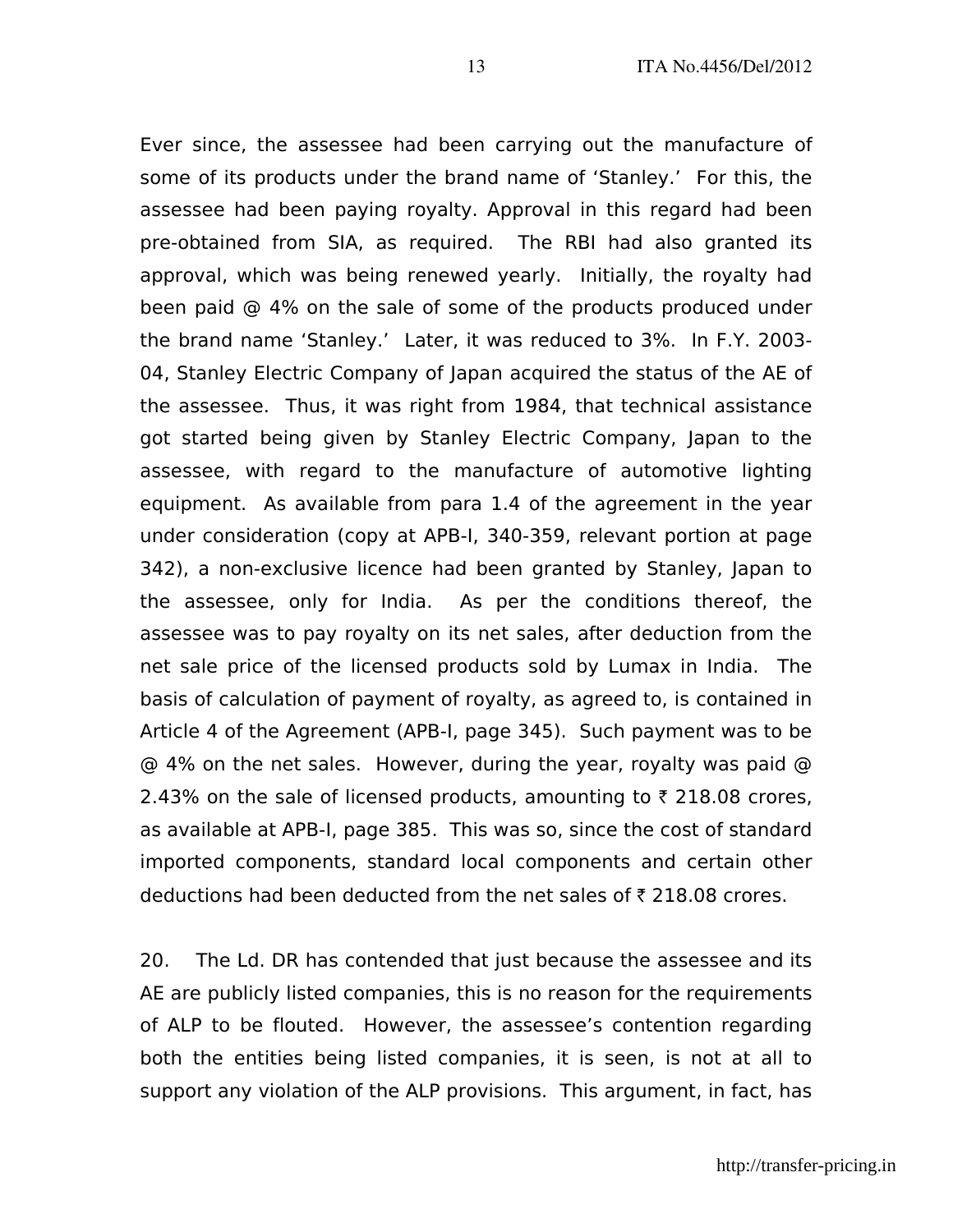Ever since, the assessee had been carrying out the manufacture of some of its products under the brand name of 'Stanley.' For this, the assessee had been paying royalty. Approval in this regard had been pre-obtained from SIA, as required. The RBI had also granted its approval, which was being renewed yearly. Initially, the royalty had been paid @ 4% on the sale of some of the products produced under the brand name 'Stanley.' Later, it was reduced to 3%. In F.Y. 2003- 04, Stanley Electric Company of Japan acquired the status of the AE of the assessee. Thus, it was right from 1984, that technical assistance got started being given by Stanley Electric Company, Japan to the assessee, with regard to the manufacture of automotive lighting equipment. As available from para 1.4 of the agreement in the year under consideration (copy at APB-I, 340-359, relevant portion at page 342), a non-exclusive licence had been granted by Stanley, Japan to the assessee, only for India. As per the conditions thereof, the assessee was to pay royalty on its net sales, after deduction from the net sale price of the licensed products sold by Lumax in India. The basis of calculation of payment of royalty, as agreed to, is contained in Article 4 of the Agreement (APB-I, page 345). Such payment was to be @ 4% on the net sales. However, during the year, royalty was paid @ 2.43% on the sale of licensed products, amounting to  $\bar{\tau}$  218.08 crores, as available at APB-I, page 385. This was so, since the cost of standard imported components, standard local components and certain other deductions had been deducted from the net sales of  $\bar{\tau}$  218.08 crores.

20. The Ld. DR has contended that just because the assessee and its AE are publicly listed companies, this is no reason for the requirements of ALP to be flouted. However, the assessee's contention regarding both the entities being listed companies, it is seen, is not at all to support any violation of the ALP provisions. This argument, in fact, has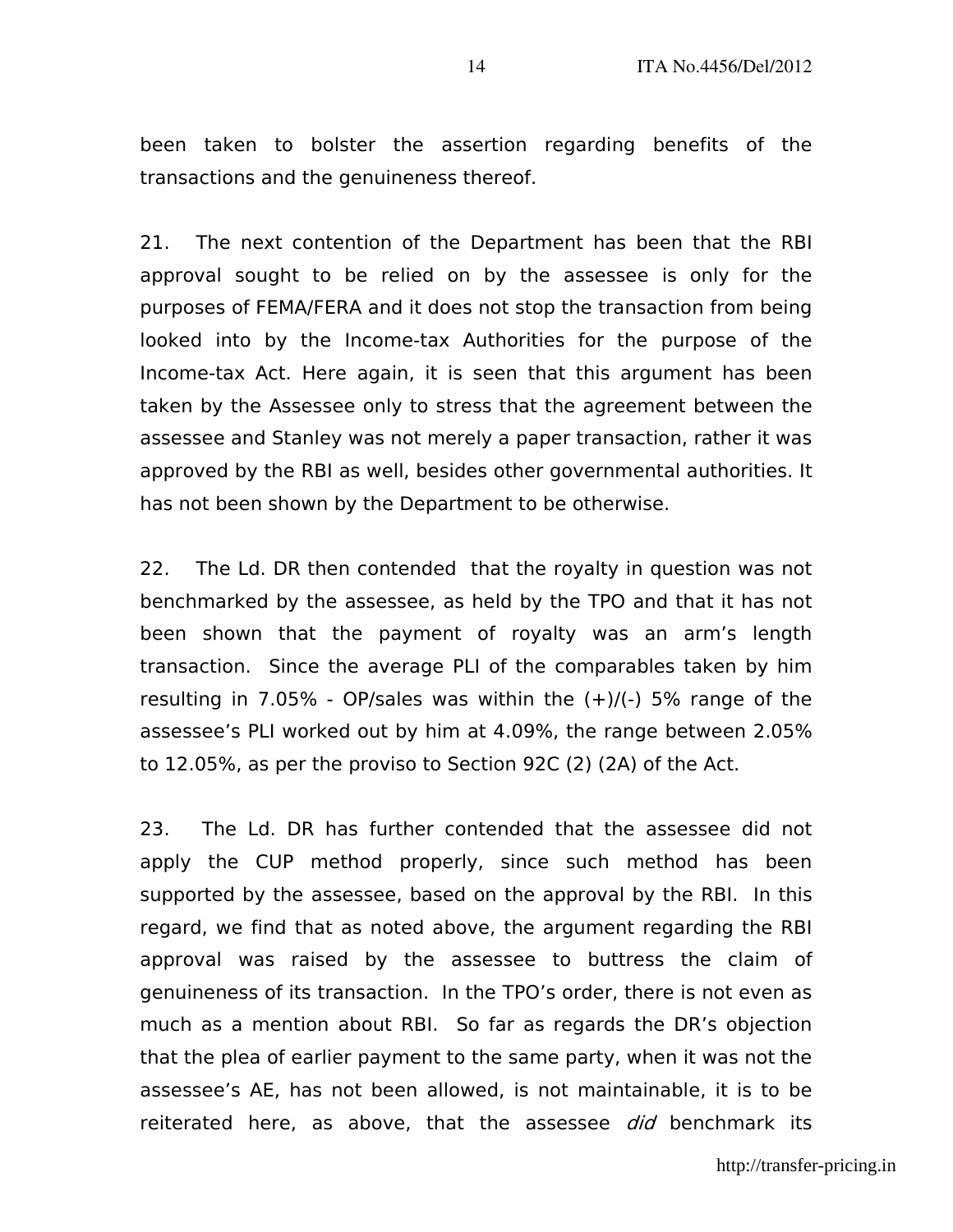been taken to bolster the assertion regarding benefits of the transactions and the genuineness thereof.

21. The next contention of the Department has been that the RBI approval sought to be relied on by the assessee is only for the purposes of FEMA/FERA and it does not stop the transaction from being looked into by the Income-tax Authorities for the purpose of the Income-tax Act. Here again, it is seen that this argument has been taken by the Assessee only to stress that the agreement between the assessee and Stanley was not merely a paper transaction, rather it was approved by the RBI as well, besides other governmental authorities. It has not been shown by the Department to be otherwise.

22. The Ld. DR then contended that the royalty in question was not benchmarked by the assessee, as held by the TPO and that it has not been shown that the payment of royalty was an arm's length transaction. Since the average PLI of the comparables taken by him resulting in 7.05% - OP/sales was within the  $(+)/(+)$  5% range of the assessee's PLI worked out by him at 4.09%, the range between 2.05% to 12.05%, as per the proviso to Section 92C (2) (2A) of the Act.

23. The Ld. DR has further contended that the assessee did not apply the CUP method properly, since such method has been supported by the assessee, based on the approval by the RBI. In this regard, we find that as noted above, the argument regarding the RBI approval was raised by the assessee to buttress the claim of genuineness of its transaction. In the TPO's order, there is not even as much as a mention about RBI. So far as regards the DR's objection that the plea of earlier payment to the same party, when it was not the assessee's AE, has not been allowed, is not maintainable, it is to be reiterated here, as above, that the assessee *did* benchmark its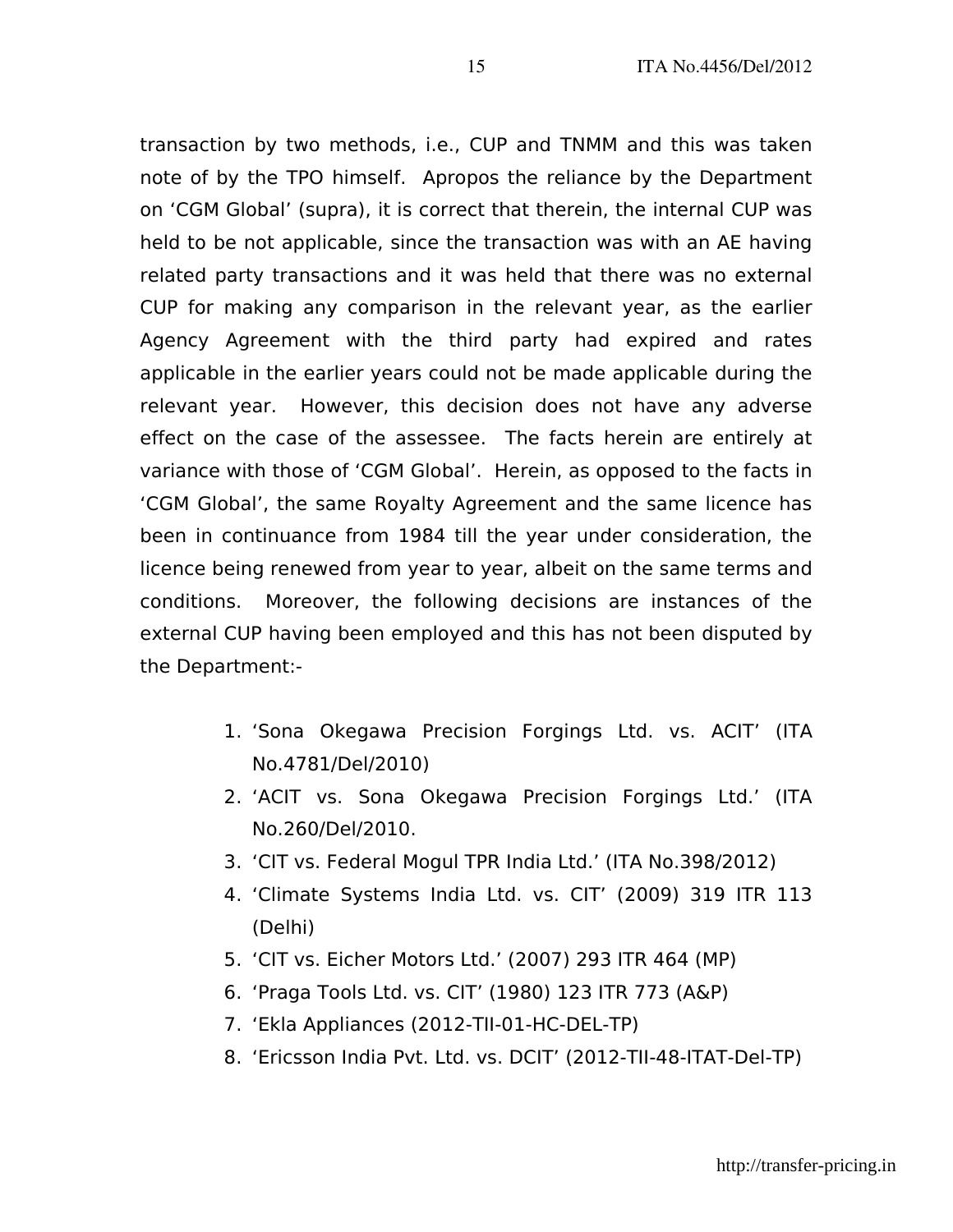transaction by two methods, i.e., CUP and TNMM and this was taken note of by the TPO himself. Apropos the reliance by the Department on 'CGM Global' (supra), it is correct that therein, the internal CUP was held to be not applicable, since the transaction was with an AE having related party transactions and it was held that there was no external CUP for making any comparison in the relevant year, as the earlier Agency Agreement with the third party had expired and rates applicable in the earlier years could not be made applicable during the relevant year. However, this decision does not have any adverse effect on the case of the assessee. The facts herein are entirely at variance with those of 'CGM Global'. Herein, as opposed to the facts in 'CGM Global', the same Royalty Agreement and the same licence has been in continuance from 1984 till the year under consideration, the licence being renewed from year to year, albeit on the same terms and conditions. Moreover, the following decisions are instances of the external CUP having been employed and this has not been disputed by the Department:-

- 1. 'Sona Okegawa Precision Forgings Ltd. vs. ACIT' (ITA No.4781/Del/2010)
- 2. 'ACIT vs. Sona Okegawa Precision Forgings Ltd.' (ITA No.260/Del/2010.
- 3. 'CIT vs. Federal Mogul TPR India Ltd.' (ITA No.398/2012)
- 4. 'Climate Systems India Ltd. vs. CIT' (2009) 319 ITR 113 (Delhi)
- 5. 'CIT vs. Eicher Motors Ltd.' (2007) 293 ITR 464 (MP)
- 6. 'Praga Tools Ltd. vs. CIT' (1980) 123 ITR 773 (A&P)
- 7. 'Ekla Appliances (2012-TII-01-HC-DEL-TP)
- 8. 'Ericsson India Pvt. Ltd. vs. DCIT' (2012-TII-48-ITAT-Del-TP)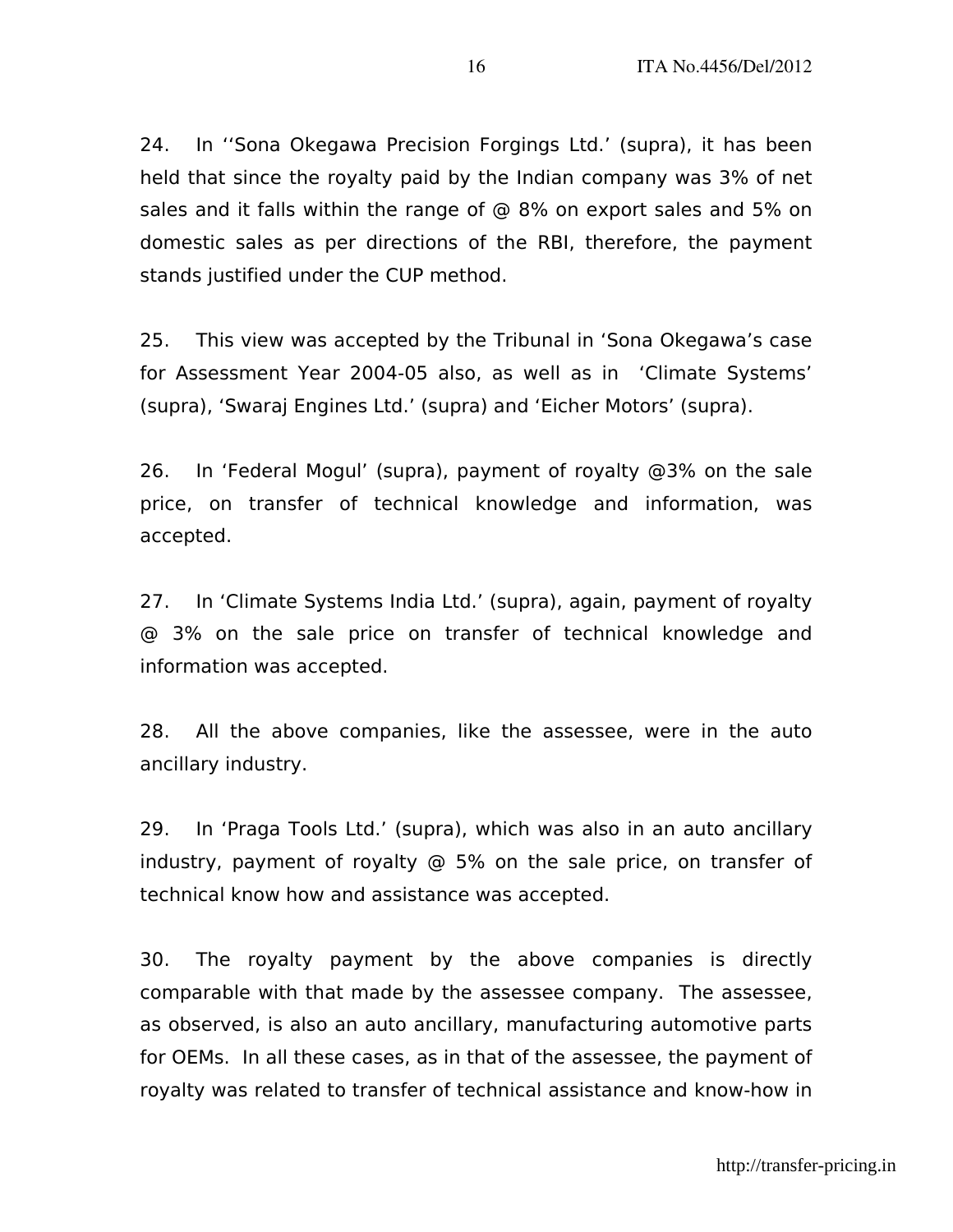24. In ''Sona Okegawa Precision Forgings Ltd.' (supra), it has been held that since the royalty paid by the Indian company was 3% of net sales and it falls within the range of @ 8% on export sales and 5% on domestic sales as per directions of the RBI, therefore, the payment stands justified under the CUP method.

25. This view was accepted by the Tribunal in 'Sona Okegawa's case for Assessment Year 2004-05 also, as well as in 'Climate Systems' (supra), 'Swaraj Engines Ltd.' (supra) and 'Eicher Motors' (supra).

26. In 'Federal Mogul' (supra), payment of royalty @3% on the sale price, on transfer of technical knowledge and information, was accepted.

27. In 'Climate Systems India Ltd.' (supra), again, payment of royalty @ 3% on the sale price on transfer of technical knowledge and information was accepted.

28. All the above companies, like the assessee, were in the auto ancillary industry.

29. In 'Praga Tools Ltd.' (supra), which was also in an auto ancillary industry, payment of royalty @ 5% on the sale price, on transfer of technical know how and assistance was accepted.

30. The royalty payment by the above companies is directly comparable with that made by the assessee company. The assessee, as observed, is also an auto ancillary, manufacturing automotive parts for OEMs. In all these cases, as in that of the assessee, the payment of royalty was related to transfer of technical assistance and know-how in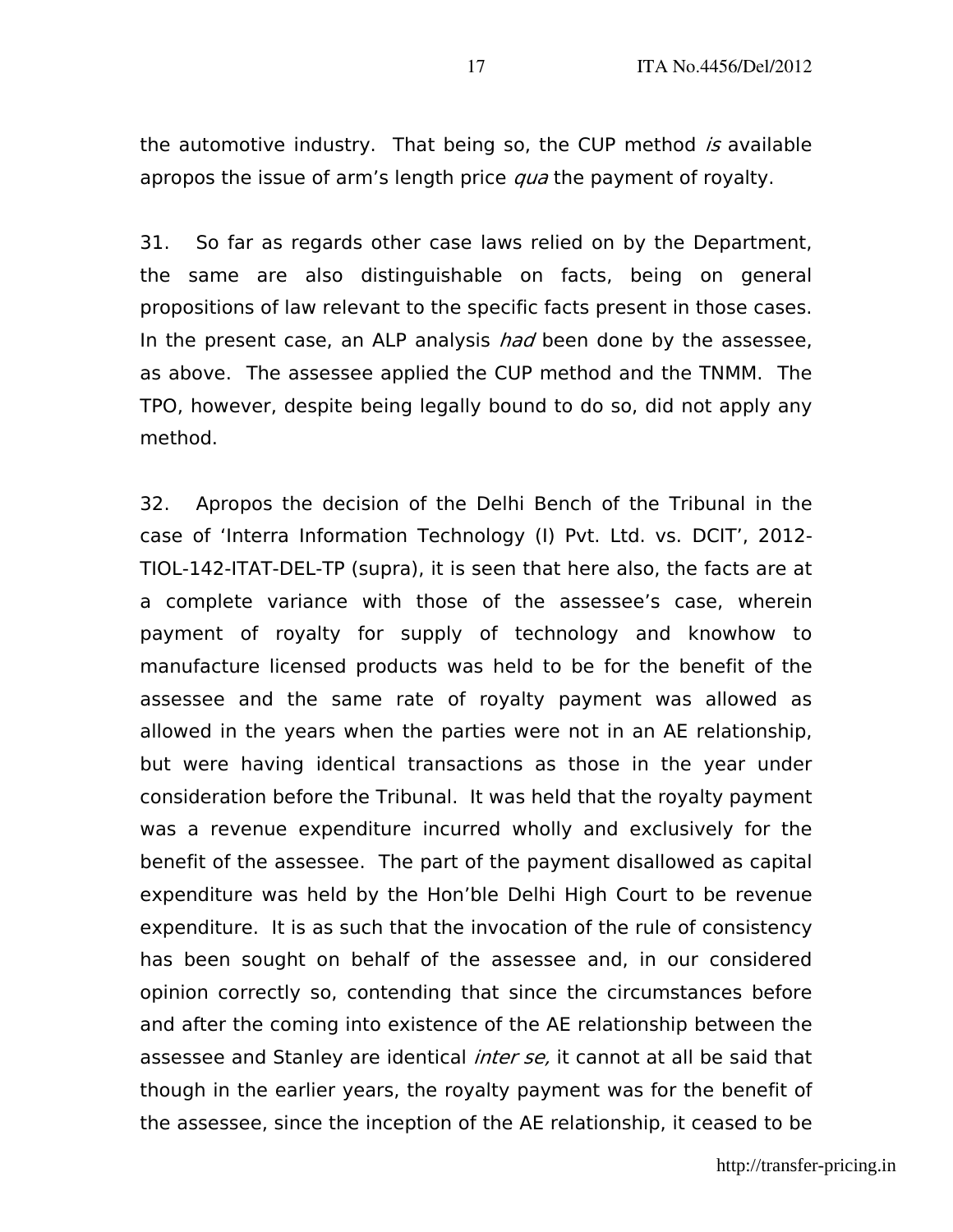the automotive industry. That being so, the CUP method is available apropos the issue of arm's length price *qua* the payment of royalty.

31. So far as regards other case laws relied on by the Department, the same are also distinguishable on facts, being on general propositions of law relevant to the specific facts present in those cases. In the present case, an ALP analysis had been done by the assessee, as above. The assessee applied the CUP method and the TNMM. The TPO, however, despite being legally bound to do so, did not apply any method.

32. Apropos the decision of the Delhi Bench of the Tribunal in the case of 'Interra Information Technology (I) Pvt. Ltd. vs. DCIT', 2012- TIOL-142-ITAT-DEL-TP (supra), it is seen that here also, the facts are at a complete variance with those of the assessee's case, wherein payment of royalty for supply of technology and knowhow to manufacture licensed products was held to be for the benefit of the assessee and the same rate of royalty payment was allowed as allowed in the years when the parties were not in an AE relationship, but were having identical transactions as those in the year under consideration before the Tribunal. It was held that the royalty payment was a revenue expenditure incurred wholly and exclusively for the benefit of the assessee. The part of the payment disallowed as capital expenditure was held by the Hon'ble Delhi High Court to be revenue expenditure. It is as such that the invocation of the rule of consistency has been sought on behalf of the assessee and, in our considered opinion correctly so, contending that since the circumstances before and after the coming into existence of the AE relationship between the assessee and Stanley are identical *inter se*, it cannot at all be said that though in the earlier years, the royalty payment was for the benefit of the assessee, since the inception of the AE relationship, it ceased to be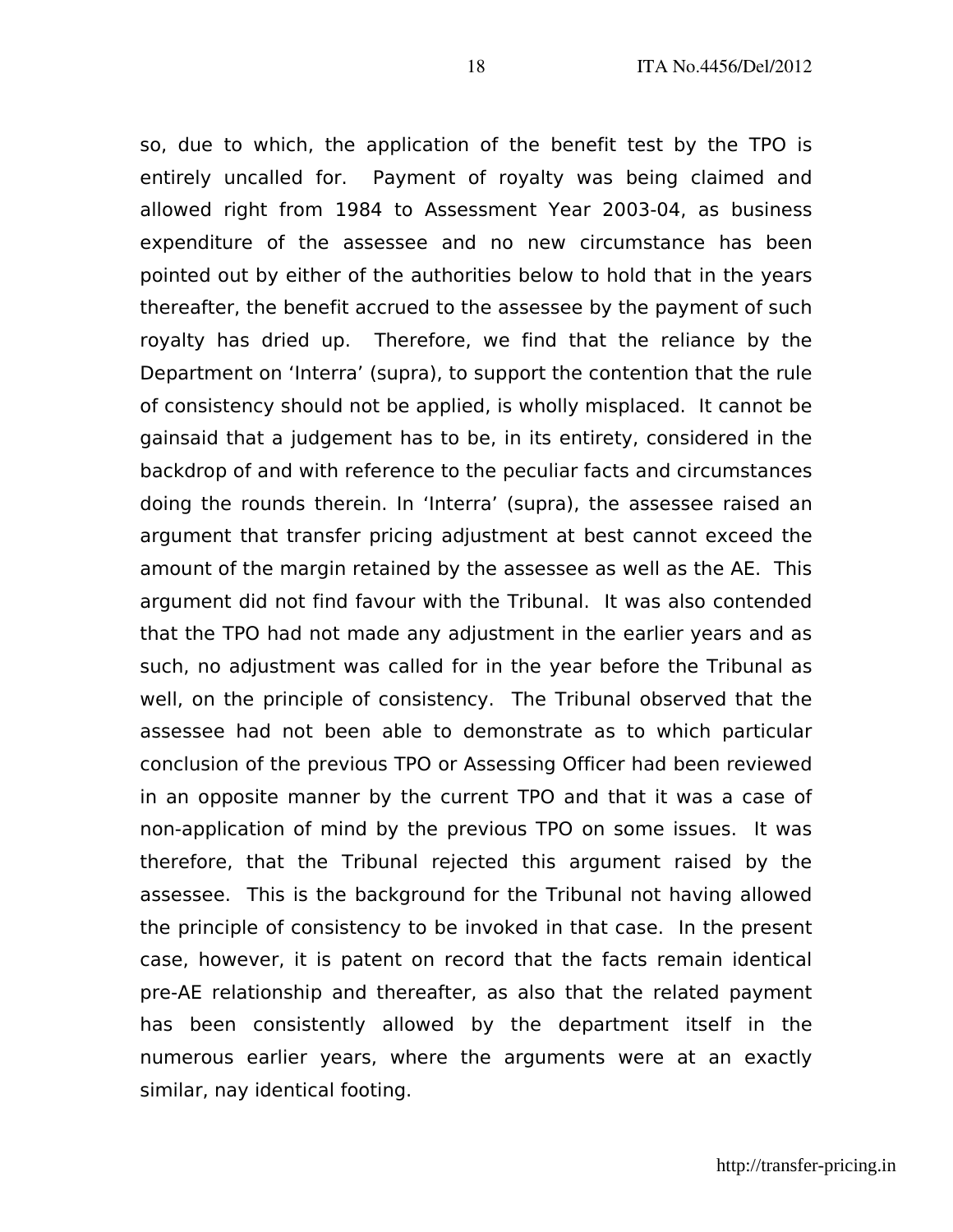so, due to which, the application of the benefit test by the TPO is entirely uncalled for. Payment of royalty was being claimed and allowed right from 1984 to Assessment Year 2003-04, as business expenditure of the assessee and no new circumstance has been pointed out by either of the authorities below to hold that in the years thereafter, the benefit accrued to the assessee by the payment of such royalty has dried up. Therefore, we find that the reliance by the Department on 'Interra' (supra), to support the contention that the rule of consistency should not be applied, is wholly misplaced. It cannot be gainsaid that a judgement has to be, in its entirety, considered in the backdrop of and with reference to the peculiar facts and circumstances doing the rounds therein. In 'Interra' (supra), the assessee raised an argument that transfer pricing adjustment at best cannot exceed the amount of the margin retained by the assessee as well as the AE. This argument did not find favour with the Tribunal. It was also contended that the TPO had not made any adjustment in the earlier years and as such, no adjustment was called for in the year before the Tribunal as well, on the principle of consistency. The Tribunal observed that the assessee had not been able to demonstrate as to which particular conclusion of the previous TPO or Assessing Officer had been reviewed in an opposite manner by the current TPO and that it was a case of non-application of mind by the previous TPO on some issues. It was therefore, that the Tribunal rejected this argument raised by the assessee. This is the background for the Tribunal not having allowed the principle of consistency to be invoked in that case. In the present case, however, it is patent on record that the facts remain identical pre-AE relationship and thereafter, as also that the related payment has been consistently allowed by the department itself in the numerous earlier years, where the arguments were at an exactly similar, nay identical footing.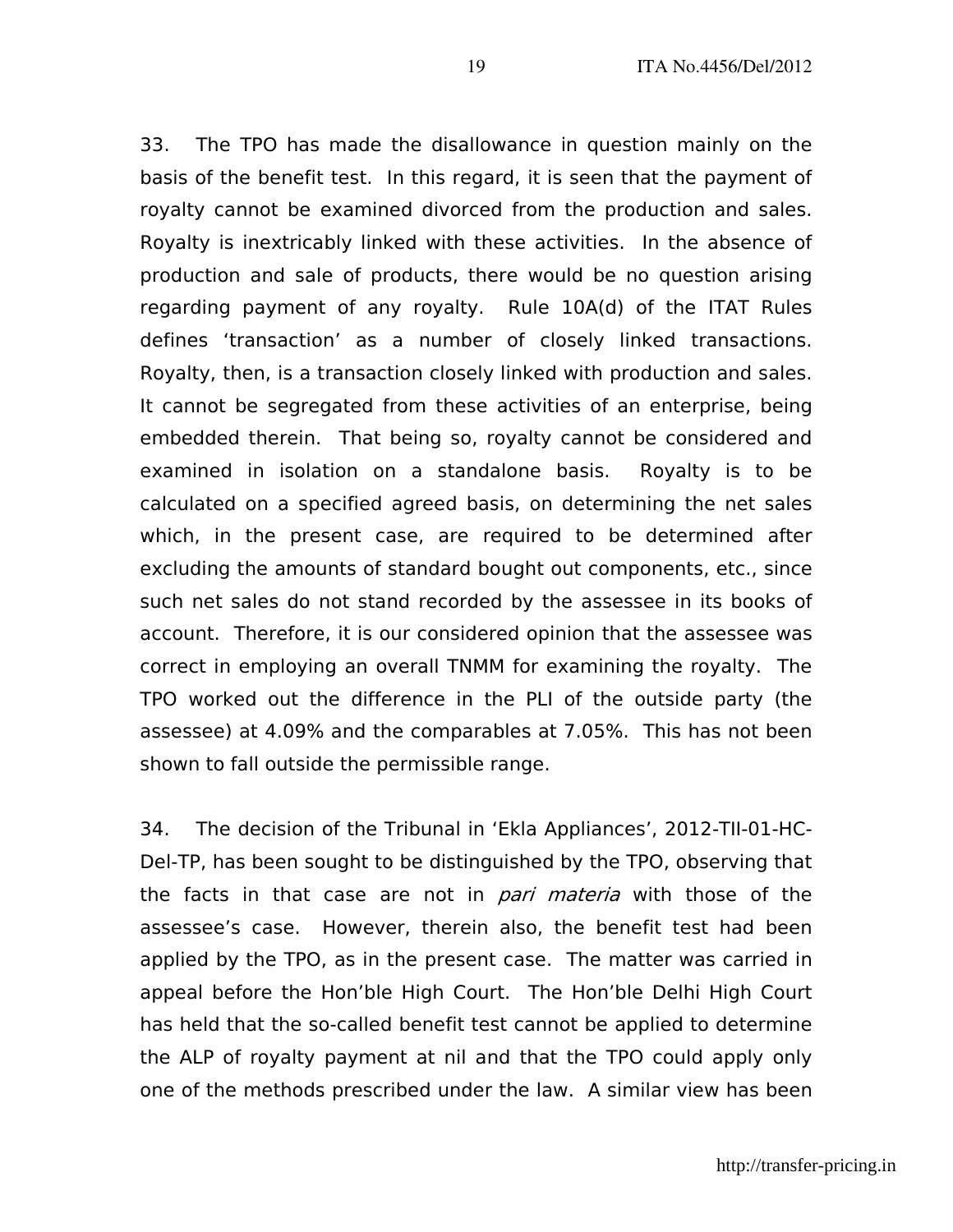33. The TPO has made the disallowance in question mainly on the basis of the benefit test. In this regard, it is seen that the payment of royalty cannot be examined divorced from the production and sales. Royalty is inextricably linked with these activities. In the absence of production and sale of products, there would be no question arising regarding payment of any royalty. Rule 10A(d) of the ITAT Rules defines 'transaction' as a number of closely linked transactions. Royalty, then, is a transaction closely linked with production and sales. It cannot be segregated from these activities of an enterprise, being embedded therein. That being so, royalty cannot be considered and examined in isolation on a standalone basis. Royalty is to be calculated on a specified agreed basis, on determining the net sales which, in the present case, are required to be determined after excluding the amounts of standard bought out components, etc., since such net sales do not stand recorded by the assessee in its books of account. Therefore, it is our considered opinion that the assessee was correct in employing an overall TNMM for examining the royalty. The TPO worked out the difference in the PLI of the outside party (the assessee) at 4.09% and the comparables at 7.05%. This has not been shown to fall outside the permissible range.

34. The decision of the Tribunal in 'Ekla Appliances', 2012-TII-01-HC-Del-TP, has been sought to be distinguished by the TPO, observing that the facts in that case are not in *pari materia* with those of the assessee's case. However, therein also, the benefit test had been applied by the TPO, as in the present case. The matter was carried in appeal before the Hon'ble High Court. The Hon'ble Delhi High Court has held that the so-called benefit test cannot be applied to determine the ALP of royalty payment at nil and that the TPO could apply only one of the methods prescribed under the law. A similar view has been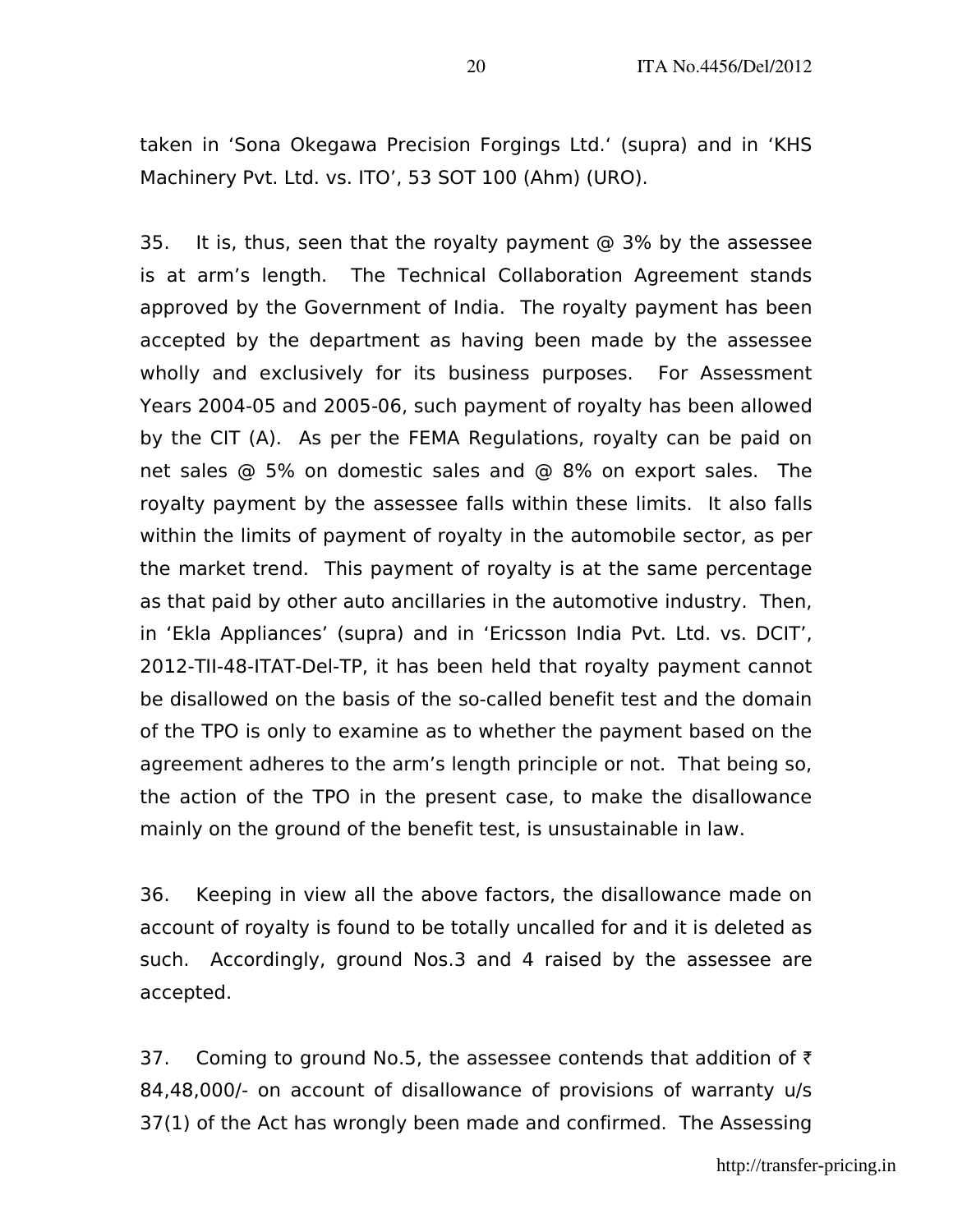taken in 'Sona Okegawa Precision Forgings Ltd.' (supra) and in 'KHS Machinery Pvt. Ltd. vs. ITO', 53 SOT 100 (Ahm) (URO).

35. It is, thus, seen that the royalty payment @ 3% by the assessee is at arm's length. The Technical Collaboration Agreement stands approved by the Government of India. The royalty payment has been accepted by the department as having been made by the assessee wholly and exclusively for its business purposes. For Assessment Years 2004-05 and 2005-06, such payment of royalty has been allowed by the CIT (A). As per the FEMA Regulations, royalty can be paid on net sales @ 5% on domestic sales and @ 8% on export sales. The royalty payment by the assessee falls within these limits. It also falls within the limits of payment of royalty in the automobile sector, as per the market trend. This payment of royalty is at the same percentage as that paid by other auto ancillaries in the automotive industry. Then, in 'Ekla Appliances' (supra) and in 'Ericsson India Pvt. Ltd. vs. DCIT', 2012-TII-48-ITAT-Del-TP, it has been held that royalty payment cannot be disallowed on the basis of the so-called benefit test and the domain of the TPO is only to examine as to whether the payment based on the agreement adheres to the arm's length principle or not. That being so, the action of the TPO in the present case, to make the disallowance mainly on the ground of the benefit test, is unsustainable in law.

36. Keeping in view all the above factors, the disallowance made on account of royalty is found to be totally uncalled for and it is deleted as such. Accordingly, ground Nos.3 and 4 raised by the assessee are accepted.

37. Coming to ground No.5, the assessee contends that addition of  $\bar{\tau}$ 84,48,000/- on account of disallowance of provisions of warranty u/s 37(1) of the Act has wrongly been made and confirmed. The Assessing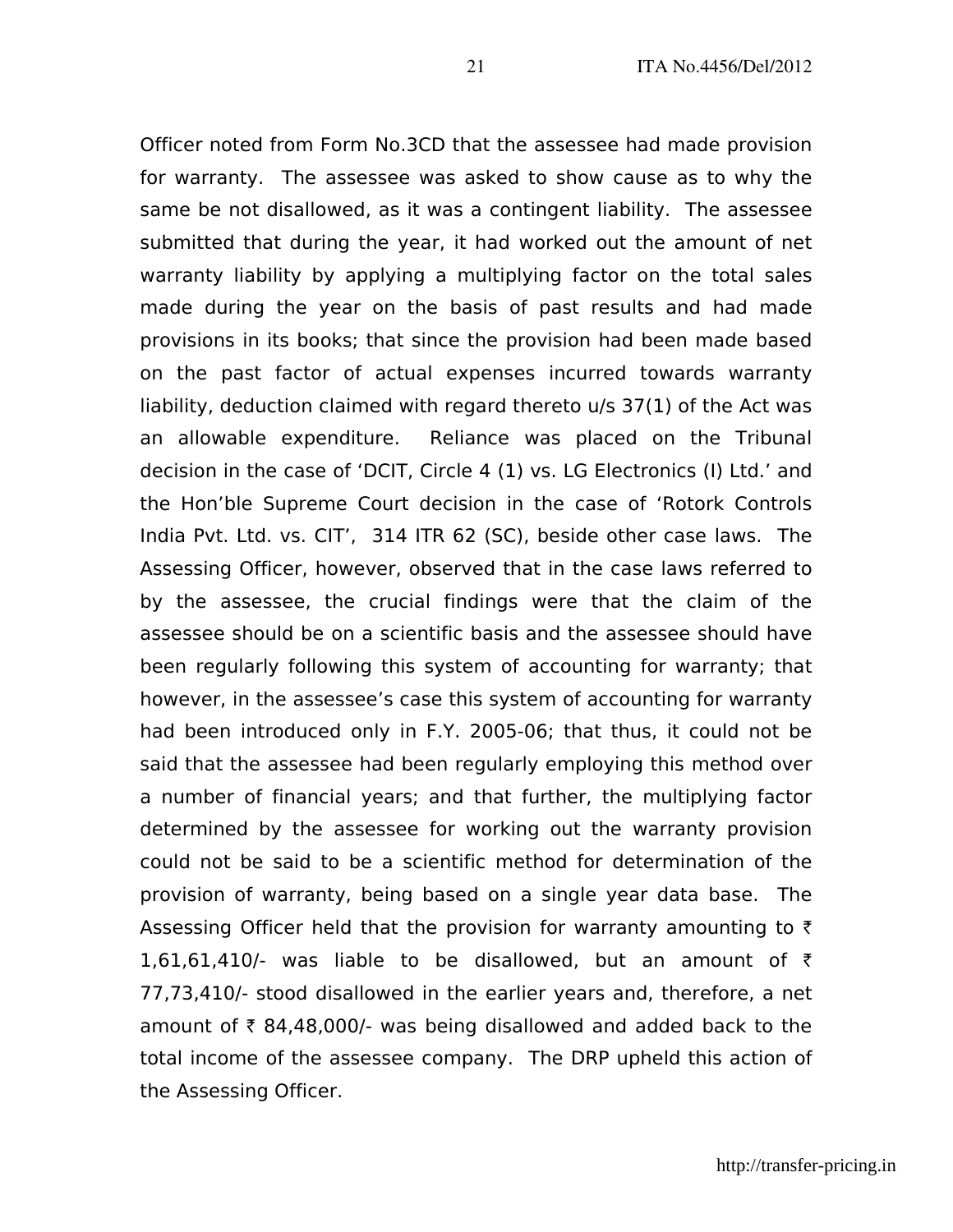Officer noted from Form No.3CD that the assessee had made provision for warranty. The assessee was asked to show cause as to why the same be not disallowed, as it was a contingent liability. The assessee submitted that during the year, it had worked out the amount of net warranty liability by applying a multiplying factor on the total sales made during the year on the basis of past results and had made provisions in its books; that since the provision had been made based on the past factor of actual expenses incurred towards warranty liability, deduction claimed with regard thereto u/s 37(1) of the Act was an allowable expenditure. Reliance was placed on the Tribunal decision in the case of 'DCIT, Circle 4 (1) vs. LG Electronics (I) Ltd.' and the Hon'ble Supreme Court decision in the case of 'Rotork Controls India Pvt. Ltd. vs. CIT', 314 ITR 62 (SC), beside other case laws. The Assessing Officer, however, observed that in the case laws referred to by the assessee, the crucial findings were that the claim of the assessee should be on a scientific basis and the assessee should have been regularly following this system of accounting for warranty; that however, in the assessee's case this system of accounting for warranty had been introduced only in F.Y. 2005-06; that thus, it could not be said that the assessee had been regularly employing this method over a number of financial years; and that further, the multiplying factor determined by the assessee for working out the warranty provision could not be said to be a scientific method for determination of the provision of warranty, being based on a single year data base. The Assessing Officer held that the provision for warranty amounting to  $\bar{\tau}$ 1,61,61,410/- was liable to be disallowed, but an amount of  $\bar{\tau}$ 77,73,410/- stood disallowed in the earlier years and, therefore, a net amount of  $\bar{\tau}$  84,48,000/- was being disallowed and added back to the total income of the assessee company. The DRP upheld this action of the Assessing Officer.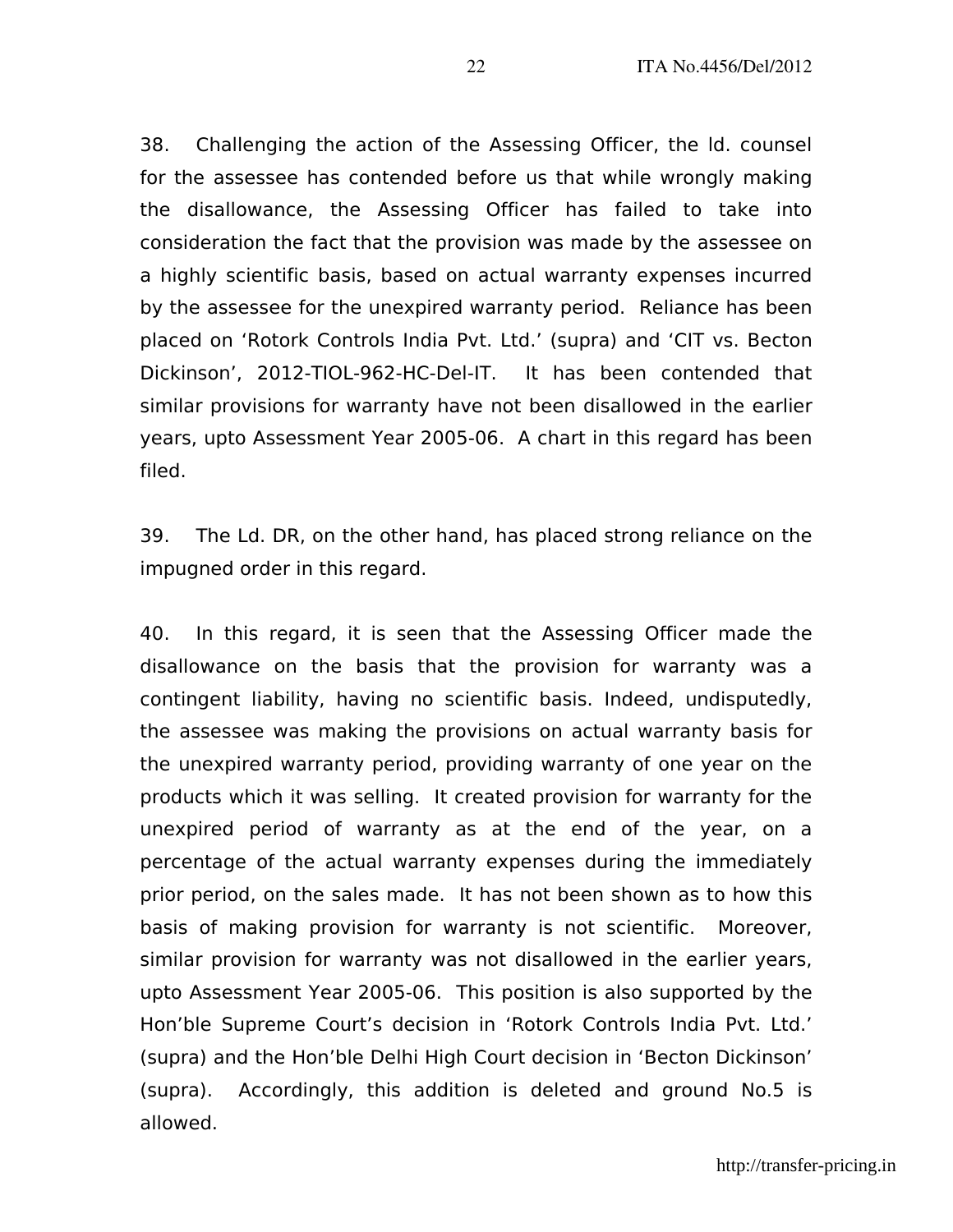38. Challenging the action of the Assessing Officer, the ld. counsel for the assessee has contended before us that while wrongly making the disallowance, the Assessing Officer has failed to take into consideration the fact that the provision was made by the assessee on a highly scientific basis, based on actual warranty expenses incurred by the assessee for the unexpired warranty period. Reliance has been placed on 'Rotork Controls India Pvt. Ltd.' (supra) and 'CIT vs. Becton Dickinson', 2012-TIOL-962-HC-Del-IT. It has been contended that similar provisions for warranty have not been disallowed in the earlier years, upto Assessment Year 2005-06. A chart in this regard has been filed.

39. The Ld. DR, on the other hand, has placed strong reliance on the impugned order in this regard.

40. In this regard, it is seen that the Assessing Officer made the disallowance on the basis that the provision for warranty was a contingent liability, having no scientific basis. Indeed, undisputedly, the assessee was making the provisions on actual warranty basis for the unexpired warranty period, providing warranty of one year on the products which it was selling. It created provision for warranty for the unexpired period of warranty as at the end of the year, on a percentage of the actual warranty expenses during the immediately prior period, on the sales made. It has not been shown as to how this basis of making provision for warranty is not scientific. Moreover, similar provision for warranty was not disallowed in the earlier years, upto Assessment Year 2005-06. This position is also supported by the Hon'ble Supreme Court's decision in 'Rotork Controls India Pvt. Ltd.' (supra) and the Hon'ble Delhi High Court decision in 'Becton Dickinson' (supra). Accordingly, this addition is deleted and ground No.5 is allowed.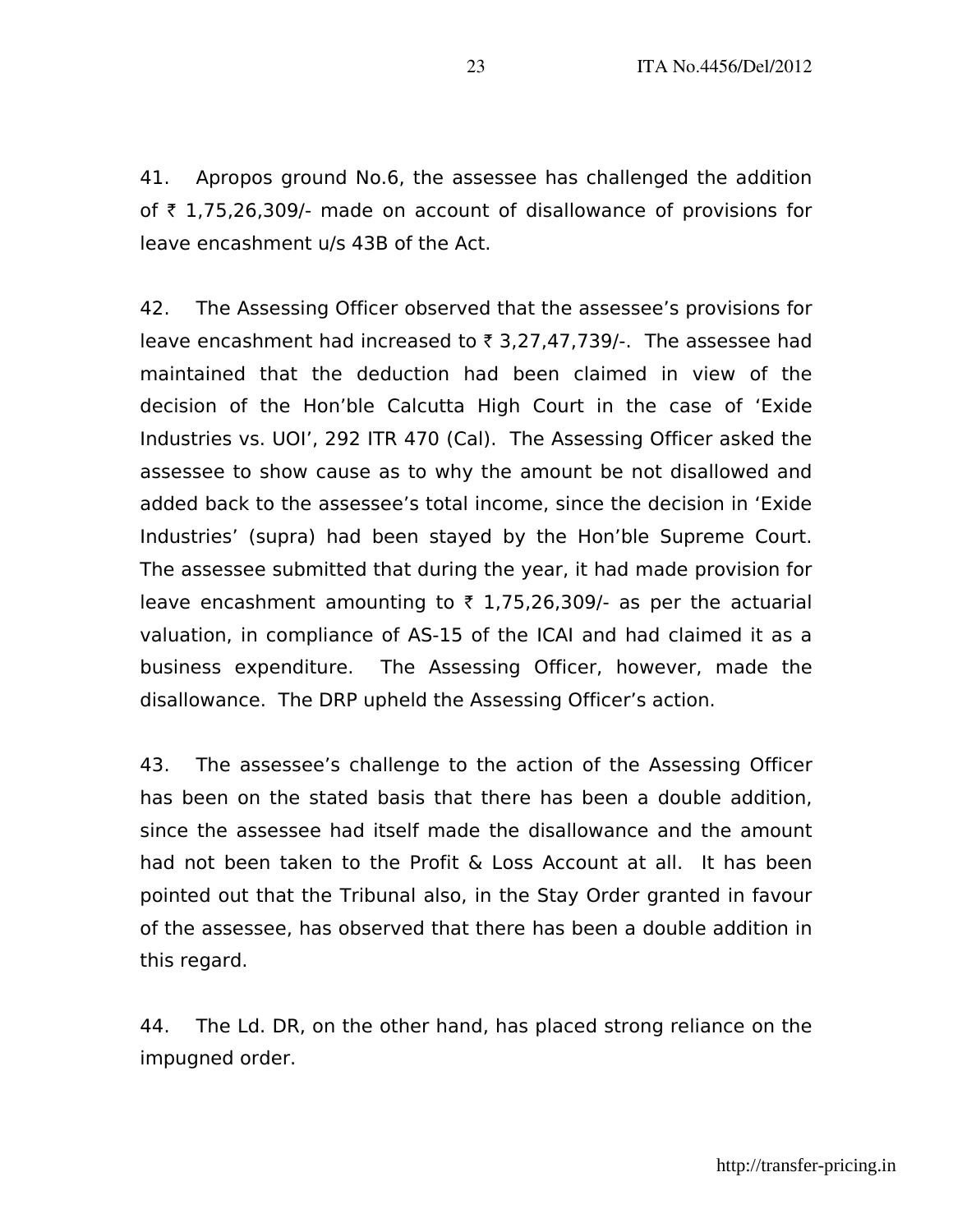41. Apropos ground No.6, the assessee has challenged the addition of  $\bar{\tau}$  1,75,26,309/- made on account of disallowance of provisions for leave encashment u/s 43B of the Act.

42. The Assessing Officer observed that the assessee's provisions for leave encashment had increased to  $\bar{\tau}$  3,27,47,739/-. The assessee had maintained that the deduction had been claimed in view of the decision of the Hon'ble Calcutta High Court in the case of 'Exide Industries vs. UOI', 292 ITR 470 (Cal). The Assessing Officer asked the assessee to show cause as to why the amount be not disallowed and added back to the assessee's total income, since the decision in 'Exide Industries' (supra) had been stayed by the Hon'ble Supreme Court. The assessee submitted that during the year, it had made provision for leave encashment amounting to  $\bar{\tau}$  1,75,26,309/- as per the actuarial valuation, in compliance of AS-15 of the ICAI and had claimed it as a business expenditure. The Assessing Officer, however, made the disallowance. The DRP upheld the Assessing Officer's action.

43. The assessee's challenge to the action of the Assessing Officer has been on the stated basis that there has been a double addition, since the assessee had itself made the disallowance and the amount had not been taken to the Profit & Loss Account at all. It has been pointed out that the Tribunal also, in the Stay Order granted in favour of the assessee, has observed that there has been a double addition in this regard.

44. The Ld. DR, on the other hand, has placed strong reliance on the impugned order.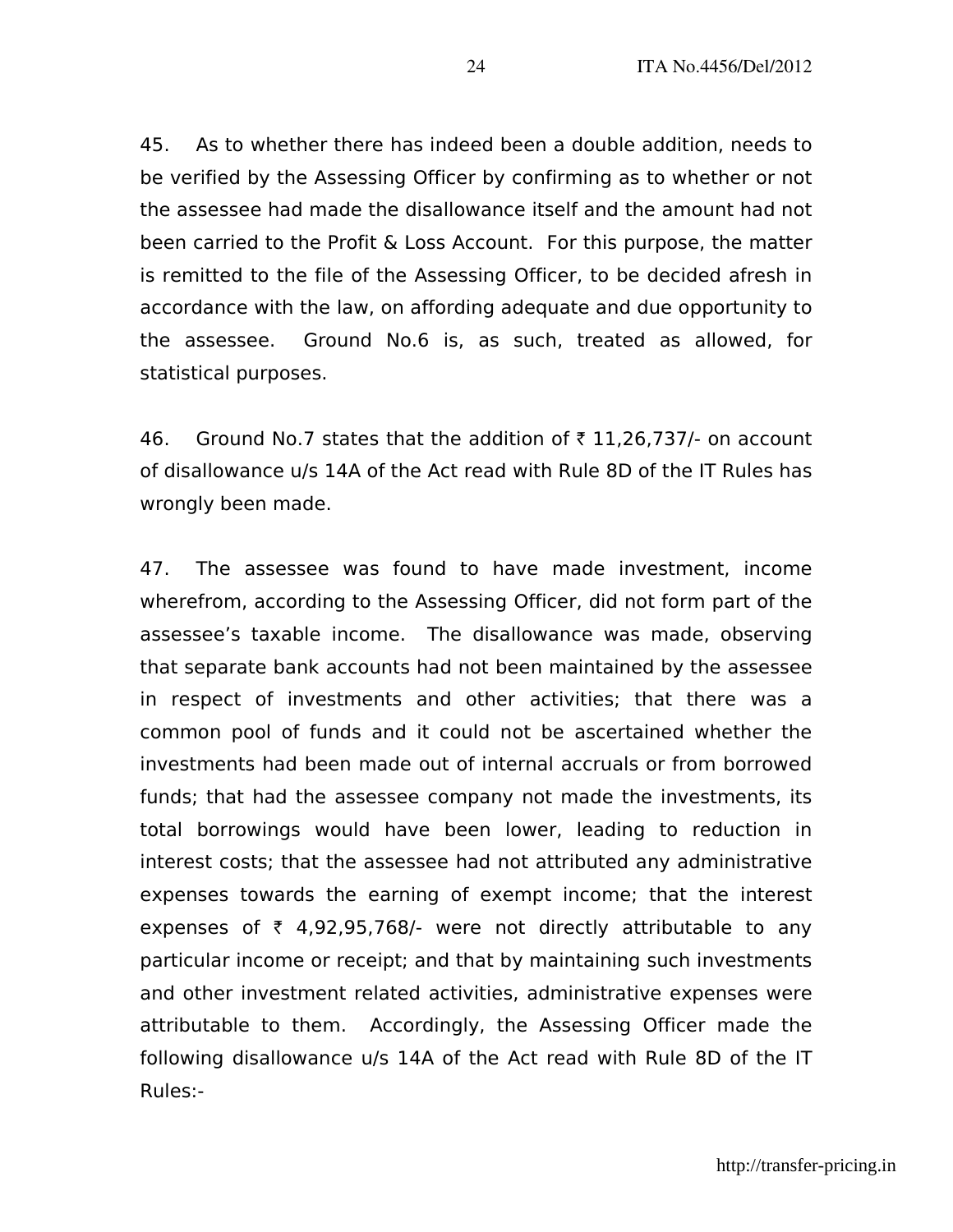45. As to whether there has indeed been a double addition, needs to be verified by the Assessing Officer by confirming as to whether or not the assessee had made the disallowance itself and the amount had not been carried to the Profit & Loss Account. For this purpose, the matter is remitted to the file of the Assessing Officer, to be decided afresh in accordance with the law, on affording adequate and due opportunity to the assessee. Ground No.6 is, as such, treated as allowed, for statistical purposes.

46. Ground No.7 states that the addition of  $\bar{\tau}$  11,26,737/- on account of disallowance u/s 14A of the Act read with Rule 8D of the IT Rules has wrongly been made.

47. The assessee was found to have made investment, income wherefrom, according to the Assessing Officer, did not form part of the assessee's taxable income. The disallowance was made, observing that separate bank accounts had not been maintained by the assessee in respect of investments and other activities; that there was a common pool of funds and it could not be ascertained whether the investments had been made out of internal accruals or from borrowed funds; that had the assessee company not made the investments, its total borrowings would have been lower, leading to reduction in interest costs; that the assessee had not attributed any administrative expenses towards the earning of exempt income; that the interest expenses of  $\bar{\tau}$  4,92,95,768/- were not directly attributable to any particular income or receipt; and that by maintaining such investments and other investment related activities, administrative expenses were attributable to them. Accordingly, the Assessing Officer made the following disallowance u/s 14A of the Act read with Rule 8D of the IT Rules:-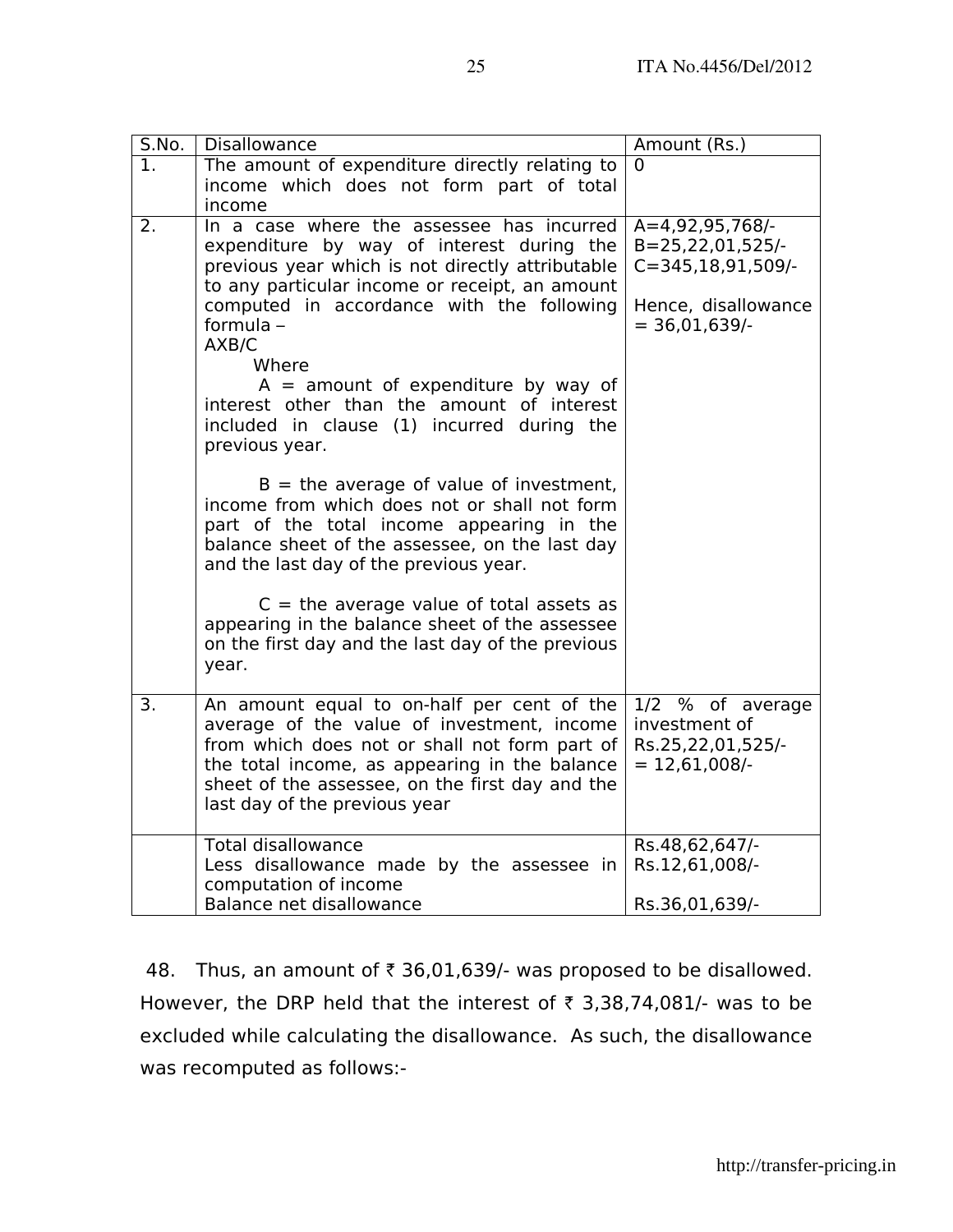A=4,92,95,768/- B=25,22,01,525/- C=345,18,91,509/-

 $= 36,01,639/$ 

Hence, disallowance

 $\Omega$ 

|     | $C =$ the average value of total assets as<br>appearing in the balance sheet of the assessee<br>on the first day and the last day of the previous<br>year.                                                                                                                     |                                                                          |
|-----|--------------------------------------------------------------------------------------------------------------------------------------------------------------------------------------------------------------------------------------------------------------------------------|--------------------------------------------------------------------------|
| 3.  | An amount equal to on-half per cent of the<br>average of the value of investment, income<br>from which does not or shall not form part of<br>the total income, as appearing in the balance<br>sheet of the assessee, on the first day and the<br>last day of the previous year | 1/2 % of average<br>investment of<br>Rs.25,22,01,525/-<br>$= 12,61,008/$ |
|     | <b>Total disallowance</b>                                                                                                                                                                                                                                                      | Rs.48,62,647/-                                                           |
|     | Less disallowance made by the assessee in<br>computation of income                                                                                                                                                                                                             | Rs.12,61,008/-                                                           |
|     | Balance net disallowance                                                                                                                                                                                                                                                       | Rs.36,01,639/-                                                           |
| 48. | Thus, an amount of $\bar{\tau}$ 36,01,639/- was proposed to be disallowed.<br>However, the DRP held that the interest of $\bar{\tau}$ 3,38,74,081/- was to be<br>excluded while calculating the disallowance. As such, the disallowance<br>was recomputed as follows:-         |                                                                          |
|     |                                                                                                                                                                                                                                                                                | http://transfer-pricin                                                   |

S.No. | Disallowance | Amount (Rs.)

 $A =$  amount of expenditure by way of

 $B =$  the average of value of investment,

interest other than the amount of interest included in clause (1) incurred during the

income from which does not or shall not form part of the total income appearing in the balance sheet of the assessee, on the last day

and the last day of the previous year.

1. The amount of expenditure directly relating to

2. In a case where the assessee has incurred

income

formula – AXB/C

**Where** 

previous year.

income which does not form part of total

expenditure by way of interest during the previous year which is not directly attributable to any particular income or receipt, an amount computed in accordance with the following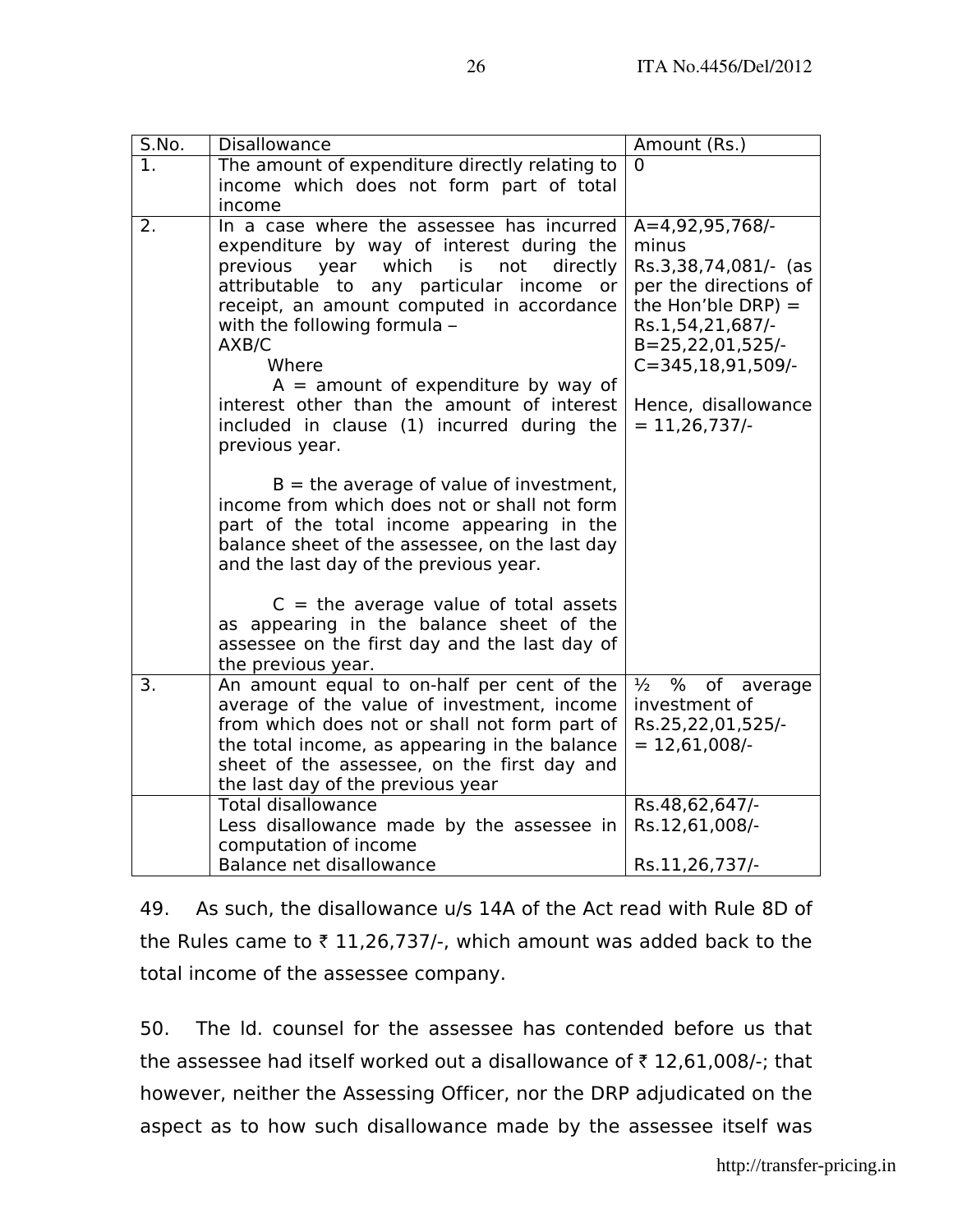| S.No. | Disallowance                                                                                                                                                                                                                                                                                                                                                                                                                                   | Amount (Rs.)                                                                                                                                                                                                          |
|-------|------------------------------------------------------------------------------------------------------------------------------------------------------------------------------------------------------------------------------------------------------------------------------------------------------------------------------------------------------------------------------------------------------------------------------------------------|-----------------------------------------------------------------------------------------------------------------------------------------------------------------------------------------------------------------------|
|       | The amount of expenditure directly relating to<br>income which does not form part of total                                                                                                                                                                                                                                                                                                                                                     | 0                                                                                                                                                                                                                     |
|       | income                                                                                                                                                                                                                                                                                                                                                                                                                                         |                                                                                                                                                                                                                       |
| 2.    | In a case where the assessee has incurred<br>expenditure by way of interest during the<br>which<br>is<br>directly<br>previous<br>year<br>not<br>attributable to any particular income or<br>receipt, an amount computed in accordance<br>with the following formula -<br>AXB/C<br>Where<br>$A =$ amount of expenditure by way of<br>interest other than the amount of interest<br>included in clause (1) incurred during the<br>previous year. | A=4,92,95,768/-<br>minus<br>Rs.3,38,74,081/- (as<br>per the directions of<br>the Hon'ble DRP) $=$<br>Rs.1,54,21,687/-<br>$B = 25, 22, 01, 525/$<br>$C = 345, 18, 91, 509/$ -<br>Hence, disallowance<br>$= 11,26,737/$ |
|       | $B =$ the average of value of investment,<br>income from which does not or shall not form<br>part of the total income appearing in the<br>balance sheet of the assessee, on the last day<br>and the last day of the previous year.<br>$C =$ the average value of total assets<br>as appearing in the balance sheet of the<br>assessee on the first day and the last day of                                                                     |                                                                                                                                                                                                                       |
|       | the previous year.                                                                                                                                                                                                                                                                                                                                                                                                                             |                                                                                                                                                                                                                       |
| 3.    | An amount equal to on-half per cent of the<br>average of the value of investment, income<br>from which does not or shall not form part of<br>the total income, as appearing in the balance<br>sheet of the assessee, on the first day and<br>the last day of the previous year                                                                                                                                                                 | $\frac{1}{2}$ % of average<br>investment of<br>Rs.25,22,01,525/-<br>$= 12,61,008/$                                                                                                                                    |
|       | <b>Total disallowance</b><br>Less disallowance made by the assessee in                                                                                                                                                                                                                                                                                                                                                                         | Rs.48,62,647/-<br>Rs.12,61,008/-                                                                                                                                                                                      |
|       | computation of income<br>Balance net disallowance                                                                                                                                                                                                                                                                                                                                                                                              | Rs.11,26,737/-                                                                                                                                                                                                        |

49. As such, the disallowance u/s 14A of the Act read with Rule 8D of the Rules came to  $\bar{\tau}$  11,26,737/-, which amount was added back to the total income of the assessee company.

50. The ld. counsel for the assessee has contended before us that the assessee had itself worked out a disallowance of  $\bar{\tau}$  12,61,008/-; that however, neither the Assessing Officer, nor the DRP adjudicated on the aspect as to how such disallowance made by the assessee itself was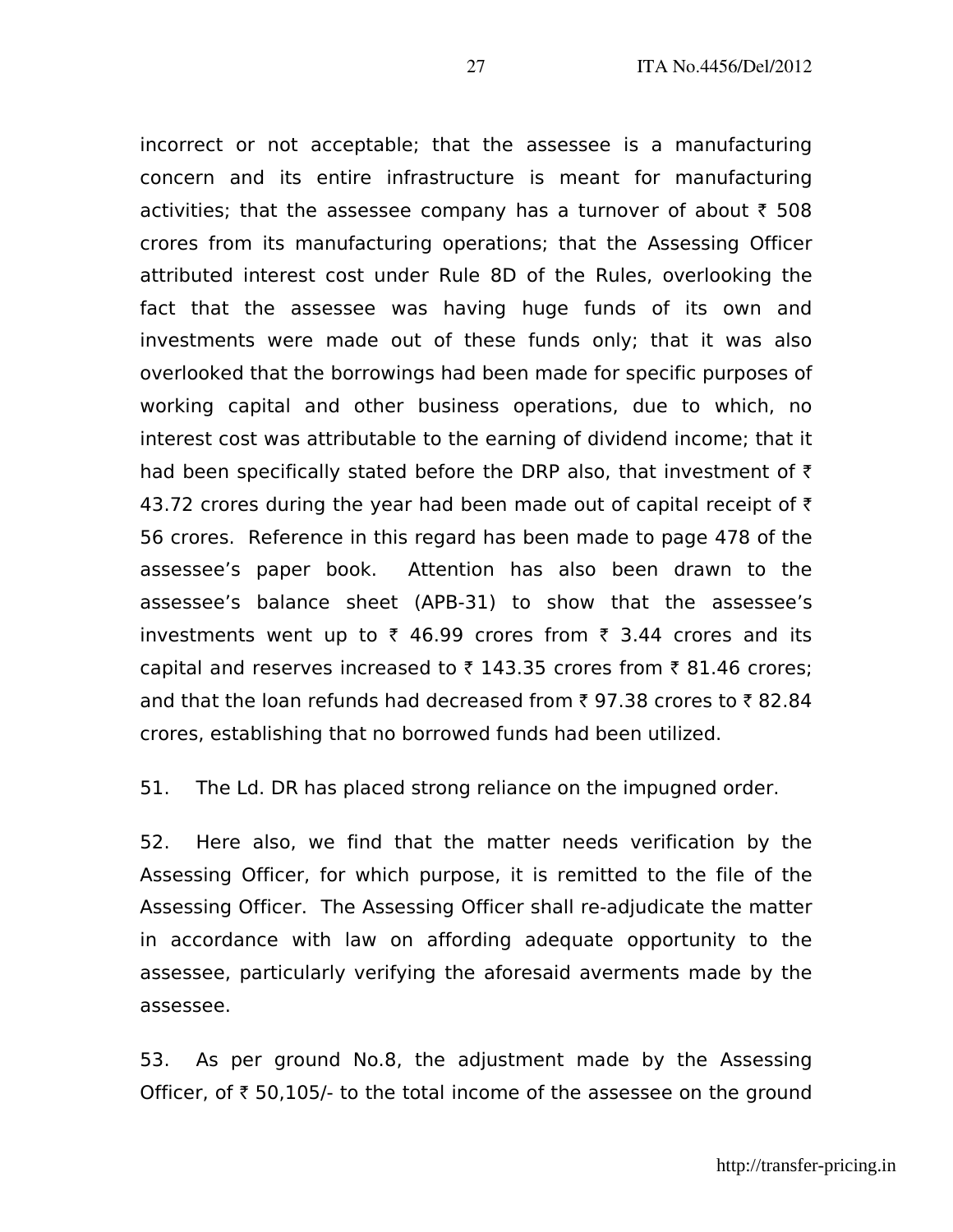incorrect or not acceptable; that the assessee is a manufacturing concern and its entire infrastructure is meant for manufacturing activities; that the assessee company has a turnover of about  $\bar{\tau}$  508 crores from its manufacturing operations; that the Assessing Officer attributed interest cost under Rule 8D of the Rules, overlooking the fact that the assessee was having huge funds of its own and investments were made out of these funds only; that it was also overlooked that the borrowings had been made for specific purposes of working capital and other business operations, due to which, no interest cost was attributable to the earning of dividend income; that it had been specifically stated before the DRP also, that investment of  $\bar{z}$ 43.72 crores during the year had been made out of capital receipt of  $\bar{\tau}$ 56 crores. Reference in this regard has been made to page 478 of the assessee's paper book. Attention has also been drawn to the assessee's balance sheet (APB-31) to show that the assessee's investments went up to  $\bar{\tau}$  46.99 crores from  $\bar{\tau}$  3.44 crores and its capital and reserves increased to  $\bar{\tau}$  143.35 crores from  $\bar{\tau}$  81.46 crores; and that the loan refunds had decreased from  $\bar{\tau}$  97.38 crores to  $\bar{\tau}$  82.84 crores, establishing that no borrowed funds had been utilized.

51. The Ld. DR has placed strong reliance on the impugned order.

52. Here also, we find that the matter needs verification by the Assessing Officer, for which purpose, it is remitted to the file of the Assessing Officer. The Assessing Officer shall re-adjudicate the matter in accordance with law on affording adequate opportunity to the assessee, particularly verifying the aforesaid averments made by the assessee.

53. As per ground No.8, the adjustment made by the Assessing Officer, of  $\bar{\tau}$  50,105/- to the total income of the assessee on the ground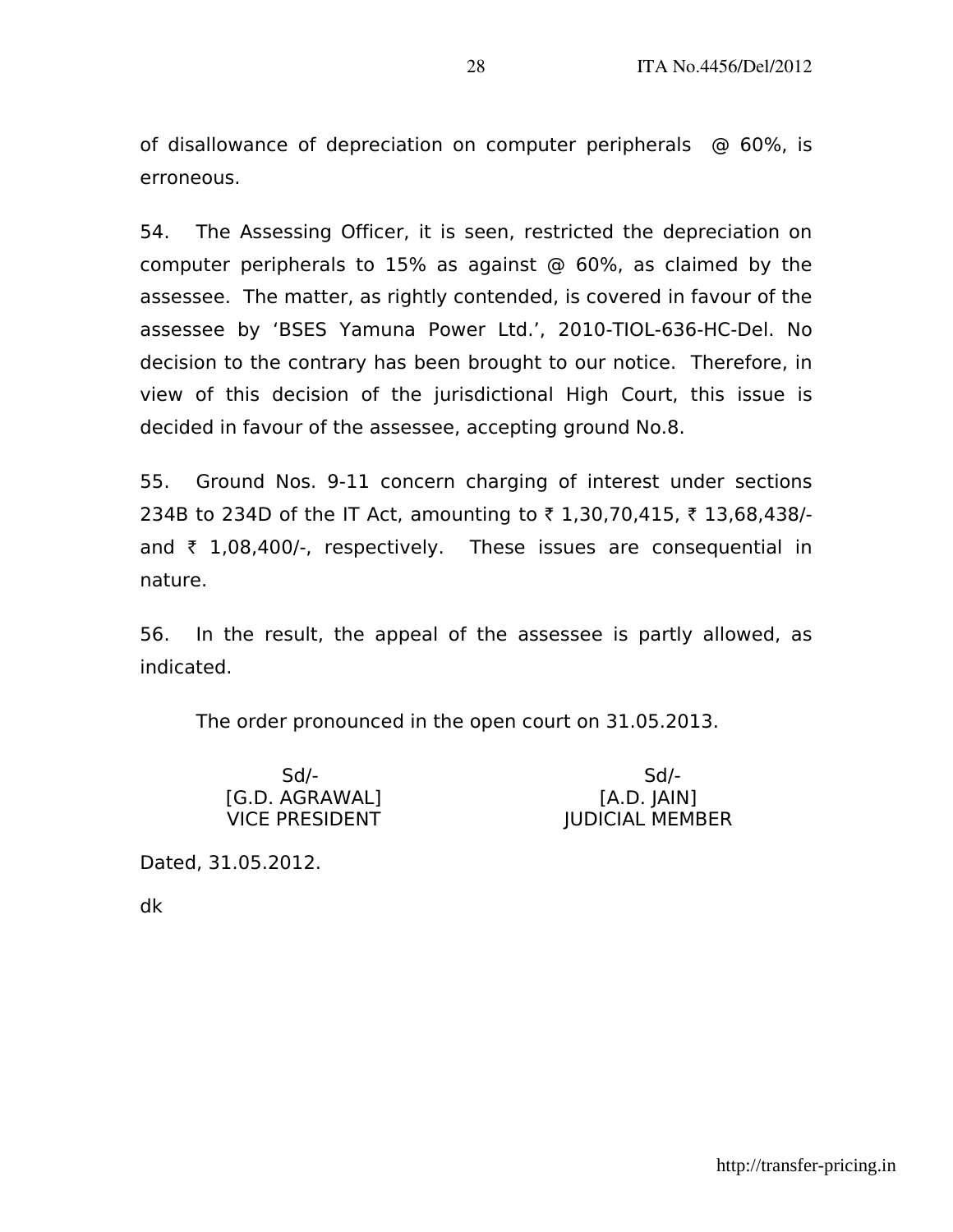of disallowance of depreciation on computer peripherals @ 60%, is erroneous.

54. The Assessing Officer, it is seen, restricted the depreciation on computer peripherals to 15% as against @ 60%, as claimed by the assessee. The matter, as rightly contended, is covered in favour of the assessee by 'BSES Yamuna Power Ltd.', 2010-TIOL-636-HC-Del. No decision to the contrary has been brought to our notice. Therefore, in view of this decision of the jurisdictional High Court, this issue is decided in favour of the assessee, accepting ground No.8.

55. Ground Nos. 9-11 concern charging of interest under sections 234B to 234D of the IT Act, amounting to ₹ 1,30,70,415, ₹ 13,68,438/and  $\bar{\tau}$  1,08,400/-, respectively. These issues are consequential in nature.

56. In the result, the appeal of the assessee is partly allowed, as indicated.

The order pronounced in the open court on 31.05.2013.

| $Sd$ -                | Sd/-                   |
|-----------------------|------------------------|
| [G.D. AGRAWAL]        | [A.D. JAIN]            |
| <b>VICE PRESIDENT</b> | <b>JUDICIAL MEMBER</b> |

Dated, 31.05.2012.

dk